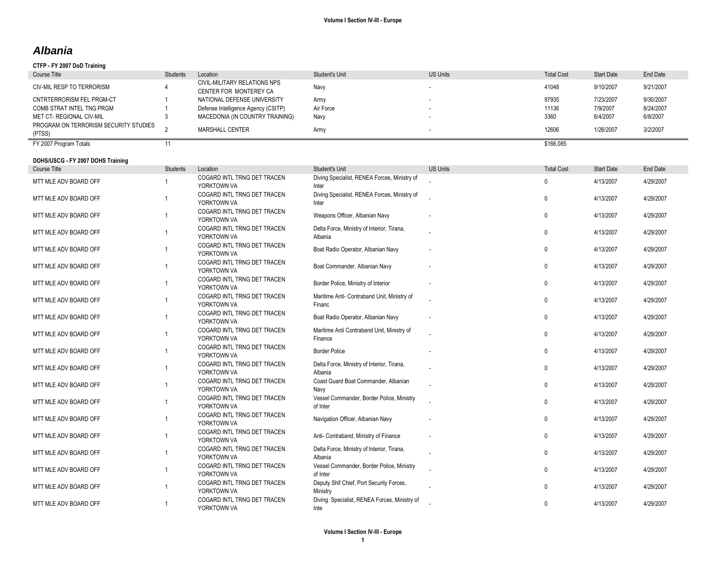## *Albania*

### **CTFP - FY 2007 DoD Training**

| Course Title                                    | Students | Location                                               | Student's Unit | <b>US Units</b> | <b>Total Cost</b> | <b>Start Date</b> | End Date  |
|-------------------------------------------------|----------|--------------------------------------------------------|----------------|-----------------|-------------------|-------------------|-----------|
| CIV-MIL RESP TO TERRORISM                       |          | CIVIL-MILITARY RELATIONS NPS<br>CENTER FOR MONTEREY CA | Navy           |                 | 41048             | 9/10/2007         | 9/21/2007 |
| CNTRTERRORISM FEL PRGM-CT                       |          | NATIONAL DEFENSE UNIVERSITY                            | Army           |                 | 97935             | 7/23/2007         | 9/30/2007 |
| COMB STRAT INTEL TNG PRGM                       |          | Defense Intelligence Agency (CSITP)                    | Air Force      |                 | 11136             | 7/9/2007          | 8/24/2007 |
| <b>MET CT- REGIONAL CIV-MIL</b>                 |          | MACEDONIA (IN COUNTRY TRAINING)                        | Navv           |                 | 3360              | 6/4/2007          | 6/8/2007  |
| PROGRAM ON TERRORISM SECURITY STUDIES<br>(PTSS) |          | <b>MARSHALL CENTER</b>                                 | Army           |                 | 12606             | 1/26/2007         | 3/2/2007  |
| FY 2007 Program Totals                          |          |                                                        |                |                 | \$166,085         |                   |           |

### **DOHS/USCG - FY 2007 DOHS Training**

| <b>Course Title</b>   | Students       | Location                                   | <b>Student's Unit</b>                                 | <b>US Units</b> | <b>Total Cost</b> | <b>Start Date</b> | End Date  |
|-----------------------|----------------|--------------------------------------------|-------------------------------------------------------|-----------------|-------------------|-------------------|-----------|
| MTT MLE ADV BOARD OFF |                | COGARD INTL TRNG DET TRACEN<br>YORKTOWN VA | Diving Specialist, RENEA Forces, Ministry of<br>Inter |                 | $\Omega$          | 4/13/2007         | 4/29/2007 |
| MTT MLE ADV BOARD OFF |                | COGARD INTL TRNG DET TRACEN<br>YORKTOWN VA | Diving Specialist, RENEA Forces, Ministry of<br>Inter |                 | 0                 | 4/13/2007         | 4/29/2007 |
| MTT MLE ADV BOARD OFF | $\overline{1}$ | COGARD INTL TRNG DET TRACEN<br>YORKTOWN VA | Weapons Officer, Albanian Navy                        |                 | $\mathbf{0}$      | 4/13/2007         | 4/29/2007 |
| MTT MLE ADV BOARD OFF | 1              | COGARD INTL TRNG DET TRACEN<br>YORKTOWN VA | Delta Force, Ministry of Interior, Tirana,<br>Albania |                 | $\Omega$          | 4/13/2007         | 4/29/2007 |
| MTT MLE ADV BOARD OFF |                | COGARD INTL TRNG DET TRACEN<br>YORKTOWN VA | Boat Radio Operator, Albanian Navy                    |                 | $\mathbf{0}$      | 4/13/2007         | 4/29/2007 |
| MTT MLE ADV BOARD OFF |                | COGARD INTL TRNG DET TRACEN<br>YORKTOWN VA | Boat Commander, Albanian Navy                         |                 | 0                 | 4/13/2007         | 4/29/2007 |
| MTT MLE ADV BOARD OFF |                | COGARD INTL TRNG DET TRACEN<br>YORKTOWN VA | Border Police, Ministry of Interior                   |                 | 0                 | 4/13/2007         | 4/29/2007 |
| MTT MLE ADV BOARD OFF |                | COGARD INTL TRNG DET TRACEN<br>YORKTOWN VA | Maritime Anti- Contraband Unit, Ministry of<br>Financ |                 | $\Omega$          | 4/13/2007         | 4/29/2007 |
| MTT MLE ADV BOARD OFF | 1              | COGARD INTL TRNG DET TRACEN<br>YORKTOWN VA | Boat Radio Operator, Albanian Navy                    |                 | $\Omega$          | 4/13/2007         | 4/29/2007 |
| MTT MLE ADV BOARD OFF | 1              | COGARD INTL TRNG DET TRACEN<br>YORKTOWN VA | Maritime Anti Contraband Unit, Ministry of<br>Finance |                 | $\Omega$          | 4/13/2007         | 4/29/2007 |
| MTT MLE ADV BOARD OFF |                | COGARD INTL TRNG DET TRACEN<br>YORKTOWN VA | <b>Border Police</b>                                  |                 | $\Omega$          | 4/13/2007         | 4/29/2007 |
| MTT MLE ADV BOARD OFF |                | COGARD INTL TRNG DET TRACEN<br>YORKTOWN VA | Delta Force, Ministry of Interior, Tirana,<br>Albania |                 | $\mathbf{0}$      | 4/13/2007         | 4/29/2007 |
| MTT MLE ADV BOARD OFF | -1             | COGARD INTL TRNG DET TRACEN<br>YORKTOWN VA | Coast Guard Boat Commander, Albanian<br>Navy          |                 | $\Omega$          | 4/13/2007         | 4/29/2007 |
| MTT MLE ADV BOARD OFF |                | COGARD INTL TRNG DET TRACEN<br>YORKTOWN VA | Vessel Commander, Border Police, Ministry<br>of Inter |                 | $\Omega$          | 4/13/2007         | 4/29/2007 |
| MTT MLE ADV BOARD OFF | 1              | COGARD INTL TRNG DET TRACEN<br>YORKTOWN VA | Navigation Officer, Albanian Navy                     |                 | $\Omega$          | 4/13/2007         | 4/29/2007 |
| MTT MLE ADV BOARD OFF |                | COGARD INTL TRNG DET TRACEN<br>YORKTOWN VA | Anti- Contraband, Ministry of Finance                 |                 | $\Omega$          | 4/13/2007         | 4/29/2007 |
| MTT MLE ADV BOARD OFF |                | COGARD INTL TRNG DET TRACEN<br>YORKTOWN VA | Delta Force, Ministry of Interior, Tirana,<br>Albania |                 | $\mathbf{0}$      | 4/13/2007         | 4/29/2007 |
| MTT MLE ADV BOARD OFF |                | COGARD INTL TRNG DET TRACEN<br>YORKTOWN VA | Vessel Commander, Border Police, Ministry<br>of Inter |                 | $\Omega$          | 4/13/2007         | 4/29/2007 |
| MTT MLE ADV BOARD OFF |                | COGARD INTL TRNG DET TRACEN<br>YORKTOWN VA | Deputy Shif Chief, Port Security Forces,<br>Ministry  |                 | <sup>0</sup>      | 4/13/2007         | 4/29/2007 |
| MTT MLE ADV BOARD OFF |                | COGARD INTL TRNG DET TRACEN<br>YORKTOWN VA | Diving Specialist, RENEA Forces, Ministry of<br>Inte  |                 | 0                 | 4/13/2007         | 4/29/2007 |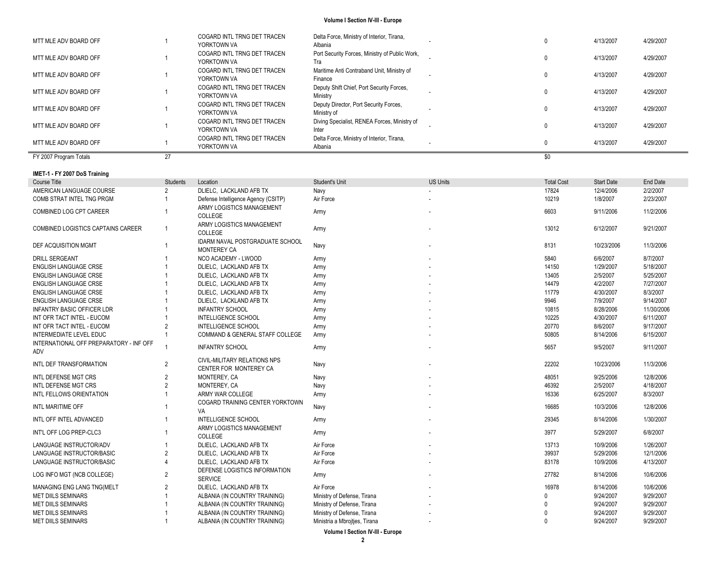| MTT MLE ADV BOARD OFF  |    | COGARD INTL TRNG DET TRACEN<br>YORKTOWN VA | Delta Force, Ministry of Interior, Tirana,<br>Albania |     | 4/13/2007 | 4/29/2007 |
|------------------------|----|--------------------------------------------|-------------------------------------------------------|-----|-----------|-----------|
| MTT MLE ADV BOARD OFF  |    | COGARD INTL TRNG DET TRACEN<br>YORKTOWN VA | Port Security Forces, Ministry of Public Work,<br>Tra |     | 4/13/2007 | 4/29/2007 |
| MTT MLE ADV BOARD OFF  |    | COGARD INTL TRNG DET TRACEN<br>YORKTOWN VA | Maritime Anti Contraband Unit, Ministry of<br>Finance |     | 4/13/2007 | 4/29/2007 |
| MTT MLE ADV BOARD OFF  |    | COGARD INTL TRNG DET TRACEN<br>YORKTOWN VA | Deputy Shift Chief, Port Security Forces,<br>Ministry |     | 4/13/2007 | 4/29/2007 |
| MTT MLE ADV BOARD OFF  |    | COGARD INTL TRNG DET TRACEN<br>YORKTOWN VA | Deputy Director, Port Security Forces,<br>Ministry of |     | 4/13/2007 | 4/29/2007 |
| MTT MLE ADV BOARD OFF  |    | COGARD INTL TRNG DET TRACEN<br>YORKTOWN VA | Diving Specialist, RENEA Forces, Ministry of<br>Inter |     | 4/13/2007 | 4/29/2007 |
| MTT MLE ADV BOARD OFF  |    | COGARD INTL TRNG DET TRACEN<br>YORKTOWN VA | Delta Force, Ministry of Interior, Tirana,<br>Albania |     | 4/13/2007 | 4/29/2007 |
| FY 2007 Program Totals | 27 |                                            |                                                       | \$0 |           |           |

#### **IMET -1 - FY 2007 DoS Training**

| 17824<br>12/4/2006<br>2/2/2007<br>AMERICAN LANGUAGE COURSE<br>DLIELC, LACKLAND AFB TX<br>$\overline{2}$<br>Navy<br>10219<br>1/8/2007<br>COMB STRAT INTEL TNG PRGM<br>Air Force<br>2/23/2007<br>Defense Intelligence Agency (CSITP)<br>ARMY LOGISTICS MANAGEMENT<br>6603<br>9/11/2006<br>11/2/2006<br>Army<br>COLLEGE<br>ARMY LOGISTICS MANAGEMENT<br>$\overline{1}$<br>13012<br>6/12/2007<br>9/21/2007<br>Army<br>COLLEGE<br>IDARM NAVAL POSTGRADUATE SCHOOL<br>Navy<br>8131<br>10/23/2006<br>11/3/2006<br><b>MONTEREY CA</b><br>NCO ACADEMY - LWOOD<br>5840<br>6/6/2007<br>8/7/2007<br>Army<br>14150<br>1/29/2007<br>5/18/2007<br>DLIELC, LACKLAND AFB TX<br>Army<br>13405<br>2/5/2007<br>5/25/2007<br>DLIELC, LACKLAND AFB TX<br>Army<br>14479<br>4/2/2007<br>7/27/2007<br>DLIELC, LACKLAND AFB TX<br>Army<br>11779<br>4/30/2007<br>8/3/2007<br>DLIELC, LACKLAND AFB TX<br>Army<br>9946<br>7/9/2007<br>9/14/2007<br>DLIELC, LACKLAND AFB TX<br>Army<br><b>INFANTRY SCHOOL</b><br>10815<br>8/28/2006<br>11/30/2006<br>Army<br>10225<br>4/30/2007<br>6/11/2007<br><b>INTELLIGENCE SCHOOL</b><br>Army<br>20770<br>8/6/2007<br>9/17/2007<br><b>INTELLIGENCE SCHOOL</b><br>2<br>Army<br>INTERMEDIATE LEVEL EDUC<br>50805<br>8/14/2006<br><b>COMMAND &amp; GENERAL STAFF COLLEGE</b><br>6/15/2007<br>Army<br>5657<br><b>INFANTRY SCHOOL</b><br>9/5/2007<br>9/11/2007<br>Army<br>CIVIL-MILITARY RELATIONS NPS<br>$\overline{2}$<br>22202<br>10/23/2006<br>11/3/2006<br>Navy<br>CENTER FOR MONTEREY CA<br>48051<br>$\overline{2}$<br>MONTEREY, CA<br>9/25/2006<br>12/8/2006<br>Navy<br>46392<br>MONTEREY, CA<br>2/5/2007<br>4/18/2007<br>Navy<br>ARMY WAR COLLEGE<br>16336<br>6/25/2007<br>8/3/2007<br>Army<br>COGARD TRAINING CENTER YORKTOWN<br>16685<br>10/3/2006<br>12/8/2006<br>Navy<br>VA<br><b>INTELLIGENCE SCHOOL</b><br>29345<br>8/14/2006<br>1/30/2007<br>Army<br>ARMY LOGISTICS MANAGEMENT<br>3977<br>5/29/2007<br>6/8/2007<br>Army<br>COLLEGE<br>DLIELC, LACKLAND AFB TX<br>Air Force<br>13713<br>10/9/2006<br>1/26/2007<br>39937<br>Air Force<br>5/29/2006<br>12/1/2006<br>2<br>DLIELC, LACKLAND AFB TX<br>Air Force<br>83178<br>10/9/2006<br>4/13/2007<br>DLIELC, LACKLAND AFB TX<br>DEFENSE LOGISTICS INFORMATION<br>27782<br>10/6/2006<br>2<br>8/14/2006<br>Army<br><b>SERVICE</b><br>$\overline{2}$<br>Air Force<br>16978<br>8/14/2006<br>10/6/2006<br>DLIELC, LACKLAND AFB TX<br>Ministry of Defense, Tirana<br>9/24/2007<br>9/29/2007<br>ALBANIA (IN COUNTRY TRAINING)<br>Ministry of Defense, Tirana<br>9/24/2007<br>9/29/2007<br>ALBANIA (IN COUNTRY TRAINING)<br>Ministry of Defense, Tirana<br>9/24/2007<br>9/29/2007<br>ALBANIA (IN COUNTRY TRAINING) |                                                |                 |                               |                               |                 |                   |                   |           |
|-------------------------------------------------------------------------------------------------------------------------------------------------------------------------------------------------------------------------------------------------------------------------------------------------------------------------------------------------------------------------------------------------------------------------------------------------------------------------------------------------------------------------------------------------------------------------------------------------------------------------------------------------------------------------------------------------------------------------------------------------------------------------------------------------------------------------------------------------------------------------------------------------------------------------------------------------------------------------------------------------------------------------------------------------------------------------------------------------------------------------------------------------------------------------------------------------------------------------------------------------------------------------------------------------------------------------------------------------------------------------------------------------------------------------------------------------------------------------------------------------------------------------------------------------------------------------------------------------------------------------------------------------------------------------------------------------------------------------------------------------------------------------------------------------------------------------------------------------------------------------------------------------------------------------------------------------------------------------------------------------------------------------------------------------------------------------------------------------------------------------------------------------------------------------------------------------------------------------------------------------------------------------------------------------------------------------------------------------------------------------------------------------------------------------------------------------------------------------------------------------------------------------------------------------------------------------------------------------------------------------------------------------------------------------|------------------------------------------------|-----------------|-------------------------------|-------------------------------|-----------------|-------------------|-------------------|-----------|
|                                                                                                                                                                                                                                                                                                                                                                                                                                                                                                                                                                                                                                                                                                                                                                                                                                                                                                                                                                                                                                                                                                                                                                                                                                                                                                                                                                                                                                                                                                                                                                                                                                                                                                                                                                                                                                                                                                                                                                                                                                                                                                                                                                                                                                                                                                                                                                                                                                                                                                                                                                                                                                                                         | Course Title                                   | <b>Students</b> | Location                      | Student's Unit                | <b>US Units</b> | <b>Total Cost</b> | <b>Start Date</b> | End Date  |
|                                                                                                                                                                                                                                                                                                                                                                                                                                                                                                                                                                                                                                                                                                                                                                                                                                                                                                                                                                                                                                                                                                                                                                                                                                                                                                                                                                                                                                                                                                                                                                                                                                                                                                                                                                                                                                                                                                                                                                                                                                                                                                                                                                                                                                                                                                                                                                                                                                                                                                                                                                                                                                                                         |                                                |                 |                               |                               |                 |                   |                   |           |
|                                                                                                                                                                                                                                                                                                                                                                                                                                                                                                                                                                                                                                                                                                                                                                                                                                                                                                                                                                                                                                                                                                                                                                                                                                                                                                                                                                                                                                                                                                                                                                                                                                                                                                                                                                                                                                                                                                                                                                                                                                                                                                                                                                                                                                                                                                                                                                                                                                                                                                                                                                                                                                                                         |                                                |                 |                               |                               |                 |                   |                   |           |
|                                                                                                                                                                                                                                                                                                                                                                                                                                                                                                                                                                                                                                                                                                                                                                                                                                                                                                                                                                                                                                                                                                                                                                                                                                                                                                                                                                                                                                                                                                                                                                                                                                                                                                                                                                                                                                                                                                                                                                                                                                                                                                                                                                                                                                                                                                                                                                                                                                                                                                                                                                                                                                                                         | COMBINED LOG CPT CAREER                        |                 |                               |                               |                 |                   |                   |           |
|                                                                                                                                                                                                                                                                                                                                                                                                                                                                                                                                                                                                                                                                                                                                                                                                                                                                                                                                                                                                                                                                                                                                                                                                                                                                                                                                                                                                                                                                                                                                                                                                                                                                                                                                                                                                                                                                                                                                                                                                                                                                                                                                                                                                                                                                                                                                                                                                                                                                                                                                                                                                                                                                         | COMBINED LOGISTICS CAPTAINS CAREER             |                 |                               |                               |                 |                   |                   |           |
|                                                                                                                                                                                                                                                                                                                                                                                                                                                                                                                                                                                                                                                                                                                                                                                                                                                                                                                                                                                                                                                                                                                                                                                                                                                                                                                                                                                                                                                                                                                                                                                                                                                                                                                                                                                                                                                                                                                                                                                                                                                                                                                                                                                                                                                                                                                                                                                                                                                                                                                                                                                                                                                                         | DEF ACQUISITION MGMT                           |                 |                               |                               |                 |                   |                   |           |
|                                                                                                                                                                                                                                                                                                                                                                                                                                                                                                                                                                                                                                                                                                                                                                                                                                                                                                                                                                                                                                                                                                                                                                                                                                                                                                                                                                                                                                                                                                                                                                                                                                                                                                                                                                                                                                                                                                                                                                                                                                                                                                                                                                                                                                                                                                                                                                                                                                                                                                                                                                                                                                                                         | <b>DRILL SERGEANT</b>                          |                 |                               |                               |                 |                   |                   |           |
|                                                                                                                                                                                                                                                                                                                                                                                                                                                                                                                                                                                                                                                                                                                                                                                                                                                                                                                                                                                                                                                                                                                                                                                                                                                                                                                                                                                                                                                                                                                                                                                                                                                                                                                                                                                                                                                                                                                                                                                                                                                                                                                                                                                                                                                                                                                                                                                                                                                                                                                                                                                                                                                                         | <b>ENGLISH LANGUAGE CRSE</b>                   |                 |                               |                               |                 |                   |                   |           |
|                                                                                                                                                                                                                                                                                                                                                                                                                                                                                                                                                                                                                                                                                                                                                                                                                                                                                                                                                                                                                                                                                                                                                                                                                                                                                                                                                                                                                                                                                                                                                                                                                                                                                                                                                                                                                                                                                                                                                                                                                                                                                                                                                                                                                                                                                                                                                                                                                                                                                                                                                                                                                                                                         | <b>ENGLISH LANGUAGE CRSE</b>                   |                 |                               |                               |                 |                   |                   |           |
|                                                                                                                                                                                                                                                                                                                                                                                                                                                                                                                                                                                                                                                                                                                                                                                                                                                                                                                                                                                                                                                                                                                                                                                                                                                                                                                                                                                                                                                                                                                                                                                                                                                                                                                                                                                                                                                                                                                                                                                                                                                                                                                                                                                                                                                                                                                                                                                                                                                                                                                                                                                                                                                                         | <b>ENGLISH LANGUAGE CRSE</b>                   |                 |                               |                               |                 |                   |                   |           |
|                                                                                                                                                                                                                                                                                                                                                                                                                                                                                                                                                                                                                                                                                                                                                                                                                                                                                                                                                                                                                                                                                                                                                                                                                                                                                                                                                                                                                                                                                                                                                                                                                                                                                                                                                                                                                                                                                                                                                                                                                                                                                                                                                                                                                                                                                                                                                                                                                                                                                                                                                                                                                                                                         | <b>ENGLISH LANGUAGE CRSE</b>                   |                 |                               |                               |                 |                   |                   |           |
|                                                                                                                                                                                                                                                                                                                                                                                                                                                                                                                                                                                                                                                                                                                                                                                                                                                                                                                                                                                                                                                                                                                                                                                                                                                                                                                                                                                                                                                                                                                                                                                                                                                                                                                                                                                                                                                                                                                                                                                                                                                                                                                                                                                                                                                                                                                                                                                                                                                                                                                                                                                                                                                                         | <b>ENGLISH LANGUAGE CRSE</b>                   |                 |                               |                               |                 |                   |                   |           |
|                                                                                                                                                                                                                                                                                                                                                                                                                                                                                                                                                                                                                                                                                                                                                                                                                                                                                                                                                                                                                                                                                                                                                                                                                                                                                                                                                                                                                                                                                                                                                                                                                                                                                                                                                                                                                                                                                                                                                                                                                                                                                                                                                                                                                                                                                                                                                                                                                                                                                                                                                                                                                                                                         | <b>INFANTRY BASIC OFFICER LDR</b>              |                 |                               |                               |                 |                   |                   |           |
|                                                                                                                                                                                                                                                                                                                                                                                                                                                                                                                                                                                                                                                                                                                                                                                                                                                                                                                                                                                                                                                                                                                                                                                                                                                                                                                                                                                                                                                                                                                                                                                                                                                                                                                                                                                                                                                                                                                                                                                                                                                                                                                                                                                                                                                                                                                                                                                                                                                                                                                                                                                                                                                                         | INT OFR TACT INTEL - EUCOM                     |                 |                               |                               |                 |                   |                   |           |
|                                                                                                                                                                                                                                                                                                                                                                                                                                                                                                                                                                                                                                                                                                                                                                                                                                                                                                                                                                                                                                                                                                                                                                                                                                                                                                                                                                                                                                                                                                                                                                                                                                                                                                                                                                                                                                                                                                                                                                                                                                                                                                                                                                                                                                                                                                                                                                                                                                                                                                                                                                                                                                                                         | INT OFR TACT INTEL - EUCOM                     |                 |                               |                               |                 |                   |                   |           |
|                                                                                                                                                                                                                                                                                                                                                                                                                                                                                                                                                                                                                                                                                                                                                                                                                                                                                                                                                                                                                                                                                                                                                                                                                                                                                                                                                                                                                                                                                                                                                                                                                                                                                                                                                                                                                                                                                                                                                                                                                                                                                                                                                                                                                                                                                                                                                                                                                                                                                                                                                                                                                                                                         |                                                |                 |                               |                               |                 |                   |                   |           |
|                                                                                                                                                                                                                                                                                                                                                                                                                                                                                                                                                                                                                                                                                                                                                                                                                                                                                                                                                                                                                                                                                                                                                                                                                                                                                                                                                                                                                                                                                                                                                                                                                                                                                                                                                                                                                                                                                                                                                                                                                                                                                                                                                                                                                                                                                                                                                                                                                                                                                                                                                                                                                                                                         | INTERNATIONAL OFF PREPARATORY - INF OFF<br>ADV |                 |                               |                               |                 |                   |                   |           |
|                                                                                                                                                                                                                                                                                                                                                                                                                                                                                                                                                                                                                                                                                                                                                                                                                                                                                                                                                                                                                                                                                                                                                                                                                                                                                                                                                                                                                                                                                                                                                                                                                                                                                                                                                                                                                                                                                                                                                                                                                                                                                                                                                                                                                                                                                                                                                                                                                                                                                                                                                                                                                                                                         | INTL DEF TRANSFORMATION                        |                 |                               |                               |                 |                   |                   |           |
|                                                                                                                                                                                                                                                                                                                                                                                                                                                                                                                                                                                                                                                                                                                                                                                                                                                                                                                                                                                                                                                                                                                                                                                                                                                                                                                                                                                                                                                                                                                                                                                                                                                                                                                                                                                                                                                                                                                                                                                                                                                                                                                                                                                                                                                                                                                                                                                                                                                                                                                                                                                                                                                                         | INTL DEFENSE MGT CRS                           |                 |                               |                               |                 |                   |                   |           |
|                                                                                                                                                                                                                                                                                                                                                                                                                                                                                                                                                                                                                                                                                                                                                                                                                                                                                                                                                                                                                                                                                                                                                                                                                                                                                                                                                                                                                                                                                                                                                                                                                                                                                                                                                                                                                                                                                                                                                                                                                                                                                                                                                                                                                                                                                                                                                                                                                                                                                                                                                                                                                                                                         | INTL DEFENSE MGT CRS                           |                 |                               |                               |                 |                   |                   |           |
|                                                                                                                                                                                                                                                                                                                                                                                                                                                                                                                                                                                                                                                                                                                                                                                                                                                                                                                                                                                                                                                                                                                                                                                                                                                                                                                                                                                                                                                                                                                                                                                                                                                                                                                                                                                                                                                                                                                                                                                                                                                                                                                                                                                                                                                                                                                                                                                                                                                                                                                                                                                                                                                                         | INTL FELLOWS ORIENTATION                       |                 |                               |                               |                 |                   |                   |           |
|                                                                                                                                                                                                                                                                                                                                                                                                                                                                                                                                                                                                                                                                                                                                                                                                                                                                                                                                                                                                                                                                                                                                                                                                                                                                                                                                                                                                                                                                                                                                                                                                                                                                                                                                                                                                                                                                                                                                                                                                                                                                                                                                                                                                                                                                                                                                                                                                                                                                                                                                                                                                                                                                         | INTL MARITIME OFF                              |                 |                               |                               |                 |                   |                   |           |
|                                                                                                                                                                                                                                                                                                                                                                                                                                                                                                                                                                                                                                                                                                                                                                                                                                                                                                                                                                                                                                                                                                                                                                                                                                                                                                                                                                                                                                                                                                                                                                                                                                                                                                                                                                                                                                                                                                                                                                                                                                                                                                                                                                                                                                                                                                                                                                                                                                                                                                                                                                                                                                                                         | INTL OFF INTEL ADVANCED                        |                 |                               |                               |                 |                   |                   |           |
|                                                                                                                                                                                                                                                                                                                                                                                                                                                                                                                                                                                                                                                                                                                                                                                                                                                                                                                                                                                                                                                                                                                                                                                                                                                                                                                                                                                                                                                                                                                                                                                                                                                                                                                                                                                                                                                                                                                                                                                                                                                                                                                                                                                                                                                                                                                                                                                                                                                                                                                                                                                                                                                                         | INT'L OFF LOG PREP-CLC3                        |                 |                               |                               |                 |                   |                   |           |
|                                                                                                                                                                                                                                                                                                                                                                                                                                                                                                                                                                                                                                                                                                                                                                                                                                                                                                                                                                                                                                                                                                                                                                                                                                                                                                                                                                                                                                                                                                                                                                                                                                                                                                                                                                                                                                                                                                                                                                                                                                                                                                                                                                                                                                                                                                                                                                                                                                                                                                                                                                                                                                                                         | LANGUAGE INSTRUCTOR/ADV                        |                 |                               |                               |                 |                   |                   |           |
|                                                                                                                                                                                                                                                                                                                                                                                                                                                                                                                                                                                                                                                                                                                                                                                                                                                                                                                                                                                                                                                                                                                                                                                                                                                                                                                                                                                                                                                                                                                                                                                                                                                                                                                                                                                                                                                                                                                                                                                                                                                                                                                                                                                                                                                                                                                                                                                                                                                                                                                                                                                                                                                                         | LANGUAGE INSTRUCTOR/BASIC                      |                 |                               |                               |                 |                   |                   |           |
|                                                                                                                                                                                                                                                                                                                                                                                                                                                                                                                                                                                                                                                                                                                                                                                                                                                                                                                                                                                                                                                                                                                                                                                                                                                                                                                                                                                                                                                                                                                                                                                                                                                                                                                                                                                                                                                                                                                                                                                                                                                                                                                                                                                                                                                                                                                                                                                                                                                                                                                                                                                                                                                                         | LANGUAGE INSTRUCTOR/BASIC                      |                 |                               |                               |                 |                   |                   |           |
|                                                                                                                                                                                                                                                                                                                                                                                                                                                                                                                                                                                                                                                                                                                                                                                                                                                                                                                                                                                                                                                                                                                                                                                                                                                                                                                                                                                                                                                                                                                                                                                                                                                                                                                                                                                                                                                                                                                                                                                                                                                                                                                                                                                                                                                                                                                                                                                                                                                                                                                                                                                                                                                                         | LOG INFO MGT (NCB COLLEGE)                     |                 |                               |                               |                 |                   |                   |           |
|                                                                                                                                                                                                                                                                                                                                                                                                                                                                                                                                                                                                                                                                                                                                                                                                                                                                                                                                                                                                                                                                                                                                                                                                                                                                                                                                                                                                                                                                                                                                                                                                                                                                                                                                                                                                                                                                                                                                                                                                                                                                                                                                                                                                                                                                                                                                                                                                                                                                                                                                                                                                                                                                         | MANAGING ENG LANG TNG(MELT                     |                 |                               |                               |                 |                   |                   |           |
|                                                                                                                                                                                                                                                                                                                                                                                                                                                                                                                                                                                                                                                                                                                                                                                                                                                                                                                                                                                                                                                                                                                                                                                                                                                                                                                                                                                                                                                                                                                                                                                                                                                                                                                                                                                                                                                                                                                                                                                                                                                                                                                                                                                                                                                                                                                                                                                                                                                                                                                                                                                                                                                                         | <b>MET DIILS SEMINARS</b>                      |                 |                               |                               |                 |                   |                   |           |
|                                                                                                                                                                                                                                                                                                                                                                                                                                                                                                                                                                                                                                                                                                                                                                                                                                                                                                                                                                                                                                                                                                                                                                                                                                                                                                                                                                                                                                                                                                                                                                                                                                                                                                                                                                                                                                                                                                                                                                                                                                                                                                                                                                                                                                                                                                                                                                                                                                                                                                                                                                                                                                                                         | <b>MET DIILS SEMINARS</b>                      |                 |                               |                               |                 |                   |                   |           |
|                                                                                                                                                                                                                                                                                                                                                                                                                                                                                                                                                                                                                                                                                                                                                                                                                                                                                                                                                                                                                                                                                                                                                                                                                                                                                                                                                                                                                                                                                                                                                                                                                                                                                                                                                                                                                                                                                                                                                                                                                                                                                                                                                                                                                                                                                                                                                                                                                                                                                                                                                                                                                                                                         | <b>MET DIILS SEMINARS</b>                      |                 |                               |                               |                 |                   |                   |           |
|                                                                                                                                                                                                                                                                                                                                                                                                                                                                                                                                                                                                                                                                                                                                                                                                                                                                                                                                                                                                                                                                                                                                                                                                                                                                                                                                                                                                                                                                                                                                                                                                                                                                                                                                                                                                                                                                                                                                                                                                                                                                                                                                                                                                                                                                                                                                                                                                                                                                                                                                                                                                                                                                         | <b>MET DIILS SEMINARS</b>                      |                 | ALBANIA (IN COUNTRY TRAINING) | Ministria a Mbrojtjes, Tirana |                 |                   | 9/24/2007         | 9/29/2007 |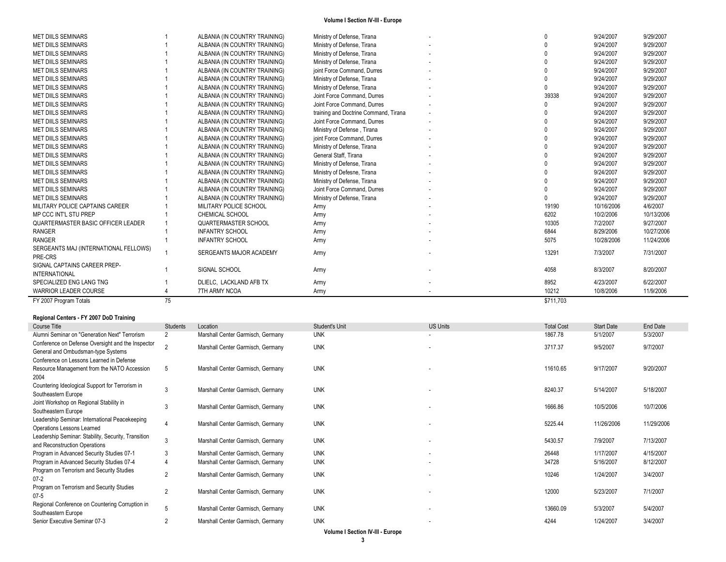| FY 2007 Program Totals                | 75 |                               |                                       | \$711,703 |            |            |
|---------------------------------------|----|-------------------------------|---------------------------------------|-----------|------------|------------|
| <b>WARRIOR LEADER COURSE</b>          |    | 7TH ARMY NCOA                 | Army                                  | 10212     | 10/8/2006  | 11/9/2006  |
| SPECIALIZED ENG LANG TNG              |    | DLIELC, LACKLAND AFB TX       | Army                                  | 8952      | 4/23/2007  | 6/22/2007  |
| <b>INTERNATIONAL</b>                  |    |                               |                                       |           |            |            |
| SIGNAL CAPTAINS CAREER PREP-          |    | SIGNAL SCHOOL                 | Army                                  | 4058      | 8/3/2007   | 8/20/2007  |
| PRE-CRS                               |    | SERGEANTS MAJOR ACADEMY       | Army                                  |           |            | 7/31/2007  |
| SERGEANTS MAJ (INTERNATIONAL FELLOWS) |    |                               |                                       | 13291     | 7/3/2007   |            |
| <b>RANGER</b>                         |    | <b>INFANTRY SCHOOL</b>        | Army                                  | 5075      | 10/28/2006 | 11/24/2006 |
| <b>RANGER</b>                         |    | <b>INFANTRY SCHOOL</b>        | Army                                  | 6844      | 8/29/2006  | 10/27/2006 |
| QUARTERMASTER BASIC OFFICER LEADER    |    | QUARTERMASTER SCHOOL          | Army                                  | 10305     | 7/2/2007   | 9/27/2007  |
| MP CCC INT'L STU PREP                 |    | <b>CHEMICAL SCHOOL</b>        | Army                                  | 6202      | 10/2/2006  | 10/13/2006 |
| MILITARY POLICE CAPTAINS CAREER       |    | MILITARY POLICE SCHOOL        | Army                                  | 19190     | 10/16/2006 | 4/6/2007   |
| <b>MET DIILS SEMINARS</b>             |    | ALBANIA (IN COUNTRY TRAINING) | Ministry of Defense, Tirana           |           | 9/24/2007  | 9/29/2007  |
| <b>MET DIILS SEMINARS</b>             |    | ALBANIA (IN COUNTRY TRAINING) | Joint Force Command, Durres           |           | 9/24/2007  | 9/29/2007  |
| <b>MET DIILS SEMINARS</b>             |    | ALBANIA (IN COUNTRY TRAINING) | Ministry of Defense, Tirana           |           | 9/24/2007  | 9/29/2007  |
| <b>MET DIILS SEMINARS</b>             |    | ALBANIA (IN COUNTRY TRAINING) | Ministry of Defesne, Tirana           |           | 9/24/2007  | 9/29/2007  |
| <b>MET DIILS SEMINARS</b>             |    | ALBANIA (IN COUNTRY TRAINING) | Ministry of Defense, Tirana           |           | 9/24/2007  | 9/29/2007  |
| <b>MET DIILS SEMINARS</b>             |    | ALBANIA (IN COUNTRY TRAINING) | General Staff, Tirana                 |           | 9/24/2007  | 9/29/2007  |
| <b>MET DIILS SEMINARS</b>             |    | ALBANIA (IN COUNTRY TRAINING) | Ministry of Defense, Tirana           |           | 9/24/2007  | 9/29/2007  |
| <b>MET DIILS SEMINARS</b>             |    | ALBANIA (IN COUNTRY TRAINING) | joint Force Command, Durres           |           | 9/24/2007  | 9/29/2007  |
| <b>MET DIILS SEMINARS</b>             |    | ALBANIA (IN COUNTRY TRAINING) | Ministry of Defense, Tirana           |           | 9/24/2007  | 9/29/2007  |
| <b>MET DIILS SEMINARS</b>             |    | ALBANIA (IN COUNTRY TRAINING) | Joint Force Command, Durres           |           | 9/24/2007  | 9/29/2007  |
| <b>MET DIILS SEMINARS</b>             |    | ALBANIA (IN COUNTRY TRAINING) | training and Doctrine Command, Tirana |           | 9/24/2007  | 9/29/2007  |
| <b>MET DIILS SEMINARS</b>             |    | ALBANIA (IN COUNTRY TRAINING) | Joint Force Command, Durres           |           | 9/24/2007  | 9/29/2007  |
| <b>MET DIILS SEMINARS</b>             |    | ALBANIA (IN COUNTRY TRAINING) | Joint Force Command, Durres           | 39338     | 9/24/2007  | 9/29/2007  |
| <b>MET DIILS SEMINARS</b>             |    | ALBANIA (IN COUNTRY TRAINING) | Ministry of Defense, Tirana           |           | 9/24/2007  | 9/29/2007  |
| <b>MET DIILS SEMINARS</b>             |    | ALBANIA (IN COUNTRY TRAINING) | Ministry of Defense, Tirana           |           | 9/24/2007  | 9/29/2007  |
| <b>MET DIILS SEMINARS</b>             |    | ALBANIA (IN COUNTRY TRAINING) | joint Force Command, Durres           |           | 9/24/2007  | 9/29/2007  |
| <b>MET DIILS SEMINARS</b>             |    | ALBANIA (IN COUNTRY TRAINING) | Ministry of Defense, Tirana           |           | 9/24/2007  | 9/29/2007  |
| <b>MET DIILS SEMINARS</b>             |    | ALBANIA (IN COUNTRY TRAINING) | Ministry of Defense, Tirana           |           | 9/24/2007  | 9/29/2007  |
| <b>MET DIILS SEMINARS</b>             |    | ALBANIA (IN COUNTRY TRAINING) | Ministry of Defense, Tirana           |           | 9/24/2007  | 9/29/2007  |
| <b>MET DIILS SEMINARS</b>             |    | ALBANIA (IN COUNTRY TRAINING) | Ministry of Defense, Tirana           |           | 9/24/2007  | 9/29/2007  |

#### **Regional Centers - FY 2007 DoD Training**

| Course Title                                                   | Students       | Location                          | Student's Unit | <b>US Units</b> | <b>Total Cost</b> | <b>Start Date</b> | End Date   |
|----------------------------------------------------------------|----------------|-----------------------------------|----------------|-----------------|-------------------|-------------------|------------|
| Alumni Seminar on "Generation Next" Terrorism                  | 2              | Marshall Center Garmisch, Germany | <b>UNK</b>     |                 | 1867.78           | 5/1/2007          | 5/3/2007   |
| Conference on Defense Oversight and the Inspector              |                | Marshall Center Garmisch, Germany | <b>UNK</b>     |                 | 3717.37           | 9/5/2007          | 9/7/2007   |
| General and Ombudsman-type Systems                             |                |                                   |                |                 |                   |                   |            |
| Conference on Lessons Learned in Defense                       |                |                                   |                |                 |                   |                   |            |
| Resource Management from the NATO Accession                    | 5              | Marshall Center Garmisch, Germany | <b>UNK</b>     | $\sim$          | 11610.65          | 9/17/2007         | 9/20/2007  |
| 2004                                                           |                |                                   |                |                 |                   |                   |            |
| Countering Ideological Support for Terrorism in                | 3              | Marshall Center Garmisch, Germany | <b>UNK</b>     |                 | 8240.37           | 5/14/2007         | 5/18/2007  |
| Southeastern Europe                                            |                |                                   |                |                 |                   |                   |            |
| Joint Workshop on Regional Stability in<br>Southeastern Europe | 3              | Marshall Center Garmisch, Germany | <b>UNK</b>     |                 | 1666.86           | 10/5/2006         | 10/7/2006  |
| Leadership Seminar: International Peacekeeping                 |                |                                   |                |                 |                   |                   |            |
| Operations Lessons Learned                                     |                | Marshall Center Garmisch, Germany | <b>UNK</b>     |                 | 5225.44           | 11/26/2006        | 11/29/2006 |
| Leadership Seminar: Stability, Security, Transition            |                |                                   |                |                 |                   |                   |            |
| and Reconstruction Operations                                  | 3              | Marshall Center Garmisch, Germany | <b>UNK</b>     | $\sim$          | 5430.57           | 7/9/2007          | 7/13/2007  |
| Program in Advanced Security Studies 07-1                      | 3              | Marshall Center Garmisch, Germany | <b>UNK</b>     |                 | 26448             | 1/17/2007         | 4/15/2007  |
| Program in Advanced Security Studies 07-4                      |                | Marshall Center Garmisch, Germany | <b>UNK</b>     |                 | 34728             | 5/16/2007         | 8/12/2007  |
| Program on Terrorism and Security Studies                      | $\overline{2}$ | Marshall Center Garmisch, Germany | <b>UNK</b>     |                 | 10246             | 1/24/2007         | 3/4/2007   |
| $07 - 2$                                                       |                |                                   |                |                 |                   |                   |            |
| Program on Terrorism and Security Studies                      | $\overline{2}$ | Marshall Center Garmisch, Germany | <b>UNK</b>     |                 | 12000             | 5/23/2007         | 7/1/2007   |
| $07 - 5$                                                       |                |                                   |                |                 |                   |                   |            |
| Regional Conference on Countering Corruption in                | 5              | Marshall Center Garmisch, Germany | <b>UNK</b>     |                 | 13660.09          | 5/3/2007          | 5/4/2007   |
| Southeastern Europe                                            |                |                                   |                |                 |                   |                   |            |
| Senior Executive Seminar 07-3                                  | $\overline{2}$ | Marshall Center Garmisch, Germany | <b>UNK</b>     |                 | 4244              | 1/24/2007         | 3/4/2007   |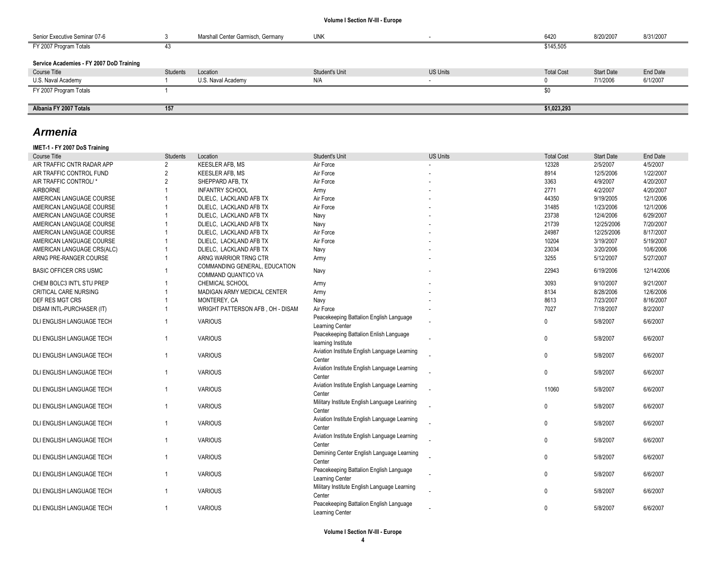| Senior Executive Seminar 07-6            |          | Marshall Center Garmisch, Germany | <b>UNK</b>     |                 | 6420              | 8/20/2007         | 8/31/2007 |
|------------------------------------------|----------|-----------------------------------|----------------|-----------------|-------------------|-------------------|-----------|
| FY 2007 Program Totals                   | 43       |                                   |                |                 | \$145,505         |                   |           |
| Service Academies - FY 2007 DoD Training |          |                                   |                |                 |                   |                   |           |
| Course Title                             | Students | Location                          | Student's Unit | <b>US Units</b> | <b>Total Cost</b> | <b>Start Date</b> | End Date  |
| U.S. Naval Academy                       |          | U.S. Naval Academy                | N/A            |                 |                   | 7/1/2006          | 6/1/2007  |
| FY 2007 Program Totals                   |          |                                   |                |                 | \$0               |                   |           |
|                                          |          |                                   |                |                 |                   |                   |           |
| Albania FY 2007 Totals                   | 157      |                                   |                |                 | \$1,023,293       |                   |           |

## *Armenia*

## **IMET-1 - FY 2007 DoS Training**

| <b>Course Title</b>           | <b>Students</b> | Location                                             | Student's Unit                                               | <b>US Units</b> | <b>Total Cost</b> | <b>Start Date</b> | End Date   |
|-------------------------------|-----------------|------------------------------------------------------|--------------------------------------------------------------|-----------------|-------------------|-------------------|------------|
| AIR TRAFFIC CNTR RADAR APP    | $\overline{2}$  | <b>KEESLER AFB, MS</b>                               | Air Force                                                    |                 | 12328             | 2/5/2007          | 4/5/2007   |
| AIR TRAFFIC CONTROL FUND      | $\overline{2}$  | <b>KEESLER AFB, MS</b>                               | Air Force                                                    |                 | 8914              | 12/5/2006         | 1/22/2007  |
| AIR TRAFFIC CONTROL/*         | $\overline{2}$  | SHEPPARD AFB. TX                                     | Air Force                                                    |                 | 3363              | 4/9/2007          | 4/20/2007  |
| <b>AIRBORNE</b>               |                 | <b>INFANTRY SCHOOL</b>                               | Army                                                         |                 | 2771              | 4/2/2007          | 4/20/2007  |
| AMERICAN LANGUAGE COURSE      |                 | DLIELC. LACKLAND AFB TX                              | Air Force                                                    |                 | 44350             | 9/19/2005         | 12/1/2006  |
| AMERICAN LANGUAGE COURSE      |                 | DLIELC, LACKLAND AFB TX                              | Air Force                                                    |                 | 31485             | 1/23/2006         | 12/1/2006  |
| AMERICAN LANGUAGE COURSE      |                 | DLIELC. LACKLAND AFB TX                              | Navy                                                         |                 | 23738             | 12/4/2006         | 6/29/2007  |
| AMERICAN LANGUAGE COURSE      |                 | DLIELC, LACKLAND AFB TX                              | Navy                                                         |                 | 21739             | 12/25/2006        | 7/20/2007  |
| AMERICAN LANGUAGE COURSE      |                 | DLIELC, LACKLAND AFB TX                              | Air Force                                                    |                 | 24987             | 12/25/2006        | 8/17/2007  |
| AMERICAN LANGUAGE COURSE      |                 | DLIELC, LACKLAND AFB TX                              | Air Force                                                    |                 | 10204             | 3/19/2007         | 5/19/2007  |
| AMERICAN LANGUAGE CRS(ALC)    |                 | DLIELC, LACKLAND AFB TX                              | Navy                                                         |                 | 23034             | 3/20/2006         | 10/6/2006  |
| ARNG PRE-RANGER COURSE        |                 | ARNG WARRIOR TRNG CTR                                | Army                                                         |                 | 3255              | 5/12/2007         | 5/27/2007  |
| <b>BASIC OFFICER CRS USMC</b> |                 | COMMANDING GENERAL, EDUCATION<br>COMMAND QUANTICO VA | Navy                                                         |                 | 22943             | 6/19/2006         | 12/14/2006 |
| CHEM BOLC3 INT'L STU PREP     |                 | <b>CHEMICAL SCHOOL</b>                               | Army                                                         |                 | 3093              | 9/10/2007         | 9/21/2007  |
| <b>CRITICAL CARE NURSING</b>  |                 | MADIGAN ARMY MEDICAL CENTER                          | Army                                                         |                 | 8134              | 8/28/2006         | 12/6/2006  |
| DEF RES MGT CRS               |                 | MONTEREY, CA                                         | Navy                                                         |                 | 8613              | 7/23/2007         | 8/16/2007  |
| DISAM INTL-PURCHASER (IT)     |                 | WRIGHT PATTERSON AFB, OH - DISAM                     | Air Force                                                    |                 | 7027              | 7/18/2007         | 8/2/2007   |
| DLI ENGLISH LANGUAGE TECH     | $\overline{1}$  | <b>VARIOUS</b>                                       | Peacekeeping Battalion English Language<br>Learning Center   |                 | 0                 | 5/8/2007          | 6/6/2007   |
| DLI ENGLISH LANGUAGE TECH     | $\overline{1}$  | <b>VARIOUS</b>                                       | Peacekeeping Battalion Enlish Language<br>learning Institute |                 | 0                 | 5/8/2007          | 6/6/2007   |
| DLI ENGLISH LANGUAGE TECH     | $\overline{1}$  | <b>VARIOUS</b>                                       | Aviation Institute English Language Learning<br>Center       |                 | 0                 | 5/8/2007          | 6/6/2007   |
| DLI ENGLISH LANGUAGE TECH     | $\overline{1}$  | <b>VARIOUS</b>                                       | Aviation Institute English Language Learning<br>Center       |                 | $\mathbf{0}$      | 5/8/2007          | 6/6/2007   |
| DLI ENGLISH LANGUAGE TECH     | $\overline{1}$  | <b>VARIOUS</b>                                       | Aviation Institute English Language Learning<br>Center       |                 | 11060             | 5/8/2007          | 6/6/2007   |
| DLI ENGLISH LANGUAGE TECH     | $\overline{1}$  | <b>VARIOUS</b>                                       | Military Institute English Language Learining<br>Center      |                 | $\mathbf{0}$      | 5/8/2007          | 6/6/2007   |
| DLI ENGLISH LANGUAGE TECH     | $\overline{1}$  | <b>VARIOUS</b>                                       | Aviation Institute English Language Learning<br>Center       |                 | 0                 | 5/8/2007          | 6/6/2007   |
| DLI ENGLISH LANGUAGE TECH     | $\overline{1}$  | <b>VARIOUS</b>                                       | Aviation Institute English Language Learning<br>Center       |                 | $\mathbf{0}$      | 5/8/2007          | 6/6/2007   |
| DLI ENGLISH LANGUAGE TECH     | $\overline{1}$  | <b>VARIOUS</b>                                       | Demining Center English Language Learning<br>Center          |                 | $\mathbf{0}$      | 5/8/2007          | 6/6/2007   |
| DLI ENGLISH LANGUAGE TECH     | $\overline{1}$  | <b>VARIOUS</b>                                       | Peacekeeping Battalion English Language<br>Learning Center   |                 | $\mathbf{0}$      | 5/8/2007          | 6/6/2007   |
| DLI ENGLISH LANGUAGE TECH     |                 | <b>VARIOUS</b>                                       | Military Institute English Language Learning<br>Center       |                 | 0                 | 5/8/2007          | 6/6/2007   |
| DLI ENGLISH LANGUAGE TECH     | $\overline{1}$  | <b>VARIOUS</b>                                       | Peacekeeping Battalion English Language<br>Learning Center   |                 | 0                 | 5/8/2007          | 6/6/2007   |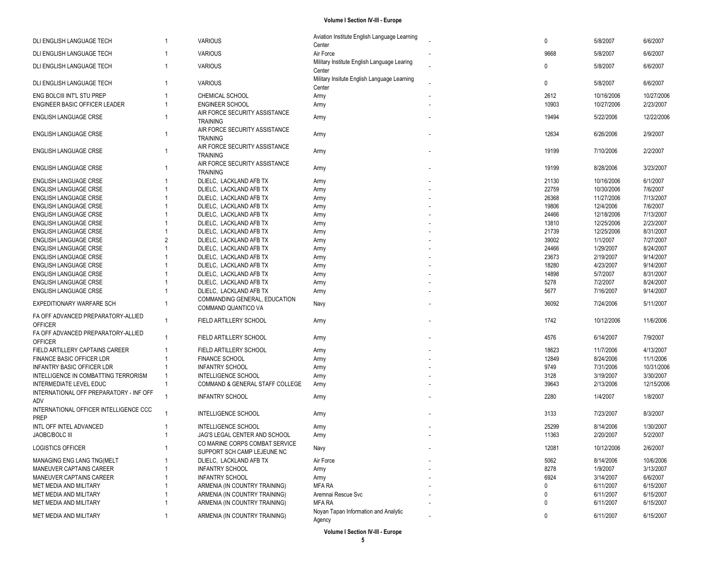| DLI ENGLISH LANGUAGE TECH               | -1             | <b>VARIOUS</b>                                   | Aviation Institute English Language Learning          | $\mathbf 0$  | 5/8/2007   | 6/6/2007   |
|-----------------------------------------|----------------|--------------------------------------------------|-------------------------------------------------------|--------------|------------|------------|
|                                         |                |                                                  | Center                                                |              |            |            |
| DLI ENGLISH LANGUAGE TECH               |                | <b>VARIOUS</b>                                   | Air Force                                             | 9668         | 5/8/2007   | 6/6/2007   |
| DLI ENGLISH LANGUAGE TECH               | -1             | <b>VARIOUS</b>                                   | Military Institute English Language Learing<br>Center | $\mathbf 0$  | 5/8/2007   | 6/6/2007   |
| DLI ENGLISH LANGUAGE TECH               | -1             | <b>VARIOUS</b>                                   | Military Insitute English Language Learning<br>Center | 0            | 5/8/2007   | 6/6/2007   |
| ENG BOLCIII INT'L STU PREP              |                | CHEMICAL SCHOOL                                  | Army                                                  | 2612         | 10/16/2006 | 10/27/2006 |
| ENGINEER BASIC OFFICER LEADER           |                | <b>ENGINEER SCHOOL</b>                           | Army                                                  | 10903        | 10/27/2006 | 2/23/2007  |
|                                         |                | AIR FORCE SECURITY ASSISTANCE                    |                                                       | 19494        |            |            |
| <b>ENGLISH LANGUAGE CRSE</b>            |                | <b>TRAINING</b>                                  | Army                                                  |              | 5/22/2006  | 12/22/2006 |
|                                         |                | AIR FORCE SECURITY ASSISTANCE                    |                                                       |              |            |            |
| ENGLISH LANGUAGE CRSE                   | 1              | <b>TRAINING</b>                                  | Army                                                  | 12634        | 6/26/2006  | 2/9/2007   |
| <b>ENGLISH LANGUAGE CRSE</b>            |                | AIR FORCE SECURITY ASSISTANCE<br><b>TRAINING</b> | Army                                                  | 19199        | 7/10/2006  | 2/2/2007   |
|                                         |                | AIR FORCE SECURITY ASSISTANCE                    |                                                       |              |            |            |
| <b>ENGLISH LANGUAGE CRSE</b>            |                | <b>TRAINING</b>                                  | Army                                                  | 19199        | 8/28/2006  | 3/23/2007  |
| <b>ENGLISH LANGUAGE CRSE</b>            |                | DLIELC, LACKLAND AFB TX                          | Army                                                  | 21130        | 10/16/2006 | 6/1/2007   |
| <b>ENGLISH LANGUAGE CRSE</b>            |                | DLIELC, LACKLAND AFB TX                          | Army                                                  | 22759        | 10/30/2006 | 7/6/2007   |
| <b>ENGLISH LANGUAGE CRSE</b>            |                | DLIELC, LACKLAND AFB TX                          | Army                                                  | 26368        | 11/27/2006 | 7/13/2007  |
| <b>ENGLISH LANGUAGE CRSE</b>            |                | DLIELC, LACKLAND AFB TX                          | Army                                                  | 19806        | 12/4/2006  | 7/6/2007   |
| <b>ENGLISH LANGUAGE CRSE</b>            |                | DLIELC. LACKLAND AFB TX                          | Army                                                  | 24466        | 12/18/2006 | 7/13/2007  |
| <b>ENGLISH LANGUAGE CRSE</b>            |                | DLIELC, LACKLAND AFB TX                          | Army                                                  | 13810        | 12/25/2006 | 2/23/2007  |
| <b>ENGLISH LANGUAGE CRSE</b>            |                | DLIELC, LACKLAND AFB TX                          | Army                                                  | 21739        | 12/25/2006 | 8/31/2007  |
| <b>ENGLISH LANGUAGE CRSE</b>            | $\overline{2}$ | DLIELC, LACKLAND AFB TX                          | Army                                                  | 39002        | 1/1/2007   | 7/27/2007  |
| ENGLISH LANGUAGE CRSE                   |                | DLIELC, LACKLAND AFB TX                          | Army                                                  | 24466        | 1/29/2007  | 8/24/2007  |
| <b>ENGLISH LANGUAGE CRSE</b>            |                | DLIELC, LACKLAND AFB TX                          | Army                                                  | 23673        | 2/19/2007  | 9/14/2007  |
| <b>ENGLISH LANGUAGE CRSE</b>            |                | DLIELC, LACKLAND AFB TX                          | Army                                                  | 18280        | 4/23/2007  | 9/14/2007  |
| <b>ENGLISH LANGUAGE CRSE</b>            |                | DLIELC, LACKLAND AFB TX                          | Army                                                  | 14898        | 5/7/2007   | 8/31/2007  |
| ENGLISH LANGUAGE CRSE                   |                | DLIELC, LACKLAND AFB TX                          | Army                                                  | 5278         | 7/2/2007   | 8/24/2007  |
| <b>ENGLISH LANGUAGE CRSE</b>            |                | DLIELC, LACKLAND AFB TX                          | Army                                                  | 5677         | 7/16/2007  | 9/14/2007  |
|                                         |                | COMMANDING GENERAL, EDUCATION                    |                                                       |              |            |            |
| EXPEDITIONARY WARFARE SCH               |                | COMMAND QUANTICO VA                              | Navy                                                  | 36092        | 7/24/2006  | 5/11/2007  |
| FA OFF ADVANCED PREPARATORY-ALLIED      |                |                                                  |                                                       |              |            |            |
| <b>OFFICER</b>                          | $\mathbf{1}$   | FIELD ARTILLERY SCHOOL                           | Army                                                  | 1742         | 10/12/2006 | 11/6/2006  |
| FA OFF ADVANCED PREPARATORY-ALLIED      |                |                                                  |                                                       |              |            |            |
| <b>OFFICER</b>                          | $\mathbf{1}$   | FIELD ARTILLERY SCHOOL                           | Army                                                  | 4576         | 6/14/2007  | 7/9/2007   |
| FIELD ARTILLERY CAPTAINS CAREER         |                | FIELD ARTILLERY SCHOOL                           | Army                                                  | 18623        | 11/7/2006  | 4/13/2007  |
| FINANCE BASIC OFFICER LDR               |                | <b>FINANCE SCHOOL</b>                            | Army                                                  | 12849        | 8/24/2006  | 11/1/2006  |
| <b>INFANTRY BASIC OFFICER LDR</b>       |                | <b>INFANTRY SCHOOL</b>                           | Army                                                  | 9749         | 7/31/2006  | 10/31/2006 |
| INTELLIGENCE IN COMBATTING TERRORISM    |                | <b>INTELLIGENCE SCHOOL</b>                       | Army                                                  | 3128         | 3/19/2007  | 3/30/2007  |
| INTERMEDIATE LEVEL EDUC                 |                | COMMAND & GENERAL STAFF COLLEGE                  | Army                                                  | 39643        | 2/13/2006  | 12/15/2006 |
| INTERNATIONAL OFF PREPARATORY - INF OFF |                |                                                  |                                                       |              |            |            |
| ADV                                     |                | <b>INFANTRY SCHOOL</b>                           | Army                                                  | 2280         | 1/4/2007   | 1/8/2007   |
| INTERNATIONAL OFFICER INTELLIGENCE CCC  |                |                                                  |                                                       |              |            |            |
| <b>PREP</b>                             |                | INTELLIGENCE SCHOOL                              | Army                                                  | 3133         | 7/23/2007  | 8/3/2007   |
| INTL OFF INTEL ADVANCED                 |                | INTELLIGENCE SCHOOL                              | Army                                                  | 25299        | 8/14/2006  | 1/30/2007  |
| JAOBC/BOLC III                          |                | JAG'S LEGAL CENTER AND SCHOOL                    | Army                                                  | 11363        | 2/20/2007  | 5/2/2007   |
| LOGISTICS OFFICER                       |                | CO MARINE CORPS COMBAT SERVICE                   | Navy                                                  | 12081        | 10/12/2006 | 2/6/2007   |
|                                         |                | SUPPORT SCH CAMP LEJEUNE NC                      |                                                       |              |            |            |
| MANAGING ENG LANG TNG(MELT              |                | DLIELC, LACKLAND AFB TX                          | Air Force                                             | 5062         | 8/14/2006  | 10/6/2006  |
| MANEUVER CAPTAINS CAREER                |                | <b>INFANTRY SCHOOL</b>                           | Army                                                  | 8278         | 1/9/2007   | 3/13/2007  |
| MANEUVER CAPTAINS CAREER                |                | <b>INFANTRY SCHOOL</b>                           | Army                                                  | 6924         | 3/14/2007  | 6/6/2007   |
| MET MEDIA AND MILITARY                  |                | ARMENIA (IN COUNTRY TRAINING)                    | MFA RA                                                | $\mathbf{0}$ | 6/11/2007  | 6/15/2007  |
| MET MEDIA AND MILITARY                  |                | ARMENIA (IN COUNTRY TRAINING)                    | Aremnai Rescue Svc                                    | 0            | 6/11/2007  | 6/15/2007  |
| MET MEDIA AND MILITARY                  |                | ARMENIA (IN COUNTRY TRAINING)                    | <b>MFA RA</b>                                         | 0            | 6/11/2007  | 6/15/2007  |
| MET MEDIA AND MILITARY                  | 1              | ARMENIA (IN COUNTRY TRAINING)                    | Noyan Tapan Information and Analytic                  | 0            | 6/11/2007  | 6/15/2007  |
|                                         |                |                                                  | Agency                                                |              |            |            |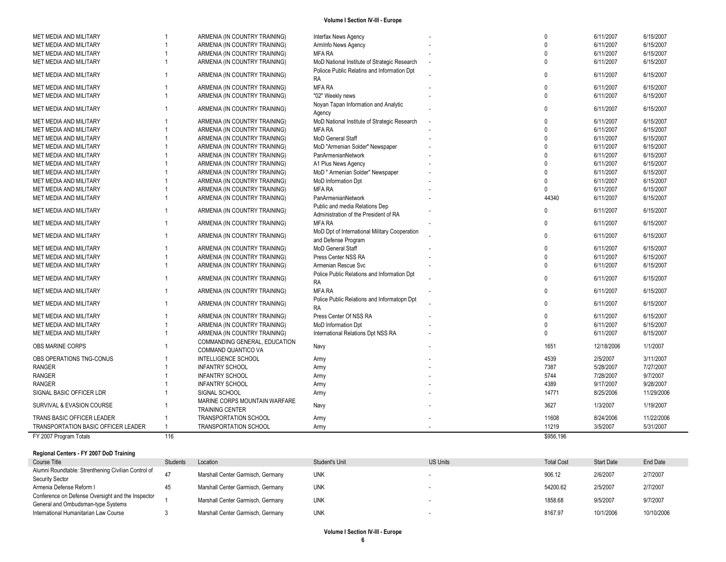| FY 2007 Program Totals                           | 116 |                                                                |                                                                         | \$956,196            |                        |                        |
|--------------------------------------------------|-----|----------------------------------------------------------------|-------------------------------------------------------------------------|----------------------|------------------------|------------------------|
| TRANSPORTATION BASIC OFFICER LEADER              |     | <b>TRANSPORTATION SCHOOL</b>                                   | Army                                                                    | 11219                | 3/5/2007               | 5/31/2007              |
| TRANS BASIC OFFICER LEADER                       |     | <b>TRANSPORTATION SCHOOL</b>                                   | Army                                                                    | 11608                | 8/24/2006              | 11/22/2006             |
| SURVIVAL & EVASION COURSE                        |     | MARINE CORPS MOUNTAIN WARFARE<br><b>TRAINING CENTER</b>        | Navy                                                                    | 3627                 | 1/3/2007               | 1/19/2007              |
| SIGNAL BASIC OFFICER LDR                         |     | SIGNAL SCHOOL                                                  | Army                                                                    | 14771                | 8/25/2006              | 11/29/2006             |
| <b>RANGER</b>                                    |     | <b>INFANTRY SCHOOL</b>                                         | Army                                                                    | 4389                 | 9/17/2007              | 9/28/2007              |
| <b>RANGER</b>                                    |     | <b>INFANTRY SCHOOL</b>                                         | Army                                                                    | 5744                 | 7/28/2007              | 9/7/2007               |
| <b>RANGER</b>                                    |     | <b>INFANTRY SCHOOL</b>                                         | Army                                                                    | 7387                 | 5/28/2007              | 7/27/2007              |
| OBS OPERATIONS TNG-CONUS                         |     | COMMAND QUANTICO VA<br><b>INTELLIGENCE SCHOOL</b>              | Army                                                                    | 4539                 | 2/5/2007               | 3/11/2007              |
| OBS MARINE CORPS                                 |     | COMMANDING GENERAL, EDUCATION                                  | Navy                                                                    | 1651                 | 12/18/2006             | 1/1/2007               |
| MET MEDIA AND MILITARY                           |     | ARMENIA (IN COUNTRY TRAINING)                                  | International Relations Dpt NSS RA                                      | $\Omega$             | 6/11/2007              | 6/15/2007              |
| MET MEDIA AND MILITARY                           |     | ARMENIA (IN COUNTRY TRAINING)                                  | MoD Information Dpt                                                     | $\mathbf{0}$         | 6/11/2007              | 6/15/2007              |
| MET MEDIA AND MILITARY                           |     | ARMENIA (IN COUNTRY TRAINING)                                  | <b>RA</b><br>Press Center Of NSS RA                                     | $\mathbf{0}$         | 6/11/2007              | 6/15/2007              |
| MET MEDIA AND MILITARY<br>MET MEDIA AND MILITARY |     | ARMENIA (IN COUNTRY TRAINING)<br>ARMENIA (IN COUNTRY TRAINING) | Police Public Relations and Informatopn Dpt                             | $\Omega$             | 6/11/2007              | 6/15/2007              |
| MET MEDIA AND MILITARY                           |     | ARMENIA (IN COUNTRY TRAINING)                                  | <b>RA</b><br><b>MFA RA</b>                                              | $\Omega$<br>$\Omega$ | 6/11/2007<br>6/11/2007 | 6/15/2007<br>6/15/2007 |
| MET MEDIA AND MILITARY                           | 1   | ARMENIA (IN COUNTRY TRAINING)                                  | Armenian Rescue Svc<br>Police Public Relations and Information Dpt      | $\Omega$             | 6/11/2007              | 6/15/2007              |
| MET MEDIA AND MILITARY                           |     | ARMENIA (IN COUNTRY TRAINING)                                  | Press Center NSS RA                                                     | $\Omega$             | 6/11/2007              | 6/15/2007              |
| MET MEDIA AND MILITARY                           |     | ARMENIA (IN COUNTRY TRAINING)                                  | MoD General Staff                                                       | $\mathbf{0}$         | 6/11/2007              | 6/15/2007              |
| MET MEDIA AND MILITARY                           |     | ARMENIA (IN COUNTRY TRAINING)                                  | MoD Dpt of International Military Cooperation<br>and Defense Program    | $\Omega$             | 6/11/2007              | 6/15/2007              |
| MET MEDIA AND MILITARY                           |     | ARMENIA (IN COUNTRY TRAINING)                                  | <b>MFA RA</b>                                                           | $\Omega$             | 6/11/2007              | 6/15/2007              |
| MET MEDIA AND MILITARY                           |     | ARMENIA (IN COUNTRY TRAINING)                                  | Public and media Relations Dep<br>Administration of the President of RA |                      | 6/11/2007              | 6/15/2007              |
| MET MEDIA AND MILITARY                           |     | ARMENIA (IN COUNTRY TRAINING)                                  | PanArmenianNetwork                                                      | 44340                | 6/11/2007              | 6/15/2007              |
| MET MEDIA AND MILITARY                           |     | ARMENIA (IN COUNTRY TRAINING)                                  | <b>MFA RA</b>                                                           | $\Omega$             | 6/11/2007              | 6/15/2007              |
| MET MEDIA AND MILITARY                           |     | ARMENIA (IN COUNTRY TRAINING)                                  | MoD Information Dpt                                                     | $\Omega$             | 6/11/2007              | 6/15/2007              |
| MET MEDIA AND MILITARY                           |     | ARMENIA (IN COUNTRY TRAINING)                                  | MoD " Armenian Solder" Newspaper                                        | $\Omega$             | 6/11/2007              | 6/15/2007              |
| MET MEDIA AND MILITARY                           |     | ARMENIA (IN COUNTRY TRAINING)                                  | A1 Plus News Agency                                                     | $\Omega$             | 6/11/2007              | 6/15/2007              |
| MET MEDIA AND MILITARY                           |     | ARMENIA (IN COUNTRY TRAINING)                                  | PanArmenianNetwork                                                      | $\Omega$             | 6/11/2007              | 6/15/2007              |
| MET MEDIA AND MILITARY                           |     | ARMENIA (IN COUNTRY TRAINING)                                  | MoD "Armenian Solder" Newspaper                                         | $\Omega$             | 6/11/2007              | 6/15/2007              |
| MET MEDIA AND MILITARY                           |     | ARMENIA (IN COUNTRY TRAINING)                                  | MoD General Staff                                                       | $\Omega$             | 6/11/2007              | 6/15/2007              |
| MET MEDIA AND MILITARY                           |     | ARMENIA (IN COUNTRY TRAINING)                                  | <b>MFA RA</b>                                                           | $\Omega$             | 6/11/2007              | 6/15/2007              |
| MET MEDIA AND MILITARY                           |     | ARMENIA (IN COUNTRY TRAINING)                                  | MoD National Institute of Strategic Research                            | $\Omega$             | 6/11/2007              | 6/15/2007              |
| MET MEDIA AND MILITARY                           |     | ARMENIA (IN COUNTRY TRAINING)                                  | Noyan Tapan Information and Analytic<br>Agency                          | $\Omega$             | 6/11/2007              | 6/15/2007              |
| MET MEDIA AND MILITARY                           |     | ARMENIA (IN COUNTRY TRAINING)                                  | "02" Weekly news                                                        | $\Omega$             | 6/11/2007              | 6/15/2007              |
| MET MEDIA AND MILITARY                           |     | ARMENIA (IN COUNTRY TRAINING)                                  | <b>MFARA</b>                                                            | $\Omega$             | 6/11/2007              | 6/15/2007              |
| MET MEDIA AND MILITARY                           |     | ARMENIA (IN COUNTRY TRAINING)                                  | Polioce Public Relatins and Information Dpt<br><b>RA</b>                | $\Omega$             | 6/11/2007              | 6/15/2007              |
| MET MEDIA AND MILITARY                           |     | ARMENIA (IN COUNTRY TRAINING)                                  | MoD National Institute of Strategic Research                            | $\Omega$             | 6/11/2007              | 6/15/2007              |
| MET MEDIA AND MILITARY                           |     | ARMENIA (IN COUNTRY TRAINING)                                  | <b>MFA RA</b>                                                           | $\Omega$             | 6/11/2007              | 6/15/2007              |
| MET MEDIA AND MILITARY                           |     | ARMENIA (IN COUNTRY TRAINING)                                  | ArmInfo News Agency                                                     | $\Omega$             | 6/11/2007              | 6/15/2007              |
| MET MEDIA AND MILITARY                           |     | ARMENIA (IN COUNTRY TRAINING)                                  | <b>Interfax News Agency</b>                                             | $\Omega$             | 6/11/2007              | 6/15/2007              |

#### **Regional Centers - FY 2007 DoD Training**

×.

| Course Title                                                                            | <b>Students</b> | Location                          | Student's Unit | <b>US Units</b> | <b>Total Cost</b> | <b>Start Date</b> | End Date   |
|-----------------------------------------------------------------------------------------|-----------------|-----------------------------------|----------------|-----------------|-------------------|-------------------|------------|
| Alumni Roundtable: Strenthening Civilian Control of<br><b>Security Sector</b>           |                 | Marshall Center Garmisch, Germany | <b>UNK</b>     |                 | 906.12            | 2/6/2007          | 2/7/2007   |
| Armenia Defense Reform I                                                                |                 | Marshall Center Garmisch, Germany | <b>UNK</b>     |                 | 54200.62          | 2/5/2007          | 2/7/2007   |
| Conference on Defense Oversight and the Inspector<br>General and Ombudsman-type Systems |                 | Marshall Center Garmisch, Germany | <b>UNK</b>     |                 | 1858.68           | 9/5/2007          | 9/7/2007   |
| International Humanitarian Law Course                                                   |                 | Marshall Center Garmisch, Germany | <b>UNK</b>     |                 | 8167.97           | 10/1/2006         | 10/10/2006 |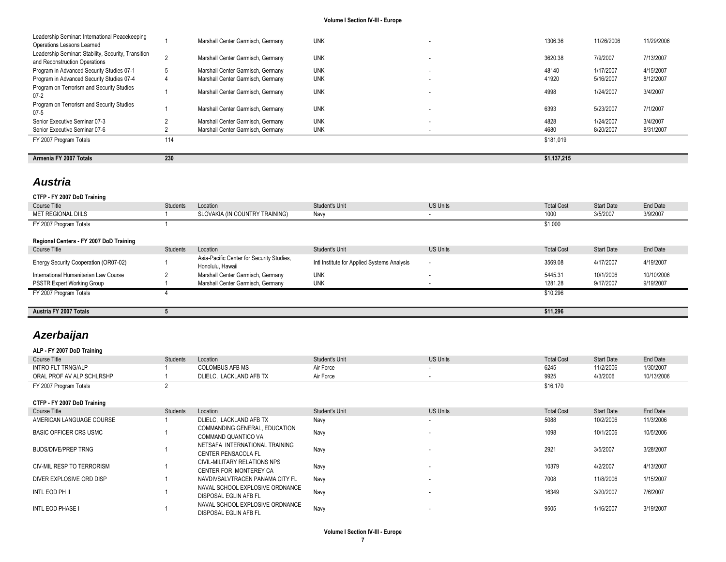| Leadership Seminar: International Peacekeeping                                                                     |     | Marshall Center Garmisch, Germany | <b>UNK</b> |    | 1306.36     | 11/26/2006 | 11/29/2006 |
|--------------------------------------------------------------------------------------------------------------------|-----|-----------------------------------|------------|----|-------------|------------|------------|
| Operations Lessons Learned<br>Leadership Seminar: Stability, Security, Transition<br>and Reconstruction Operations |     | Marshall Center Garmisch, Germany | <b>UNK</b> |    | 3620.38     | 7/9/2007   | 7/13/2007  |
| Program in Advanced Security Studies 07-1                                                                          |     | Marshall Center Garmisch, Germany | <b>UNK</b> | ۰. | 48140       | 1/17/2007  | 4/15/2007  |
| Program in Advanced Security Studies 07-4                                                                          |     | Marshall Center Garmisch, Germany | <b>UNK</b> | ۰. | 41920       | 5/16/2007  | 8/12/2007  |
| Program on Terrorism and Security Studies<br>$07-2$                                                                |     | Marshall Center Garmisch, Germany | <b>UNK</b> |    | 4998        | 1/24/2007  | 3/4/2007   |
| Program on Terrorism and Security Studies<br>$07 - 5$                                                              |     | Marshall Center Garmisch, Germany | <b>UNK</b> |    | 6393        | 5/23/2007  | 7/1/2007   |
| Senior Executive Seminar 07-3                                                                                      |     | Marshall Center Garmisch, Germany | <b>UNK</b> | ۰. | 4828        | 1/24/2007  | 3/4/2007   |
| Senior Executive Seminar 07-6                                                                                      |     | Marshall Center Garmisch, Germany | <b>UNK</b> |    | 4680        | 8/20/2007  | 8/31/2007  |
| FY 2007 Program Totals                                                                                             | 114 |                                   |            |    | \$181.019   |            |            |
|                                                                                                                    |     |                                   |            |    |             |            |            |
| Armenia FY 2007 Totals                                                                                             | 230 |                                   |            |    | \$1.137.215 |            |            |

## *Austria*

## **CTFP - FY 2007 DoD Training** Course Title Students Students Location Students Unit Student's Unit US Units Unit US Units Total Cost Start Date End Date MET REGIONAL DIILS **1** SLOVAKIA (IN COUNTRY TRAINING) Navy - 1000 3/5/2007 3/9/2007 3/9/2007 FY 2007 Program Totals **1** \$1,000 **Regional Centers - FY 2007 DoD Training** Course Title Students Students Location Students Unit Student's Unit US Units Unit US Units Total Cost Start Date End Date Energy Security Cooperation (OR07-02) 1 Asia-Pacific Center for Security Studies, Asia-Pacific Ceffer for Security Studies, and Institute for Applied Systems Analysis - 3569.08 4/17/2007 4/19/2007<br>Honolulu, Hawaii Alexandre Analysis - 100 and 19/2007 4/19/2007 International Humanitarian Law Course 2 2 Marshall Center Garmisch, Germany UNK - 10/10/2006 10/1/2006 10/1/2006 10/10/2006 10/10/2006 PSSTR Expert Working Group 1 1 Marshall Center Garmisch, Germany UNK - 1281.28 9/17/2007 9/19/2007 9/19/2007 FY 2007 Program Totals **4** \$10,296 **Austria FY 2007 Totals 5 \$11,296**

## *Azerbaijan*

| ALP - FY 2007 DoD Training    |          |                                 |                |                          |                   |                   |            |
|-------------------------------|----------|---------------------------------|----------------|--------------------------|-------------------|-------------------|------------|
| Course Title                  | Students | Location                        | Student's Unit | <b>US Units</b>          | <b>Total Cost</b> | Start Date        | End Date   |
| <b>INTRO FLT TRNG/ALP</b>     |          | <b>COLOMBUS AFB MS</b>          | Air Force      | ٠                        | 6245              | 11/2/2006         | 1/30/2007  |
| ORAL PROF AV ALP SCHLRSHP     |          | DLIELC, LACKLAND AFB TX         | Air Force      | ٠                        | 9925              | 4/3/2006          | 10/13/2006 |
| FY 2007 Program Totals        |          |                                 |                |                          | \$16,170          |                   |            |
|                               |          |                                 |                |                          |                   |                   |            |
| CTFP - FY 2007 DoD Training   |          |                                 |                |                          |                   |                   |            |
| Course Title                  | Students | Location                        | Student's Unit | <b>US Units</b>          | <b>Total Cost</b> | <b>Start Date</b> | End Date   |
| AMERICAN LANGUAGE COURSE      |          | DLIELC, LACKLAND AFB TX         | Navy           | $\overline{\phantom{a}}$ | 5088              | 10/2/2006         | 11/3/2006  |
| <b>BASIC OFFICER CRS USMC</b> |          | COMMANDING GENERAL, EDUCATION   | Navy           | ۰.                       | 1098              | 10/1/2006         | 10/5/2006  |
|                               |          | COMMAND QUANTICO VA             |                |                          |                   |                   |            |
| BUDS/DIVE/PREP TRNG           |          | NETSAFA INTERNATIONAL TRAINING  | Navy           | ۰                        | 2921              | 3/5/2007          | 3/28/2007  |
|                               |          | <b>CENTER PENSACOLA FL</b>      |                |                          |                   |                   |            |
| CIV-MIL RESP TO TERRORISM     |          | CIVIL-MILITARY RELATIONS NPS    | Navy           |                          | 10379             | 4/2/2007          | 4/13/2007  |
|                               |          | CENTER FOR MONTEREY CA          |                |                          |                   |                   |            |
| DIVER EXPLOSIVE ORD DISP      |          | NAVDIVSALVTRACEN PANAMA CITY FL | Navy           | ٠                        | 7008              | 11/8/2006         | 1/15/2007  |
| INTL EOD PH II                |          | NAVAL SCHOOL EXPLOSIVE ORDNANCE | Navy           |                          | 16349             | 3/20/2007         | 7/6/2007   |
|                               |          | DISPOSAL EGLIN AFB FL           |                |                          |                   |                   |            |
| <b>INTL EOD PHASE I</b>       |          | NAVAL SCHOOL EXPLOSIVE ORDNANCE | Navy           | ٠                        | 9505              | 1/16/2007         | 3/19/2007  |
|                               |          | DISPOSAL EGLIN AFB FL           |                |                          |                   |                   |            |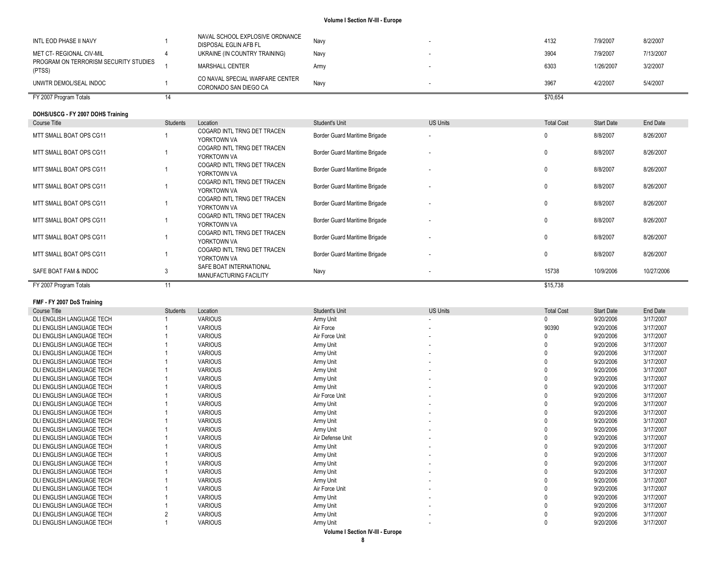| FY 2007 Program Totals                          |                                                          |      | \$70,654 |           |           |
|-------------------------------------------------|----------------------------------------------------------|------|----------|-----------|-----------|
| UNWTR DEMOL/SEAL INDOC                          | CO NAVAL SPECIAL WARFARE CENTER<br>CORONADO SAN DIEGO CA | Navv | 3967     | 4/2/2007  | 5/4/2007  |
| PROGRAM ON TERRORISM SECURITY STUDIES<br>(PTSS) | MARSHALL CENTER                                          | Armv | 6303     | 1/26/2007 | 3/2/2007  |
| <b>MET CT- REGIONAL CIV-MIL</b>                 | UKRAINE (IN COUNTRY TRAINING)                            | Navy | 3904     | 7/9/2007  | 7/13/2007 |
| INTL EOD PHASE II NAVY                          | NAVAL SCHOOL EXPLOSIVE ORDNANCE<br>DISPOSAL EGLIN AFB FL | Nav  | 4132     | 7/9/2007  | 8/2/2007  |

| DOHS/USCG - FY 2007 DOHS Training |                 |                                                   |                               |                          |                   |                   |            |
|-----------------------------------|-----------------|---------------------------------------------------|-------------------------------|--------------------------|-------------------|-------------------|------------|
| Course Title                      | <b>Students</b> | Location                                          | Student's Unit                | <b>US Units</b>          | <b>Total Cost</b> | <b>Start Date</b> | End Date   |
| MTT SMALL BOAT OPS CG11           |                 | COGARD INTL TRNG DET TRACEN<br>YORKTOWN VA        | Border Guard Maritime Brigade | ۰.                       |                   | 8/8/2007          | 8/26/2007  |
| MTT SMALL BOAT OPS CG11           |                 | COGARD INTL TRNG DET TRACEN<br>YORKTOWN VA        | Border Guard Maritime Brigade |                          |                   | 8/8/2007          | 8/26/2007  |
| MTT SMALL BOAT OPS CG11           |                 | COGARD INTL TRNG DET TRACEN<br>YORKTOWN VA        | Border Guard Maritime Brigade |                          |                   | 8/8/2007          | 8/26/2007  |
| MTT SMALL BOAT OPS CG11           |                 | COGARD INTL TRNG DET TRACEN<br>YORKTOWN VA        | Border Guard Maritime Brigade |                          |                   | 8/8/2007          | 8/26/2007  |
| MTT SMALL BOAT OPS CG11           |                 | COGARD INTL TRNG DET TRACEN<br>YORKTOWN VA        | Border Guard Maritime Brigade |                          |                   | 8/8/2007          | 8/26/2007  |
| MTT SMALL BOAT OPS CG11           |                 | COGARD INTL TRNG DET TRACEN<br>YORKTOWN VA        | Border Guard Maritime Brigade | $\overline{\phantom{a}}$ |                   | 8/8/2007          | 8/26/2007  |
| MTT SMALL BOAT OPS CG11           |                 | COGARD INTL TRNG DET TRACEN<br>YORKTOWN VA        | Border Guard Maritime Brigade |                          |                   | 8/8/2007          | 8/26/2007  |
| MTT SMALL BOAT OPS CG11           |                 | COGARD INTL TRNG DET TRACEN<br>YORKTOWN VA        | Border Guard Maritime Brigade | ۰.                       |                   | 8/8/2007          | 8/26/2007  |
| SAFE BOAT FAM & INDOC             |                 | SAFE BOAT INTERNATIONAL<br>MANUFACTURING FACILITY | Navy                          | $\overline{\phantom{a}}$ | 15738             | 10/9/2006         | 10/27/2006 |
| FY 2007 Program Totals            |                 |                                                   |                               |                          | \$15,738          |                   |            |

#### **FMF - FY 2007 DoS Training**

| Course Title              | <b>Students</b> | Location       | Student's Unit   | <b>US Units</b> | <b>Total Cost</b> | <b>Start Date</b> | End Date  |
|---------------------------|-----------------|----------------|------------------|-----------------|-------------------|-------------------|-----------|
| DLI ENGLISH LANGUAGE TECH |                 | <b>VARIOUS</b> | Army Unit        |                 |                   | 9/20/2006         | 3/17/2007 |
| DLI ENGLISH LANGUAGE TECH |                 | <b>VARIOUS</b> | Air Force        |                 | 90390             | 9/20/2006         | 3/17/2007 |
| DLI ENGLISH LANGUAGE TECH |                 | <b>VARIOUS</b> | Air Force Unit   | $\sim$          |                   | 9/20/2006         | 3/17/2007 |
| DLI ENGLISH LANGUAGE TECH |                 | <b>VARIOUS</b> | Army Unit        |                 |                   | 9/20/2006         | 3/17/2007 |
| DLI ENGLISH LANGUAGE TECH |                 | <b>VARIOUS</b> | Army Unit        |                 |                   | 9/20/2006         | 3/17/2007 |
| DLI ENGLISH LANGUAGE TECH |                 | <b>VARIOUS</b> | Army Unit        |                 |                   | 9/20/2006         | 3/17/2007 |
| DLI ENGLISH LANGUAGE TECH |                 | <b>VARIOUS</b> | Army Unit        |                 |                   | 9/20/2006         | 3/17/2007 |
| DLI ENGLISH LANGUAGE TECH |                 | <b>VARIOUS</b> | Army Unit        |                 |                   | 9/20/2006         | 3/17/2007 |
| DLI ENGLISH LANGUAGE TECH |                 | <b>VARIOUS</b> | Army Unit        |                 |                   | 9/20/2006         | 3/17/2007 |
| DLI ENGLISH LANGUAGE TECH |                 | <b>VARIOUS</b> | Air Force Unit   |                 |                   | 9/20/2006         | 3/17/2007 |
| DLI ENGLISH LANGUAGE TECH |                 | <b>VARIOUS</b> | Army Unit        |                 |                   | 9/20/2006         | 3/17/2007 |
| DLI ENGLISH LANGUAGE TECH |                 | <b>VARIOUS</b> | Army Unit        |                 |                   | 9/20/2006         | 3/17/2007 |
| DLI ENGLISH LANGUAGE TECH |                 | <b>VARIOUS</b> | Army Unit        |                 |                   | 9/20/2006         | 3/17/2007 |
| DLI ENGLISH LANGUAGE TECH |                 | <b>VARIOUS</b> | Army Unit        |                 |                   | 9/20/2006         | 3/17/2007 |
| DLI ENGLISH LANGUAGE TECH |                 | <b>VARIOUS</b> | Air Defense Unit |                 |                   | 9/20/2006         | 3/17/2007 |
| DLI ENGLISH LANGUAGE TECH |                 | <b>VARIOUS</b> | Army Unit        |                 |                   | 9/20/2006         | 3/17/2007 |
| DLI ENGLISH LANGUAGE TECH |                 | <b>VARIOUS</b> | Army Unit        |                 |                   | 9/20/2006         | 3/17/2007 |
| DLI ENGLISH LANGUAGE TECH |                 | <b>VARIOUS</b> | Army Unit        |                 |                   | 9/20/2006         | 3/17/2007 |
| DLI ENGLISH LANGUAGE TECH |                 | <b>VARIOUS</b> | Army Unit        |                 |                   | 9/20/2006         | 3/17/2007 |
| DLI ENGLISH LANGUAGE TECH |                 | <b>VARIOUS</b> | Army Unit        |                 |                   | 9/20/2006         | 3/17/2007 |
| DLI ENGLISH LANGUAGE TECH |                 | <b>VARIOUS</b> | Air Force Unit   |                 |                   | 9/20/2006         | 3/17/2007 |
| DLI ENGLISH LANGUAGE TECH |                 | <b>VARIOUS</b> | Army Unit        |                 |                   | 9/20/2006         | 3/17/2007 |
| DLI ENGLISH LANGUAGE TECH |                 | <b>VARIOUS</b> | Army Unit        |                 |                   | 9/20/2006         | 3/17/2007 |
| DLI ENGLISH LANGUAGE TECH |                 | <b>VARIOUS</b> | Army Unit        |                 |                   | 9/20/2006         | 3/17/2007 |
| DLI ENGLISH LANGUAGE TECH |                 | <b>VARIOUS</b> | Army Unit        |                 |                   | 9/20/2006         | 3/17/2007 |
|                           |                 |                |                  |                 |                   |                   |           |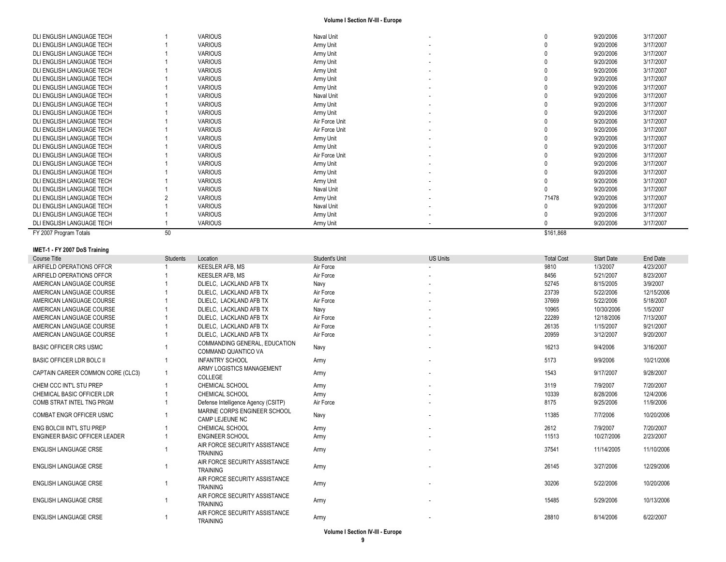| DLI ENGLISH LANGUAGE TECH |    | <b>VARIOUS</b> | Naval Unit     |                          |           | 9/20/2006 | 3/17/2007 |
|---------------------------|----|----------------|----------------|--------------------------|-----------|-----------|-----------|
| DLI ENGLISH LANGUAGE TECH |    | <b>VARIOUS</b> | Army Unit      |                          |           | 9/20/2006 | 3/17/2007 |
| DLI ENGLISH LANGUAGE TECH |    | <b>VARIOUS</b> | Army Unit      |                          |           | 9/20/2006 | 3/17/2007 |
| DLI ENGLISH LANGUAGE TECH |    | <b>VARIOUS</b> | Army Unit      |                          |           | 9/20/2006 | 3/17/2007 |
| DLI ENGLISH LANGUAGE TECH |    | <b>VARIOUS</b> | Army Unit      |                          |           | 9/20/2006 | 3/17/2007 |
| DLI ENGLISH LANGUAGE TECH |    | <b>VARIOUS</b> | Army Unit      |                          |           | 9/20/2006 | 3/17/2007 |
| DLI ENGLISH LANGUAGE TECH |    | <b>VARIOUS</b> | Army Unit      |                          |           | 9/20/2006 | 3/17/2007 |
| DLI ENGLISH LANGUAGE TECH |    | <b>VARIOUS</b> | Naval Unit     |                          |           | 9/20/2006 | 3/17/2007 |
| DLI ENGLISH LANGUAGE TECH |    | <b>VARIOUS</b> | Army Unit      |                          |           | 9/20/2006 | 3/17/2007 |
| DLI ENGLISH LANGUAGE TECH |    | <b>VARIOUS</b> | Army Unit      |                          |           | 9/20/2006 | 3/17/2007 |
| DLI ENGLISH LANGUAGE TECH |    | <b>VARIOUS</b> | Air Force Unit |                          |           | 9/20/2006 | 3/17/2007 |
| DLI ENGLISH LANGUAGE TECH |    | <b>VARIOUS</b> | Air Force Unit |                          |           | 9/20/2006 | 3/17/2007 |
| DLI ENGLISH LANGUAGE TECH |    | <b>VARIOUS</b> | Army Unit      |                          |           | 9/20/2006 | 3/17/2007 |
| DLI ENGLISH LANGUAGE TECH |    | <b>VARIOUS</b> | Army Unit      |                          |           | 9/20/2006 | 3/17/2007 |
| DLI ENGLISH LANGUAGE TECH |    | <b>VARIOUS</b> | Air Force Unit |                          |           | 9/20/2006 | 3/17/2007 |
| DLI ENGLISH LANGUAGE TECH |    | <b>VARIOUS</b> | Army Unit      | $\overline{\phantom{a}}$ |           | 9/20/2006 | 3/17/2007 |
| DLI ENGLISH LANGUAGE TECH |    | <b>VARIOUS</b> | Army Unit      |                          |           | 9/20/2006 | 3/17/2007 |
| DLI ENGLISH LANGUAGE TECH |    | <b>VARIOUS</b> | Army Unit      |                          |           | 9/20/2006 | 3/17/2007 |
| DLI ENGLISH LANGUAGE TECH |    | <b>VARIOUS</b> | Naval Unit     |                          |           | 9/20/2006 | 3/17/2007 |
| DLI ENGLISH LANGUAGE TECH |    | <b>VARIOUS</b> | Army Unit      |                          | 71478     | 9/20/2006 | 3/17/2007 |
| DLI ENGLISH LANGUAGE TECH |    | <b>VARIOUS</b> | Naval Unit     |                          |           | 9/20/2006 | 3/17/2007 |
| DLI ENGLISH LANGUAGE TECH |    | <b>VARIOUS</b> | Army Unit      |                          |           | 9/20/2006 | 3/17/2007 |
| DLI ENGLISH LANGUAGE TECH |    | <b>VARIOUS</b> | Army Unit      |                          |           | 9/20/2006 | 3/17/2007 |
| FY 2007 Program Totals    | 50 |                |                |                          | \$161,868 |           |           |

### **IMET -1 - FY 2007 DoS Training**

| Course Title                      | Students | Location                                             | Student's Unit | <b>US Units</b> | <b>Total Cost</b> | <b>Start Date</b> | End Date   |
|-----------------------------------|----------|------------------------------------------------------|----------------|-----------------|-------------------|-------------------|------------|
| AIRFIELD OPERATIONS OFFCR         |          | <b>KEESLER AFB. MS</b>                               | Air Force      |                 | 9810              | 1/3/2007          | 4/23/2007  |
| AIRFIELD OPERATIONS OFFCR         |          | KEESLER AFB. MS                                      | Air Force      |                 | 8456              | 5/21/2007         | 8/23/2007  |
| AMERICAN LANGUAGE COURSE          |          | DLIELC. LACKLAND AFB TX                              | Navy           |                 | 52745             | 8/15/2005         | 3/9/2007   |
| AMERICAN LANGUAGE COURSE          |          | DLIELC, LACKLAND AFB TX                              | Air Force      |                 | 23739             | 5/22/2006         | 12/15/2006 |
| AMERICAN LANGUAGE COURSE          |          | DLIELC. LACKLAND AFB TX                              | Air Force      |                 | 37669             | 5/22/2006         | 5/18/2007  |
| AMERICAN LANGUAGE COURSE          |          | DLIELC. LACKLAND AFB TX                              | Navy           |                 | 10965             | 10/30/2006        | 1/5/2007   |
| AMERICAN LANGUAGE COURSE          |          | DLIELC, LACKLAND AFB TX                              | Air Force      |                 | 22289             | 12/18/2006        | 7/13/2007  |
| AMERICAN LANGUAGE COURSE          |          | DLIELC, LACKLAND AFB TX                              | Air Force      |                 | 26135             | 1/15/2007         | 9/21/2007  |
| AMERICAN LANGUAGE COURSE          |          | DLIELC. LACKLAND AFB TX                              | Air Force      |                 | 20959             | 3/12/2007         | 9/20/2007  |
| <b>BASIC OFFICER CRS USMC</b>     |          | COMMANDING GENERAL, EDUCATION<br>COMMAND QUANTICO VA | Navy           |                 | 16213             | 9/4/2006          | 3/16/2007  |
| BASIC OFFICER LDR BOLC II         |          | <b>INFANTRY SCHOOL</b>                               | Army           |                 | 5173              | 9/9/2006          | 10/21/2006 |
| CAPTAIN CAREER COMMON CORE (CLC3) |          | ARMY LOGISTICS MANAGEMENT<br>COLLEGE                 | Army           |                 | 1543              | 9/17/2007         | 9/28/2007  |
| CHEM CCC INT'L STU PREP           |          | <b>CHEMICAL SCHOOL</b>                               | Army           |                 | 3119              | 7/9/2007          | 7/20/2007  |
| CHEMICAL BASIC OFFICER LDR        |          | <b>CHEMICAL SCHOOL</b>                               | Army           |                 | 10339             | 8/28/2006         | 12/4/2006  |
| COMB STRAT INTEL TNG PRGM         |          | Defense Intelligence Agency (CSITP)                  | Air Force      |                 | 8175              | 9/25/2006         | 11/9/2006  |
| <b>COMBAT ENGR OFFICER USMC</b>   |          | MARINE CORPS ENGINEER SCHOOL<br>CAMP LEJEUNE NC      | Navy           |                 | 11385             | 7/7/2006          | 10/20/2006 |
| ENG BOLCIII INT'L STU PREP        |          | <b>CHEMICAL SCHOOL</b>                               | Army           |                 | 2612              | 7/9/2007          | 7/20/2007  |
| ENGINEER BASIC OFFICER LEADER     |          | <b>ENGINEER SCHOOL</b>                               | Army           |                 | 11513             | 10/27/2006        | 2/23/2007  |
| <b>ENGLISH LANGUAGE CRSE</b>      |          | AIR FORCE SECURITY ASSISTANCE<br><b>TRAINING</b>     | Army           |                 | 37541             | 11/14/2005        | 11/10/2006 |
| <b>ENGLISH LANGUAGE CRSE</b>      |          | AIR FORCE SECURITY ASSISTANCE<br><b>TRAINING</b>     | Army           |                 | 26145             | 3/27/2006         | 12/29/2006 |
| ENGLISH LANGUAGE CRSE             |          | AIR FORCE SECURITY ASSISTANCE<br><b>TRAINING</b>     | Army           |                 | 30206             | 5/22/2006         | 10/20/2006 |
| <b>ENGLISH LANGUAGE CRSE</b>      |          | AIR FORCE SECURITY ASSISTANCE<br><b>TRAINING</b>     | Army           |                 | 15485             | 5/29/2006         | 10/13/2006 |
| <b>ENGLISH LANGUAGE CRSE</b>      |          | AIR FORCE SECURITY ASSISTANCE<br><b>TRAINING</b>     | Army           |                 | 28810             | 8/14/2006         | 6/22/2007  |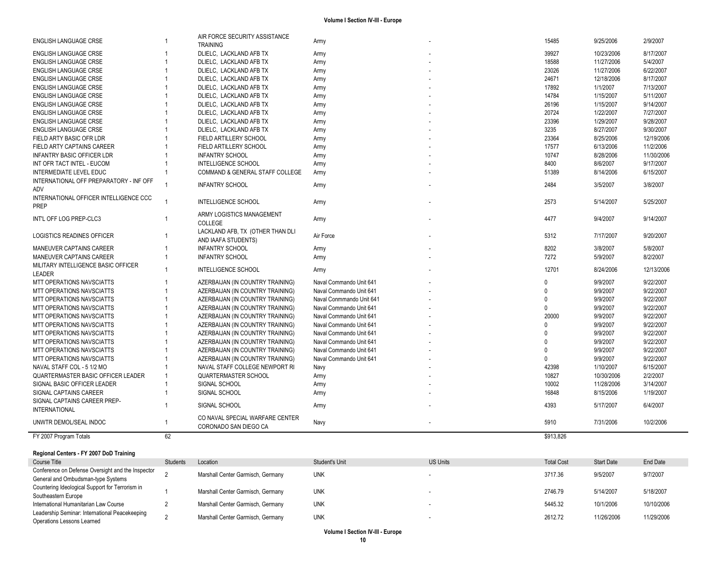| <b>ENGLISH LANGUAGE CRSE</b>                                      |              | AIR FORCE SECURITY ASSISTANCE<br><b>TRAINING</b>                   | Army                     | 15485          | 9/25/2006                | 2/9/2007              |
|-------------------------------------------------------------------|--------------|--------------------------------------------------------------------|--------------------------|----------------|--------------------------|-----------------------|
| <b>ENGLISH LANGUAGE CRSE</b>                                      |              | DLIELC, LACKLAND AFB TX                                            | Army                     | 39927          | 10/23/2006               | 8/17/2007             |
| ENGLISH LANGUAGE CRSE                                             |              | DLIELC, LACKLAND AFB TX                                            | Army                     | 18588          | 11/27/2006               | 5/4/2007              |
| ENGLISH LANGUAGE CRSE                                             |              | DLIELC, LACKLAND AFB TX                                            | Army                     | 23026          | 11/27/2006               | 6/22/2007             |
| <b>ENGLISH LANGUAGE CRSE</b>                                      |              | DLIELC, LACKLAND AFB TX                                            | Army                     | 24671          | 12/18/2006               | 8/17/2007             |
| <b>ENGLISH LANGUAGE CRSE</b>                                      |              | DLIELC, LACKLAND AFB TX                                            | Army                     | 17892          | 1/1/2007                 | 7/13/2007             |
| <b>ENGLISH LANGUAGE CRSE</b>                                      |              | DLIELC, LACKLAND AFB TX                                            | Army                     | 14784          | 1/15/2007                | 5/11/2007             |
| <b>ENGLISH LANGUAGE CRSE</b>                                      |              | DLIELC, LACKLAND AFB TX                                            | Army                     | 26196          | 1/15/2007                | 9/14/2007             |
| <b>ENGLISH LANGUAGE CRSE</b>                                      |              | DLIELC, LACKLAND AFB TX                                            | Army                     | 20724          | 1/22/2007                | 7/27/2007             |
| ENGLISH LANGUAGE CRSE                                             |              | DLIELC, LACKLAND AFB TX                                            | Army                     | 23396          | 1/29/2007                | 9/28/2007             |
| ENGLISH LANGUAGE CRSE                                             |              | DLIELC, LACKLAND AFB TX                                            | Army                     | 3235           | 8/27/2007                | 9/30/2007             |
| FIELD ARTY BASIC OFR LDR                                          |              | FIELD ARTILLERY SCHOOL                                             | Army                     | 23364          | 8/25/2006                | 12/19/2006            |
| FIELD ARTY CAPTAINS CAREER                                        |              | FIELD ARTILLERY SCHOOL                                             | Army                     | 17577          | 6/13/2006                | 11/2/2006             |
| <b>INFANTRY BASIC OFFICER LDR</b>                                 |              | <b>INFANTRY SCHOOL</b>                                             | Army                     | 10747          | 8/28/2006                | 11/30/2006            |
| INT OFR TACT INTEL - EUCOM                                        |              | INTELLIGENCE SCHOOL                                                | Army                     | 8400           | 8/6/2007                 | 9/17/2007             |
| INTERMEDIATE LEVEL EDUC                                           |              | COMMAND & GENERAL STAFF COLLEGE                                    | Army                     | 51389          | 8/14/2006                | 6/15/2007             |
| INTERNATIONAL OFF PREPARATORY - INF OFF                           |              |                                                                    |                          |                |                          |                       |
| ADV                                                               | 1            | <b>INFANTRY SCHOOL</b>                                             | Army                     | 2484           | 3/5/2007                 | 3/8/2007              |
| INTERNATIONAL OFFICER INTELLIGENCE CCC                            |              |                                                                    |                          |                |                          |                       |
| <b>PREP</b>                                                       |              | INTELLIGENCE SCHOOL                                                | Army                     | 2573           | 5/14/2007                | 5/25/2007             |
|                                                                   |              | ARMY LOGISTICS MANAGEMENT                                          |                          |                |                          |                       |
| INT'L OFF LOG PREP-CLC3                                           | 1            | COLLEGE                                                            | Army                     | 4477           | 9/4/2007                 | 9/14/2007             |
|                                                                   |              | LACKLAND AFB, TX (OTHER THAN DLI                                   |                          |                |                          |                       |
| LOGISTICS READINES OFFICER                                        |              | AND IAAFA STUDENTS)                                                | Air Force                | 5312           | 7/17/2007                | 9/20/2007             |
| MANEUVER CAPTAINS CAREER                                          |              | <b>INFANTRY SCHOOL</b>                                             | Army                     | 8202           | 3/8/2007                 | 5/8/2007              |
| MANEUVER CAPTAINS CAREER                                          | $\mathbf{1}$ | <b>INFANTRY SCHOOL</b>                                             | Army                     | 7272           | 5/9/2007                 | 8/2/2007              |
| MILITARY INTELLIGENCE BASIC OFFICER                               |              |                                                                    |                          |                |                          |                       |
| LEADER                                                            |              | INTELLIGENCE SCHOOL                                                | Army                     | 12701          | 8/24/2006                | 12/13/2006            |
| MTT OPERATIONS NAVSCIATTS                                         |              | AZERBAIJAN (IN COUNTRY TRAINING)                                   | Naval Commando Unit 641  | 0              | 9/9/2007                 | 9/22/2007             |
| MTT OPERATIONS NAVSCIATTS                                         |              | AZERBAIJAN (IN COUNTRY TRAINING)                                   | Naval Commando Unit 641  | $\Omega$       | 9/9/2007                 | 9/22/2007             |
| <b>MTT OPERATIONS NAVSCIATTS</b>                                  |              | AZERBAIJAN (IN COUNTRY TRAINING)                                   | Naval Conmmando Unit 641 | $\Omega$       | 9/9/2007                 | 9/22/2007             |
| <b>MTT OPERATIONS NAVSCIATTS</b>                                  |              | AZERBAIJAN (IN COUNTRY TRAINING)                                   | Naval Commando Unit 641  | $\Omega$       | 9/9/2007                 | 9/22/2007             |
| MTT OPERATIONS NAVSCIATTS                                         |              | AZERBAIJAN (IN COUNTRY TRAINING)                                   | Naval Commando Unit 641  | 20000          | 9/9/2007                 | 9/22/2007             |
| <b>MTT OPERATIONS NAVSCIATTS</b>                                  |              | AZERBAIJAN (IN COUNTRY TRAINING)                                   | Naval Commando Unit 641  | $\Omega$       | 9/9/2007                 | 9/22/2007             |
| MTT OPERATIONS NAVSCIATTS                                         |              | AZERBAIJAN (IN COUNTRY TRAINING)                                   | Naval Commando Unit 641  | $\Omega$       | 9/9/2007                 | 9/22/2007             |
| <b>MTT OPERATIONS NAVSCIATTS</b>                                  |              | AZERBAIJAN (IN COUNTRY TRAINING)                                   | Naval Commando Unit 641  | $\Omega$       | 9/9/2007                 | 9/22/2007             |
|                                                                   |              |                                                                    |                          | $\Omega$       | 9/9/2007                 | 9/22/2007             |
| MTT OPERATIONS NAVSCIATTS                                         |              | AZERBAIJAN (IN COUNTRY TRAINING)                                   | Naval Commando Unit 641  | <sup>0</sup>   | 9/9/2007                 | 9/22/2007             |
| MTT OPERATIONS NAVSCIATTS                                         |              | AZERBAIJAN (IN COUNTRY TRAINING)<br>NAVAL STAFF COLLEGE NEWPORT RI | Naval Commando Unit 641  | 42398          | 1/10/2007                | 6/15/2007             |
| NAVAL STAFF COL - 5 1/2 MO                                        |              |                                                                    | Navy                     |                |                          |                       |
| QUARTERMASTER BASIC OFFICER LEADER<br>SIGNAL BASIC OFFICER LEADER | 1            | QUARTERMASTER SCHOOL<br>SIGNAL SCHOOL                              | Army                     | 10827<br>10002 | 10/30/2006<br>11/28/2006 | 2/2/2007<br>3/14/2007 |
|                                                                   |              |                                                                    | Army                     |                |                          |                       |
| SIGNAL CAPTAINS CAREER                                            | 1            | SIGNAL SCHOOL                                                      | Army                     | 16848          | 8/15/2006                | 1/19/2007             |
| SIGNAL CAPTAINS CAREER PREP-                                      | 1            | SIGNAL SCHOOL                                                      | Army                     | 4393           | 5/17/2007                | 6/4/2007              |
| <b>INTERNATIONAL</b>                                              |              |                                                                    |                          |                |                          |                       |
| UNWTR DEMOL/SEAL INDOC                                            | $\mathbf{1}$ | CO NAVAL SPECIAL WARFARE CENTER<br>CORONADO SAN DIEGO CA           | Navy                     | 5910           | 7/31/2006                | 10/2/2006             |
| FY 2007 Program Totals                                            | 62           |                                                                    |                          | \$913,826      |                          |                       |

#### **Regional Centers - FY 2007 DoD Training**

| Course Title                                                                            | <b>Students</b> | Location                          | Student's Unit | <b>US Units</b> | <b>Total Cost</b> | <b>Start Date</b> | End Date   |
|-----------------------------------------------------------------------------------------|-----------------|-----------------------------------|----------------|-----------------|-------------------|-------------------|------------|
| Conference on Defense Oversight and the Inspector<br>General and Ombudsman-type Systems |                 | Marshall Center Garmisch, Germany | <b>UNK</b>     |                 | 3717.36           | 9/5/2007          | 9/7/2007   |
| Countering Ideological Support for Terrorism in<br>Southeastern Europe                  |                 | Marshall Center Garmisch, Germany | <b>UNK</b>     |                 | 2746.79           | 5/14/2007         | 5/18/2007  |
| International Humanitarian Law Course                                                   |                 | Marshall Center Garmisch, Germany | <b>UNK</b>     |                 | 5445.32           | 10/1/2006         | 10/10/2006 |
| Leadership Seminar: International Peacekeeping<br>Operations Lessons Learned            |                 | Marshall Center Garmisch, Germany | <b>UNK</b>     |                 | 2612.72           | 11/26/2006        | 11/29/2006 |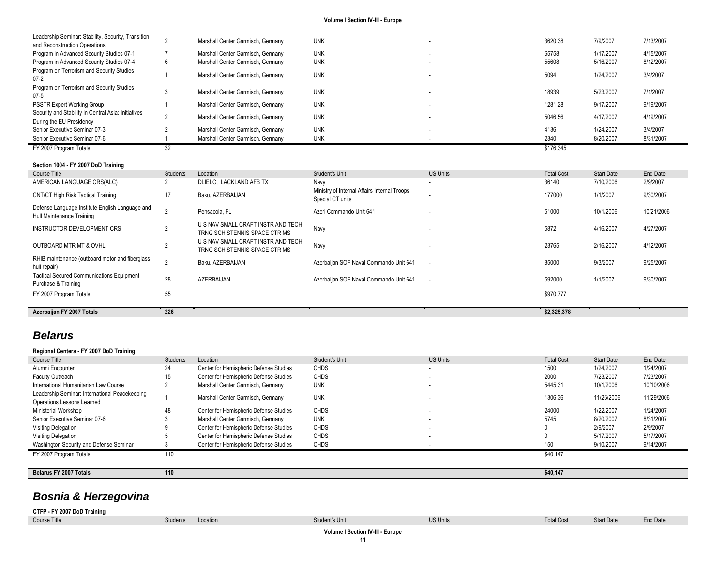| FY 2007 Program Totals                                                               |                                   |            | \$176.345 |           |           |
|--------------------------------------------------------------------------------------|-----------------------------------|------------|-----------|-----------|-----------|
| Senior Executive Seminar 07-6                                                        | Marshall Center Garmisch, Germany | <b>UNK</b> | 2340      | 8/20/2007 | 8/31/2007 |
| Senior Executive Seminar 07-3                                                        | Marshall Center Garmisch, Germany | <b>UNK</b> | 4136      | 1/24/2007 | 3/4/2007  |
| Security and Stability in Central Asia: Initiatives<br>During the EU Presidency      | Marshall Center Garmisch, Germany | <b>UNK</b> | 5046.56   | 4/17/2007 | 4/19/2007 |
| <b>PSSTR Expert Working Group</b>                                                    | Marshall Center Garmisch, Germany | <b>UNK</b> | 1281.28   | 9/17/2007 | 9/19/2007 |
| Program on Terrorism and Security Studies<br>$07 - 5$                                | Marshall Center Garmisch, Germany | <b>UNK</b> | 18939     | 5/23/2007 | 7/1/2007  |
| Program on Terrorism and Security Studies<br>$07 - 2$                                | Marshall Center Garmisch, Germany | <b>UNK</b> | 5094      | 1/24/2007 | 3/4/2007  |
| Program in Advanced Security Studies 07-4                                            | Marshall Center Garmisch, Germany | <b>UNK</b> | 55608     | 5/16/2007 | 8/12/2007 |
| Program in Advanced Security Studies 07-1                                            | Marshall Center Garmisch, Germany | <b>UNK</b> | 65758     | 1/17/2007 | 4/15/2007 |
| Leadership Seminar: Stability, Security, Transition<br>and Reconstruction Operations | Marshall Center Garmisch, Germany | <b>UNK</b> | 3620.38   | 7/9/2007  | 7/13/2007 |

## **Section 1004 - FY 2007 DoD Training**

 $\sim$ 

| Course Title                                                                 | <b>Students</b> | Location                                                            | Student's Unit                                                   | <b>US Units</b>          | <b>Total Cost</b> | <b>Start Date</b> | <b>End Date</b> |
|------------------------------------------------------------------------------|-----------------|---------------------------------------------------------------------|------------------------------------------------------------------|--------------------------|-------------------|-------------------|-----------------|
| AMERICAN LANGUAGE CRS(ALC)                                                   |                 | DLIELC, LACKLAND AFB TX                                             | Navy                                                             | $\sim$                   | 36140             | 7/10/2006         | 2/9/2007        |
| CNT/CT High Risk Tactical Training                                           | 17              | Baku, AZERBAIJAN                                                    | Ministry of Internal Affairs Internal Troops<br>Special CT units |                          | 177000            | 1/1/2007          | 9/30/2007       |
| Defense Language Institute English Language and<br>Hull Maintenance Training |                 | Pensacola, FL                                                       | Azeri Commando Unit 641                                          | $\sim$                   | 51000             | 10/1/2006         | 10/21/2006      |
| INSTRUCTOR DEVELOPMENT CRS                                                   |                 | U S NAV SMALL CRAFT INSTR AND TECH<br>TRNG SCH STENNIS SPACE CTR MS | Navy                                                             | $\sim$                   | 5872              | 4/16/2007         | 4/27/2007       |
| <b>OUTBOARD MTR MT &amp; OVHL</b>                                            |                 | U S NAV SMALL CRAFT INSTR AND TECH<br>TRNG SCH STENNIS SPACE CTR MS | Navy                                                             |                          | 23765             | 2/16/2007         | 4/12/2007       |
| RHIB maintenance (outboard motor and fiberglass<br>hull repair)              |                 | Baku, AZERBAIJAN                                                    | Azerbaijan SOF Naval Commando Unit 641                           | $\overline{\phantom{a}}$ | 85000             | 9/3/2007          | 9/25/2007       |
| <b>Tactical Secured Communications Equipment</b><br>Purchase & Training      | 28              | AZERBAIJAN                                                          | Azerbaijan SOF Naval Commando Unit 641                           | $\overline{\phantom{a}}$ | 592000            | 1/1/2007          | 9/30/2007       |
| FY 2007 Program Totals                                                       | 55              |                                                                     |                                                                  |                          | \$970,777         |                   |                 |
|                                                                              |                 |                                                                     |                                                                  |                          |                   |                   |                 |
| Azerbaijan FY 2007 Totals                                                    | 226             |                                                                     |                                                                  |                          | \$2,325,378       |                   |                 |

## *Belarus*

| Regional Centers - FY 2007 DoD Training        |          |                                        |                       |                 |                   |                   |            |
|------------------------------------------------|----------|----------------------------------------|-----------------------|-----------------|-------------------|-------------------|------------|
| Course Title                                   | Students | Location                               | <b>Student's Unit</b> | <b>US Units</b> | <b>Total Cost</b> | <b>Start Date</b> | End Date   |
| Alumni Encounter                               | 24       | Center for Hemispheric Defense Studies | <b>CHDS</b>           | $\sim$          | 1500              | 1/24/2007         | 1/24/2007  |
| <b>Faculty Outreach</b>                        | 15       | Center for Hemispheric Defense Studies | <b>CHDS</b>           |                 | 2000              | 7/23/2007         | 7/23/2007  |
| International Humanitarian Law Course          |          | Marshall Center Garmisch, Germany      | <b>UNK</b>            |                 | 5445.31           | 10/1/2006         | 10/10/2006 |
| Leadership Seminar: International Peacekeeping |          | Marshall Center Garmisch, Germany      | <b>UNK</b>            |                 | 1306.36           | 11/26/2006        | 11/29/2006 |
| Operations Lessons Learned                     |          |                                        |                       |                 |                   |                   |            |
| Ministerial Workshop                           | 48       | Center for Hemispheric Defense Studies | <b>CHDS</b>           |                 | 24000             | 1/22/2007         | 1/24/2007  |
| Senior Executive Seminar 07-6                  |          | Marshall Center Garmisch, Germany      | <b>UNK</b>            |                 | 5745              | 8/20/2007         | 8/31/2007  |
| Visiting Delegation                            |          | Center for Hemispheric Defense Studies | <b>CHDS</b>           |                 |                   | 2/9/2007          | 2/9/2007   |
| Visiting Delegation                            |          | Center for Hemispheric Defense Studies | <b>CHDS</b>           |                 |                   | 5/17/2007         | 5/17/2007  |
| Washington Security and Defense Seminar        |          | Center for Hemispheric Defense Studies | <b>CHDS</b>           |                 | 150               | 9/10/2007         | 9/14/2007  |
| FY 2007 Program Totals                         | 110      |                                        |                       |                 | \$40,147          |                   |            |
|                                                |          |                                        |                       |                 |                   |                   |            |
| Belarus FY 2007 Totals                         | 110      |                                        |                       |                 | \$40,147          |                   |            |

## *Bosnia & Herzegovina*

| CTFP - FY 2007 DoD Training      |                   |  |                |                 |                   |                   |          |  |
|----------------------------------|-------------------|--|----------------|-----------------|-------------------|-------------------|----------|--|
| Course Title                     | Students Location |  | Student's Unit | <b>US Units</b> | <b>Total Cost</b> | <b>Start Date</b> | End Date |  |
| Volume I Section IV-III - Europe |                   |  |                |                 |                   |                   |          |  |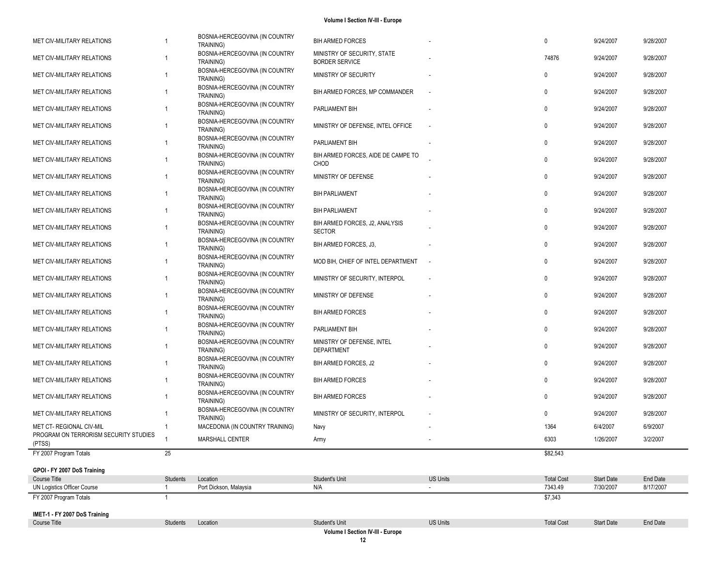| MET CIV-MILITARY RELATIONS                                        |                | BOSNIA-HERCEGOVINA (IN COUNTRY<br>TRAINING) | <b>BIH ARMED FORCES</b>                              |                          | 0                 | 9/24/2007         | 9/28/2007 |
|-------------------------------------------------------------------|----------------|---------------------------------------------|------------------------------------------------------|--------------------------|-------------------|-------------------|-----------|
| MET CIV-MILITARY RELATIONS                                        |                | BOSNIA-HERCEGOVINA (IN COUNTRY<br>TRAINING) | MINISTRY OF SECURITY, STATE<br><b>BORDER SERVICE</b> |                          | 74876             | 9/24/2007         | 9/28/2007 |
| MET CIV-MILITARY RELATIONS                                        | $\overline{1}$ | BOSNIA-HERCEGOVINA (IN COUNTRY<br>TRAINING) | MINISTRY OF SECURITY                                 |                          | 0                 | 9/24/2007         | 9/28/2007 |
| MET CIV-MILITARY RELATIONS                                        | -1             | BOSNIA-HERCEGOVINA (IN COUNTRY<br>TRAINING) | BIH ARMED FORCES, MP COMMANDER                       | $\overline{\phantom{a}}$ | 0                 | 9/24/2007         | 9/28/2007 |
| MET CIV-MILITARY RELATIONS                                        | $\overline{1}$ | BOSNIA-HERCEGOVINA (IN COUNTRY<br>TRAINING) | PARLIAMENT BIH                                       |                          | 0                 | 9/24/2007         | 9/28/2007 |
| MET CIV-MILITARY RELATIONS                                        | $\overline{1}$ | BOSNIA-HERCEGOVINA (IN COUNTRY<br>TRAINING) | MINISTRY OF DEFENSE, INTEL OFFICE                    | $\overline{\phantom{a}}$ | 0                 | 9/24/2007         | 9/28/2007 |
| MET CIV-MILITARY RELATIONS                                        | $\overline{1}$ | BOSNIA-HERCEGOVINA (IN COUNTRY<br>TRAINING) | PARLIAMENT BIH                                       |                          | 0                 | 9/24/2007         | 9/28/2007 |
| MET CIV-MILITARY RELATIONS                                        | $\overline{1}$ | BOSNIA-HERCEGOVINA (IN COUNTRY<br>TRAINING) | BIH ARMED FORCES, AIDE DE CAMPE TO<br>CHOD           |                          | 0                 | 9/24/2007         | 9/28/2007 |
| MET CIV-MILITARY RELATIONS                                        |                | BOSNIA-HERCEGOVINA (IN COUNTRY<br>TRAINING) | MINISTRY OF DEFENSE                                  |                          | 0                 | 9/24/2007         | 9/28/2007 |
| MET CIV-MILITARY RELATIONS                                        |                | BOSNIA-HERCEGOVINA (IN COUNTRY<br>TRAINING) | <b>BIH PARLIAMENT</b>                                |                          | 0                 | 9/24/2007         | 9/28/2007 |
| MET CIV-MILITARY RELATIONS                                        |                | BOSNIA-HERCEGOVINA (IN COUNTRY<br>TRAINING) | <b>BIH PARLIAMENT</b>                                |                          | 0                 | 9/24/2007         | 9/28/2007 |
| MET CIV-MILITARY RELATIONS                                        | -1             | BOSNIA-HERCEGOVINA (IN COUNTRY<br>TRAINING) | BIH ARMED FORCES, J2, ANALYSIS<br><b>SECTOR</b>      |                          | 0                 | 9/24/2007         | 9/28/2007 |
| MET CIV-MILITARY RELATIONS                                        | $\overline{1}$ | BOSNIA-HERCEGOVINA (IN COUNTRY<br>TRAINING) | BIH ARMED FORCES, J3,                                |                          | 0                 | 9/24/2007         | 9/28/2007 |
| MET CIV-MILITARY RELATIONS                                        | -1             | BOSNIA-HERCEGOVINA (IN COUNTRY<br>TRAINING) | MOD BIH, CHIEF OF INTEL DEPARTMENT                   | $\sim$                   | 0                 | 9/24/2007         | 9/28/2007 |
| MET CIV-MILITARY RELATIONS                                        | $\overline{1}$ | BOSNIA-HERCEGOVINA (IN COUNTRY<br>TRAINING) | MINISTRY OF SECURITY, INTERPOL                       |                          | 0                 | 9/24/2007         | 9/28/2007 |
| MET CIV-MILITARY RELATIONS                                        |                | BOSNIA-HERCEGOVINA (IN COUNTRY<br>TRAINING) | MINISTRY OF DEFENSE                                  |                          | $\mathbf{0}$      | 9/24/2007         | 9/28/2007 |
| MET CIV-MILITARY RELATIONS                                        | -1             | BOSNIA-HERCEGOVINA (IN COUNTRY<br>TRAINING) | <b>BIH ARMED FORCES</b>                              |                          | 0                 | 9/24/2007         | 9/28/2007 |
| MET CIV-MILITARY RELATIONS                                        | $\overline{1}$ | BOSNIA-HERCEGOVINA (IN COUNTRY<br>TRAINING) | PARLIAMENT BIH                                       |                          | 0                 | 9/24/2007         | 9/28/2007 |
| MET CIV-MILITARY RELATIONS                                        | $\overline{1}$ | BOSNIA-HERCEGOVINA (IN COUNTRY<br>TRAINING) | MINISTRY OF DEFENSE, INTEL<br>DEPARTMENT             |                          | 0                 | 9/24/2007         | 9/28/2007 |
| MET CIV-MILITARY RELATIONS                                        | $\overline{1}$ | BOSNIA-HERCEGOVINA (IN COUNTRY<br>TRAINING) | BIH ARMED FORCES, J2                                 |                          | 0                 | 9/24/2007         | 9/28/2007 |
| MET CIV-MILITARY RELATIONS                                        | $\overline{1}$ | BOSNIA-HERCEGOVINA (IN COUNTRY<br>TRAINING) | <b>BIH ARMED FORCES</b>                              |                          | 0                 | 9/24/2007         | 9/28/2007 |
| MET CIV-MILITARY RELATIONS                                        |                | BOSNIA-HERCEGOVINA (IN COUNTRY<br>TRAINING) | <b>BIH ARMED FORCES</b>                              |                          | 0                 | 9/24/2007         | 9/28/2007 |
| MET CIV-MILITARY RELATIONS                                        |                | BOSNIA-HERCEGOVINA (IN COUNTRY<br>TRAINING) | MINISTRY OF SECURITY, INTERPOL                       |                          | 0                 | 9/24/2007         | 9/28/2007 |
| MET CT- REGIONAL CIV-MIL<br>PROGRAM ON TERRORISM SECURITY STUDIES | $\overline{1}$ | MACEDONIA (IN COUNTRY TRAINING)             | Navy                                                 |                          | 1364              | 6/4/2007          | 6/9/2007  |
| (PTSS)                                                            |                | <b>MARSHALL CENTER</b>                      | Army                                                 |                          | 6303              | 1/26/2007         | 3/2/2007  |
| FY 2007 Program Totals                                            | 25             |                                             |                                                      |                          | \$82,543          |                   |           |
| GPOI - FY 2007 DoS Training                                       |                |                                             |                                                      |                          |                   |                   |           |
| Course Title                                                      | Students       | Location                                    | Student's Unit                                       | <b>US Units</b>          | <b>Total Cost</b> | <b>Start Date</b> | End Date  |
| UN Logistics Officer Course                                       | $\mathbf{1}$   | Port Dickson, Malaysia                      | N/A                                                  | $\sim$                   | 7343.49           | 7/30/2007         | 8/17/2007 |
| FY 2007 Program Totals                                            |                |                                             |                                                      |                          | \$7,343           |                   |           |
| IMET-1 - FY 2007 DoS Training                                     |                |                                             |                                                      |                          |                   |                   |           |
| Course Title                                                      | Students       | Location                                    | Student's Unit                                       | <b>US Units</b>          | <b>Total Cost</b> | <b>Start Date</b> | End Date  |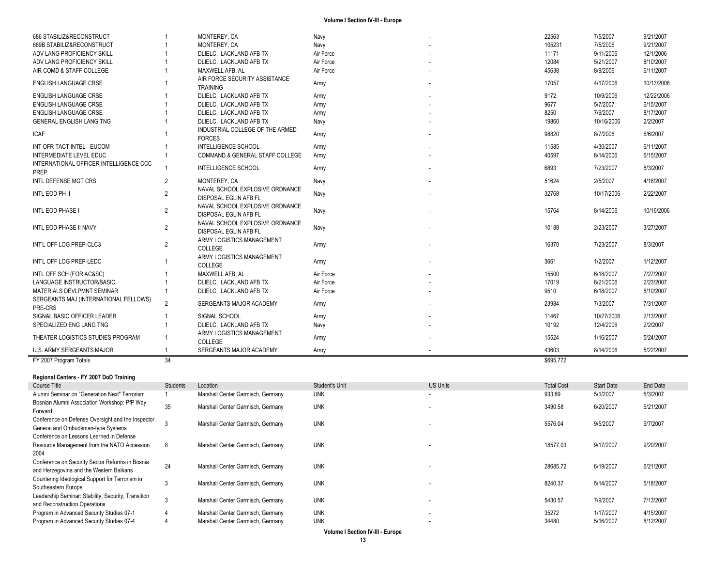| 686 STABILIZ&RECONSTRUCT                         |                | MONTEREY, CA                                                    | Navy      | 22563     | 7/5/2007   | 9/21/2007  |
|--------------------------------------------------|----------------|-----------------------------------------------------------------|-----------|-----------|------------|------------|
| 689B STABILIZ&RECONSTRUCT                        |                | MONTEREY, CA                                                    | Navy      | 105231    | 7/5/2006   | 9/21/2007  |
| ADV LANG PROFICIENCY SKILL                       |                | DLIELC. LACKLAND AFB TX                                         | Air Force | 11171     | 9/11/2006  | 12/1/2006  |
| ADV LANG PROFICIENCY SKILL                       |                | DLIELC, LACKLAND AFB TX                                         | Air Force | 12084     | 5/21/2007  | 8/10/2007  |
| AIR COMD & STAFF COLLEGE                         |                | MAXWELL AFB. AL                                                 | Air Force | 45638     | 8/9/2006   | 6/11/2007  |
| <b>ENGLISH LANGUAGE CRSE</b>                     |                | AIR FORCE SECURITY ASSISTANCE<br><b>TRAINING</b>                | Army      | 17057     | 4/17/2006  | 10/13/2006 |
| <b>ENGLISH LANGUAGE CRSE</b>                     |                | DLIELC. LACKLAND AFB TX                                         | Army      | 9172      | 10/9/2006  | 12/22/2006 |
| <b>ENGLISH LANGUAGE CRSE</b>                     |                | DLIELC. LACKLAND AFB TX                                         | Army      | 9677      | 5/7/2007   | 6/15/2007  |
| <b>ENGLISH LANGUAGE CRSE</b>                     |                | DLIELC. LACKLAND AFB TX                                         | Army      | 8250      | 7/9/2007   | 8/17/2007  |
| <b>GENERAL ENGLISH LANG TNG</b>                  |                | DLIELC. LACKLAND AFB TX                                         | Navy      | 19860     | 10/16/2006 | 2/2/2007   |
| <b>ICAF</b>                                      |                | INDUSTRIAL COLLEGE OF THE ARMED<br><b>FORCES</b>                | Army      | 98820     | 8/7/2006   | 6/6/2007   |
| INT OFR TACT INTEL - EUCOM                       |                | <b>INTELLIGENCE SCHOOL</b>                                      | Army      | 11585     | 4/30/2007  | 6/11/2007  |
| <b>INTERMEDIATE LEVEL EDUC</b>                   |                | COMMAND & GENERAL STAFF COLLEGE                                 | Army      | 40597     | 8/14/2006  | 6/15/2007  |
| INTERNATIONAL OFFICER INTELLIGENCE CCC<br>PREP   |                | <b>INTELLIGENCE SCHOOL</b>                                      | Army      | 6893      | 7/23/2007  | 8/3/2007   |
| INTL DEFENSE MGT CRS                             | 2              | MONTEREY, CA                                                    | Navy      | 51624     | 2/5/2007   | 4/18/2007  |
| INTL EOD PH II                                   | $\overline{2}$ | NAVAL SCHOOL EXPLOSIVE ORDNANCE<br>DISPOSAL EGLIN AFB FL        | Navy      | 32768     | 10/17/2006 | 2/22/2007  |
| INTL EOD PHASE I                                 | $\overline{2}$ | NAVAL SCHOOL EXPLOSIVE ORDNANCE<br>DISPOSAL EGLIN AFB FL        | Navy      | 15764     | 8/14/2006  | 10/16/2006 |
| INTL EOD PHASE II NAVY                           | $\overline{2}$ | NAVAL SCHOOL EXPLOSIVE ORDNANCE<br><b>DISPOSAL EGLIN AFB FL</b> | Navy      | 10188     | 2/23/2007  | 3/27/2007  |
| INT'L OFF LOG PREP-CLC3                          | $\overline{2}$ | ARMY LOGISTICS MANAGEMENT<br><b>COLLEGE</b>                     | Army      | 16370     | 7/23/2007  | 8/3/2007   |
| INT'L OFF LOG PREP-LEDC                          |                | ARMY LOGISTICS MANAGEMENT<br><b>COLLEGE</b>                     | Army      | 3661      | 1/2/2007   | 1/12/2007  |
| INTL OFF SCH (FOR AC&SC)                         |                | MAXWELL AFB. AL                                                 | Air Force | 15500     | 6/18/2007  | 7/27/2007  |
| LANGUAGE INSTRUCTOR/BASIC                        |                | DLIELC. LACKLAND AFB TX                                         | Air Force | 17019     | 8/21/2006  | 2/23/2007  |
| MATERIALS DEVLPMNT SEMINAR                       |                | DLIELC, LACKLAND AFB TX                                         | Air Force | 9510      | 6/18/2007  | 8/10/2007  |
| SERGEANTS MAJ (INTERNATIONAL FELLOWS)<br>PRE-CRS | $\overline{2}$ | SERGEANTS MAJOR ACADEMY                                         | Army      | 23984     | 7/3/2007   | 7/31/2007  |
| SIGNAL BASIC OFFICER LEADER                      |                | SIGNAL SCHOOL                                                   | Army      | 11467     | 10/27/2006 | 2/13/2007  |
| SPECIALIZED ENG LANG TNG                         |                | DLIELC, LACKLAND AFB TX                                         | Navy      | 10192     | 12/4/2006  | 2/2/2007   |
| THEATER LOGISTICS STUDIES PROGRAM                |                | ARMY LOGISTICS MANAGEMENT<br><b>COLLEGE</b>                     | Army      | 15524     | 1/16/2007  | 5/24/2007  |
| <b>U.S. ARMY SERGEANTS MAJOR</b>                 |                | SERGEANTS MAJOR ACADEMY                                         | Army      | 43603     | 8/14/2006  | 5/22/2007  |
| FY 2007 Program Totals                           | 34             |                                                                 |           | \$695,772 |            |            |

### **Regional Centers - FY 2007 DoD Training**

| Course Title                                                                                    | Students | Location                          | <b>Student's Unit</b> | US Units                 | <b>Total Cost</b> | <b>Start Date</b> | End Date  |
|-------------------------------------------------------------------------------------------------|----------|-----------------------------------|-----------------------|--------------------------|-------------------|-------------------|-----------|
| Alumni Seminar on "Generation Next" Terrorism                                                   |          | Marshall Center Garmisch, Germany | <b>UNK</b>            | $\overline{\phantom{a}}$ | 933.89            | 5/1/2007          | 5/3/2007  |
| Bosnian Alumni Association Workshop: PfP Way<br>Forward                                         | 35       | Marshall Center Garmisch, Germany | <b>UNK</b>            |                          | 3490.58           | 6/20/2007         | 6/21/2007 |
| Conference on Defense Oversight and the Inspector<br>General and Ombudsman-type Systems         |          | Marshall Center Garmisch, Germany | <b>UNK</b>            | $\overline{\phantom{a}}$ | 5576.04           | 9/5/2007          | 9/7/2007  |
| Conference on Lessons Learned in Defense<br>Resource Management from the NATO Accession<br>2004 | 8        | Marshall Center Garmisch, Germany | <b>UNK</b>            | $\overline{\phantom{a}}$ | 18577.03          | 9/17/2007         | 9/20/2007 |
| Conference on Security Sector Reforms in Bosnia<br>and Herzegovina and the Western Balkans      | 24       | Marshall Center Garmisch, Germany | <b>UNK</b>            | $\overline{\phantom{a}}$ | 28685.72          | 6/19/2007         | 6/21/2007 |
| Countering Ideological Support for Terrorism in<br>Southeastern Europe                          | ۰J       | Marshall Center Garmisch, Germany | <b>UNK</b>            |                          | 8240.37           | 5/14/2007         | 5/18/2007 |
| Leadership Seminar: Stability, Security, Transition<br>and Reconstruction Operations            |          | Marshall Center Garmisch, Germany | <b>UNK</b>            |                          | 5430.57           | 7/9/2007          | 7/13/2007 |
| Program in Advanced Security Studies 07-1                                                       |          | Marshall Center Garmisch, Germany | <b>UNK</b>            | $\overline{\phantom{a}}$ | 35272             | 1/17/2007         | 4/15/2007 |
| Program in Advanced Security Studies 07-4                                                       |          | Marshall Center Garmisch, Germany | <b>UNK</b>            | $\overline{\phantom{a}}$ | 34480             | 5/16/2007         | 8/12/2007 |
|                                                                                                 |          |                                   |                       |                          |                   |                   |           |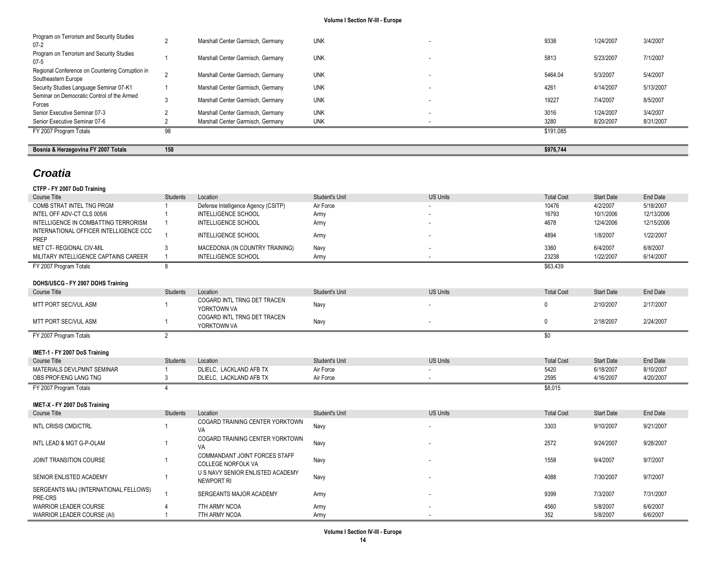| Bosnia & Herzegovina FY 2007 Totals                                    | 158 |                                   |            |        | \$976,744 |           |           |
|------------------------------------------------------------------------|-----|-----------------------------------|------------|--------|-----------|-----------|-----------|
| FY 2007 Program Totals                                                 | 98  |                                   |            |        | \$191,085 |           |           |
| Senior Executive Seminar 07-6                                          |     | Marshall Center Garmisch, Germany | <b>UNK</b> |        | 3280      | 8/20/2007 | 8/31/2007 |
| Senior Executive Seminar 07-3                                          |     | Marshall Center Garmisch, Germany | <b>UNK</b> | . .    | 3016      | 1/24/2007 | 3/4/2007  |
| Seminar on Democratic Control of the Armed<br>Forces                   |     | Marshall Center Garmisch, Germany | <b>UNK</b> | $\sim$ | 19227     | 7/4/2007  | 8/5/2007  |
| Security Studies Language Seminar 07-K1                                |     | Marshall Center Garmisch, Germany | <b>UNK</b> | $\sim$ | 4261      | 4/14/2007 | 5/13/2007 |
| Regional Conference on Countering Corruption in<br>Southeastern Europe |     | Marshall Center Garmisch, Germany | <b>UNK</b> | . .    | 5464.04   | 5/3/2007  | 5/4/2007  |
| Program on Terrorism and Security Studies<br>$07-5$                    |     | Marshall Center Garmisch, Germany | <b>UNK</b> | . .    | 5813      | 5/23/2007 | 7/1/2007  |
| Program on Terrorism and Security Studies<br>$07-2$                    |     | Marshall Center Garmisch, Germany | <b>UNK</b> | . .    | 9338      | 1/24/2007 | 3/4/2007  |

## *Croatia*

| CTFP - FY 2007 DoD Training                    |                 |                                                               |                |                 |                   |                   |                 |
|------------------------------------------------|-----------------|---------------------------------------------------------------|----------------|-----------------|-------------------|-------------------|-----------------|
| Course Title                                   | <b>Students</b> | Location                                                      | Student's Unit | <b>US Units</b> | <b>Total Cost</b> | <b>Start Date</b> | <b>End Date</b> |
| COMB STRAT INTEL TNG PRGM                      |                 | Defense Intelligence Agency (CSITP)                           | Air Force      |                 | 10476             | 4/2/2007          | 5/18/2007       |
| INTEL OFF ADV-CT CLS 005/6                     |                 | <b>INTELLIGENCE SCHOOL</b>                                    | Army           |                 | 16793             | 10/1/2006         | 12/13/2006      |
| INTELLIGENCE IN COMBATTING TERRORISM           | 1               | <b>INTELLIGENCE SCHOOL</b>                                    | Army           |                 | 4678              | 12/4/2006         | 12/15/2006      |
| INTERNATIONAL OFFICER INTELLIGENCE CCC<br>PREP | $\mathbf{1}$    | INTELLIGENCE SCHOOL                                           | Army           |                 | 4894              | 1/8/2007          | 1/22/2007       |
| <b>MET CT- REGIONAL CIV-MIL</b>                | 3               | MACEDONIA (IN COUNTRY TRAINING)                               | Navy           |                 | 3360              | 6/4/2007          | 6/8/2007        |
| MILITARY INTELLIGENCE CAPTAINS CAREER          | $\mathbf{1}$    | INTELLIGENCE SCHOOL                                           | Army           |                 | 23238             | 1/22/2007         | 6/14/2007       |
| FY 2007 Program Totals                         | 8               |                                                               |                |                 | \$63,439          |                   |                 |
|                                                |                 |                                                               |                |                 |                   |                   |                 |
| DOHS/USCG - FY 2007 DOHS Training              |                 |                                                               |                |                 |                   |                   |                 |
| <b>Course Title</b>                            | <b>Students</b> | Location                                                      | Student's Unit | <b>US Units</b> | <b>Total Cost</b> | <b>Start Date</b> | End Date        |
| MTT PORT SEC/VUL ASM                           |                 | COGARD INTL TRNG DET TRACEN<br>YORKTOWN VA                    | Navy           |                 | $\mathbf{0}$      | 2/10/2007         | 2/17/2007       |
| MTT PORT SEC/VUL ASM                           | 1               | COGARD INTL TRNG DET TRACEN<br>YORKTOWN VA                    | Navy           | ٠               | $\mathbf{0}$      | 2/18/2007         | 2/24/2007       |
| FY 2007 Program Totals                         | $\mathfrak{p}$  |                                                               |                |                 | \$0               |                   |                 |
|                                                |                 |                                                               |                |                 |                   |                   |                 |
| IMET-1 - FY 2007 DoS Training                  |                 |                                                               |                |                 |                   |                   |                 |
| <b>Course Title</b>                            | <b>Students</b> | Location                                                      | Student's Unit | <b>US Units</b> | <b>Total Cost</b> | <b>Start Date</b> | <b>End Date</b> |
| MATERIALS DEVLPMNT SEMINAR                     |                 | DLIELC, LACKLAND AFB TX                                       | Air Force      |                 | 5420              | 6/18/2007         | 8/10/2007       |
| OBS PROF/ENG LANG TNG                          | 3               | DLIELC, LACKLAND AFB TX                                       | Air Force      |                 | 2595              | 4/16/2007         | 4/20/2007       |
| FY 2007 Program Totals                         | $\Delta$        |                                                               |                |                 | \$8,015           |                   |                 |
|                                                |                 |                                                               |                |                 |                   |                   |                 |
| IMET-X - FY 2007 DoS Training                  |                 |                                                               |                |                 |                   |                   |                 |
| Course Title                                   | <b>Students</b> | Location                                                      | Student's Unit | <b>US Units</b> | <b>Total Cost</b> | <b>Start Date</b> | <b>End Date</b> |
| <b>INTL CRISIS CMD/CTRL</b>                    | 1               | COGARD TRAINING CENTER YORKTOWN<br>VA                         | Navy           |                 | 3303              | 9/10/2007         | 9/21/2007       |
| INTL LEAD & MGT G-P-OLAM                       | $\mathbf{1}$    | COGARD TRAINING CENTER YORKTOWN<br>VA                         | Navy           |                 | 2572              | 9/24/2007         | 9/28/2007       |
| JOINT TRANSITION COURSE                        | $\mathbf{1}$    | COMMANDANT JOINT FORCES STAFF                                 | Navy           |                 | 1558              | 9/4/2007          | 9/7/2007        |
|                                                |                 | <b>COLLEGE NORFOLK VA</b><br>U S NAVY SENIOR ENLISTED ACADEMY |                |                 |                   |                   |                 |
| SENIOR ENLISTED ACADEMY                        | 1               | <b>NEWPORT RI</b>                                             | Navy           |                 | 4088              | 7/30/2007         | 9/7/2007        |
| SERGEANTS MAJ (INTERNATIONAL FELLOWS)          | $\mathbf{1}$    | SERGEANTS MAJOR ACADEMY                                       | Army           |                 | 9399              | 7/3/2007          | 7/31/2007       |
| PRE-CRS                                        |                 |                                                               |                |                 |                   |                   |                 |
| <b>WARRIOR LEADER COURSE</b>                   |                 | 7TH ARMY NCOA                                                 | Army           |                 | 4560              | 5/8/2007          | 6/6/2007        |
| WARRIOR LEADER COURSE (AI)                     |                 | 7TH ARMY NCOA                                                 | Army           |                 | 352               | 5/8/2007          | 6/6/2007        |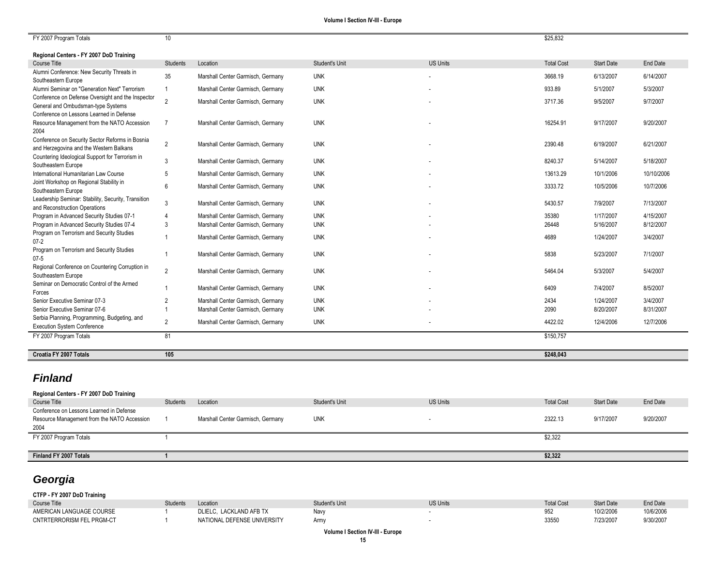| FY 2007 Program Totals                                                                          | 10 <sup>1</sup> |                                   |                |                 | \$25,832          |                   |            |
|-------------------------------------------------------------------------------------------------|-----------------|-----------------------------------|----------------|-----------------|-------------------|-------------------|------------|
|                                                                                                 |                 |                                   |                |                 |                   |                   |            |
| Regional Centers - FY 2007 DoD Training                                                         |                 |                                   |                | <b>US Units</b> |                   |                   |            |
| Course Title<br>Alumni Conference: New Security Threats in                                      | <b>Students</b> | Location                          | Student's Unit |                 | <b>Total Cost</b> | <b>Start Date</b> | End Date   |
| Southeastern Europe                                                                             | 35              | Marshall Center Garmisch, Germany | <b>UNK</b>     |                 | 3668.19           | 6/13/2007         | 6/14/2007  |
| Alumni Seminar on "Generation Next" Terrorism                                                   | $\overline{1}$  | Marshall Center Garmisch, Germany | <b>UNK</b>     |                 | 933.89            | 5/1/2007          | 5/3/2007   |
| Conference on Defense Oversight and the Inspector<br>General and Ombudsman-type Systems         | $\overline{2}$  | Marshall Center Garmisch, Germany | <b>UNK</b>     |                 | 3717.36           | 9/5/2007          | 9/7/2007   |
| Conference on Lessons Learned in Defense<br>Resource Management from the NATO Accession<br>2004 | $\overline{7}$  | Marshall Center Garmisch, Germany | <b>UNK</b>     |                 | 16254.91          | 9/17/2007         | 9/20/2007  |
| Conference on Security Sector Reforms in Bosnia<br>and Herzegovina and the Western Balkans      | $\overline{2}$  | Marshall Center Garmisch, Germany | <b>UNK</b>     |                 | 2390.48           | 6/19/2007         | 6/21/2007  |
| Countering Ideological Support for Terrorism in<br>Southeastern Europe                          | 3               | Marshall Center Garmisch, Germany | <b>UNK</b>     |                 | 8240.37           | 5/14/2007         | 5/18/2007  |
| International Humanitarian Law Course                                                           | 5               | Marshall Center Garmisch, Germany | <b>UNK</b>     |                 | 13613.29          | 10/1/2006         | 10/10/2006 |
| Joint Workshop on Regional Stability in<br>Southeastern Europe                                  | 6               | Marshall Center Garmisch, Germany | <b>UNK</b>     |                 | 3333.72           | 10/5/2006         | 10/7/2006  |
| Leadership Seminar: Stability, Security, Transition<br>and Reconstruction Operations            | -3              | Marshall Center Garmisch, Germany | <b>UNK</b>     |                 | 5430.57           | 7/9/2007          | 7/13/2007  |
| Program in Advanced Security Studies 07-1                                                       | $\overline{4}$  | Marshall Center Garmisch, Germany | <b>UNK</b>     |                 | 35380             | 1/17/2007         | 4/15/2007  |
| Program in Advanced Security Studies 07-4                                                       | 3               | Marshall Center Garmisch, Germany | <b>UNK</b>     |                 | 26448             | 5/16/2007         | 8/12/2007  |
| Program on Terrorism and Security Studies<br>$07 - 2$                                           |                 | Marshall Center Garmisch, Germany | <b>UNK</b>     |                 | 4689              | 1/24/2007         | 3/4/2007   |
| Program on Terrorism and Security Studies<br>$07 - 5$                                           | $\overline{1}$  | Marshall Center Garmisch, Germany | <b>UNK</b>     |                 | 5838              | 5/23/2007         | 7/1/2007   |
| Regional Conference on Countering Corruption in<br>Southeastern Europe                          | 2               | Marshall Center Garmisch, Germany | <b>UNK</b>     |                 | 5464.04           | 5/3/2007          | 5/4/2007   |
| Seminar on Democratic Control of the Armed<br>Forces                                            |                 | Marshall Center Garmisch, Germany | <b>UNK</b>     |                 | 6409              | 7/4/2007          | 8/5/2007   |
| Senior Executive Seminar 07-3                                                                   | $\overline{2}$  | Marshall Center Garmisch, Germany | <b>UNK</b>     |                 | 2434              | 1/24/2007         | 3/4/2007   |
| Senior Executive Seminar 07-6                                                                   | $\overline{1}$  | Marshall Center Garmisch, Germany | <b>UNK</b>     |                 | 2090              | 8/20/2007         | 8/31/2007  |
| Serbia Planning, Programming, Budgeting, and<br><b>Execution System Conference</b>              | $\overline{2}$  | Marshall Center Garmisch, Germany | <b>UNK</b>     |                 | 4422.02           | 12/4/2006         | 12/7/2006  |
| FY 2007 Program Totals                                                                          | 81              |                                   |                |                 | \$150,757         |                   |            |
| Croatia FY 2007 Totals                                                                          | 105             |                                   |                |                 | \$248,043         |                   |            |
|                                                                                                 |                 |                                   |                |                 |                   |                   |            |

## *Finland*

## **Regional Centers - FY 2007 DoD Training**

| Course Title                                                                                    | <b>Students</b> | Location                          | Student's Unit | <b>US Units</b> | <b>Total Cost</b> | <b>Start Date</b> | End Date  |
|-------------------------------------------------------------------------------------------------|-----------------|-----------------------------------|----------------|-----------------|-------------------|-------------------|-----------|
| Conference on Lessons Learned in Defense<br>Resource Management from the NATO Accession<br>2004 |                 | Marshall Center Garmisch, Germany | <b>UNK</b>     |                 | 2322.13           | 9/17/2007         | 9/20/2007 |
| FY 2007 Program Totals                                                                          |                 |                                   |                |                 | \$2,322           |                   |           |
| Finland FY 2007 Totals                                                                          |                 |                                   |                |                 | \$2,322           |                   |           |

## *Georgia*

**CTFP - FY 2007 DoD Training**

| ________                  |          |                             |                       |                 |                       |                   |           |
|---------------------------|----------|-----------------------------|-----------------------|-----------------|-----------------------|-------------------|-----------|
| Course Title              | Students | Location                    | <b>Student's Unit</b> | <b>US Units</b> | <b>Total Cost</b>     | <b>Start Date</b> | End Date  |
| AMERICAN LANGUAGE COURSE  |          | DLIELC. LACKLAND AFB TX     | Navy                  |                 | 05 <sup>o</sup><br>ےں | 10/2/2006         | 10/6/2006 |
| CNTRTERRORISM FEL PRGM-CT |          | NATIONAL DEFENSE UNIVERSITY | Army                  |                 | 33550                 | 7/23/2007         | 9/30/2007 |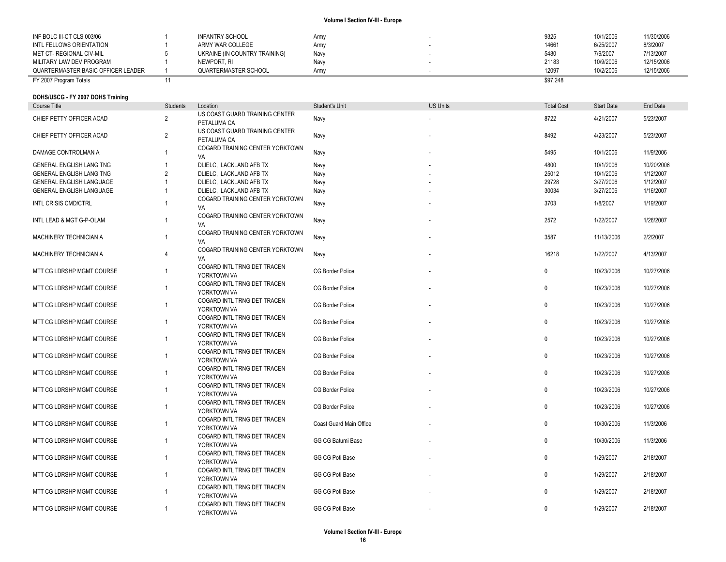| INF BOLC III-CT CLS 003/06         | INFANTRY SCHOOL               | Army | 9325     | 10/1/2006 | 11/30/2006 |
|------------------------------------|-------------------------------|------|----------|-----------|------------|
| INTL FELLOWS ORIENTATION           | ARMY WAR COLLEGE              | Army | 14661    | 6/25/2007 | 8/3/2007   |
| MET CT- REGIONAL CIV-MIL           | UKRAINE (IN COUNTRY TRAINING) | Navv | 5480     | 7/9/2007  | 7/13/2007  |
| MILITARY LAW DEV PROGRAM           | Newport. Ri                   | Navv | 21183    | 10/9/2006 | 12/15/2006 |
| QUARTERMASTER BASIC OFFICER LEADER | QUARTERMASTER SCHOOL          | Army | 12097    | 10/2/2006 | 12/15/2006 |
| FY 2007 Program Totals             |                               |      | \$97,248 |           |            |

#### **DOHS/USCG - FY 2007 DOHS Training**

| Course Title                | <b>Students</b> | Location                                      | <b>Student's Unit</b>   | <b>US Units</b> | <b>Total Cost</b> | <b>Start Date</b> | End Date   |
|-----------------------------|-----------------|-----------------------------------------------|-------------------------|-----------------|-------------------|-------------------|------------|
| CHIEF PETTY OFFICER ACAD    | $\overline{2}$  | US COAST GUARD TRAINING CENTER<br>PETALUMA CA | Navy                    |                 | 8722              | 4/21/2007         | 5/23/2007  |
| CHIEF PETTY OFFICER ACAD    | $\overline{2}$  | US COAST GUARD TRAINING CENTER<br>PETALUMA CA | Navy                    |                 | 8492              | 4/23/2007         | 5/23/2007  |
| DAMAGE CONTROLMAN A         |                 | COGARD TRAINING CENTER YORKTOWN<br>VA         | Navy                    |                 | 5495              | 10/1/2006         | 11/9/2006  |
| GENERAL ENGLISH LANG TNG    | $\overline{1}$  | DLIELC, LACKLAND AFB TX                       | Navy                    |                 | 4800              | 10/1/2006         | 10/20/2006 |
| GENERAL ENGLISH LANG TNG    | $\overline{2}$  | DLIELC, LACKLAND AFB TX                       | Navy                    |                 | 25012             | 10/1/2006         | 1/12/2007  |
| GENERAL ENGLISH LANGUAGE    | $\overline{1}$  | DLIELC, LACKLAND AFB TX                       | Navy                    |                 | 29728             | 3/27/2006         | 1/12/2007  |
| GENERAL ENGLISH LANGUAGE    | $\overline{1}$  | DLIELC, LACKLAND AFB TX                       | Navy                    |                 | 30034             | 3/27/2006         | 1/16/2007  |
| <b>INTL CRISIS CMD/CTRL</b> | -1              | COGARD TRAINING CENTER YORKTOWN<br>VA         | Navy                    |                 | 3703              | 1/8/2007          | 1/19/2007  |
| INTL LEAD & MGT G-P-OLAM    | $\overline{1}$  | COGARD TRAINING CENTER YORKTOWN<br>VA         | Navy                    |                 | 2572              | 1/22/2007         | 1/26/2007  |
| MACHINERY TECHNICIAN A      | -1              | COGARD TRAINING CENTER YORKTOWN<br>VA         | Navy                    |                 | 3587              | 11/13/2006        | 2/2/2007   |
| MACHINERY TECHNICIAN A      | $\overline{4}$  | COGARD TRAINING CENTER YORKTOWN<br>VA         | Navy                    |                 | 16218             | 1/22/2007         | 4/13/2007  |
| MTT CG LDRSHP MGMT COURSE   | $\overline{1}$  | COGARD INTL TRNG DET TRACEN<br>YORKTOWN VA    | <b>CG Border Police</b> |                 | 0                 | 10/23/2006        | 10/27/2006 |
| MTT CG LDRSHP MGMT COURSE   | $\overline{1}$  | COGARD INTL TRNG DET TRACEN<br>YORKTOWN VA    | <b>CG Border Police</b> |                 | $\mathbf 0$       | 10/23/2006        | 10/27/2006 |
| MTT CG LDRSHP MGMT COURSE   | $\overline{1}$  | COGARD INTL TRNG DET TRACEN<br>YORKTOWN VA    | <b>CG Border Police</b> |                 | $\mathbf{0}$      | 10/23/2006        | 10/27/2006 |
| MTT CG LDRSHP MGMT COURSE   | $\overline{1}$  | COGARD INTL TRNG DET TRACEN<br>YORKTOWN VA    | <b>CG Border Police</b> |                 | $\mathbf 0$       | 10/23/2006        | 10/27/2006 |
| MTT CG LDRSHP MGMT COURSE   | $\overline{1}$  | COGARD INTL TRNG DET TRACEN<br>YORKTOWN VA    | <b>CG Border Police</b> |                 | $\mathbf{0}$      | 10/23/2006        | 10/27/2006 |
| MTT CG LDRSHP MGMT COURSE   | -1              | COGARD INTL TRNG DET TRACEN<br>YORKTOWN VA    | <b>CG Border Police</b> |                 | $\mathbf 0$       | 10/23/2006        | 10/27/2006 |
| MTT CG LDRSHP MGMT COURSE   | $\overline{1}$  | COGARD INTL TRNG DET TRACEN<br>YORKTOWN VA    | <b>CG Border Police</b> |                 | $\mathbf 0$       | 10/23/2006        | 10/27/2006 |
| MTT CG LDRSHP MGMT COURSE   | $\overline{1}$  | COGARD INTL TRNG DET TRACEN<br>YORKTOWN VA    | <b>CG Border Police</b> |                 | 0                 | 10/23/2006        | 10/27/2006 |
| MTT CG LDRSHP MGMT COURSE   | $\overline{1}$  | COGARD INTL TRNG DET TRACEN<br>YORKTOWN VA    | <b>CG Border Police</b> |                 | $\mathbf 0$       | 10/23/2006        | 10/27/2006 |
| MTT CG LDRSHP MGMT COURSE   | $\overline{1}$  | COGARD INTL TRNG DET TRACEN<br>YORKTOWN VA    | Coast Guard Main Office |                 | $\mathbf 0$       | 10/30/2006        | 11/3/2006  |
| MTT CG LDRSHP MGMT COURSE   | $\overline{1}$  | COGARD INTL TRNG DET TRACEN<br>YORKTOWN VA    | GG CG Batumi Base       |                 | $\mathbf 0$       | 10/30/2006        | 11/3/2006  |
| MTT CG LDRSHP MGMT COURSE   | $\overline{1}$  | COGARD INTL TRNG DET TRACEN<br>YORKTOWN VA    | GG CG Poti Base         |                 | $\mathbf{0}$      | 1/29/2007         | 2/18/2007  |
| MTT CG LDRSHP MGMT COURSE   | $\overline{1}$  | COGARD INTL TRNG DET TRACEN<br>YORKTOWN VA    | GG CG Poti Base         |                 | $\mathbf 0$       | 1/29/2007         | 2/18/2007  |
| MTT CG LDRSHP MGMT COURSE   | -1              | COGARD INTL TRNG DET TRACEN<br>YORKTOWN VA    | GG CG Poti Base         |                 | $\mathbf{0}$      | 1/29/2007         | 2/18/2007  |
| MTT CG LDRSHP MGMT COURSE   | $\overline{1}$  | COGARD INTL TRNG DET TRACEN<br>YORKTOWN VA    | GG CG Poti Base         |                 | $\Omega$          | 1/29/2007         | 2/18/2007  |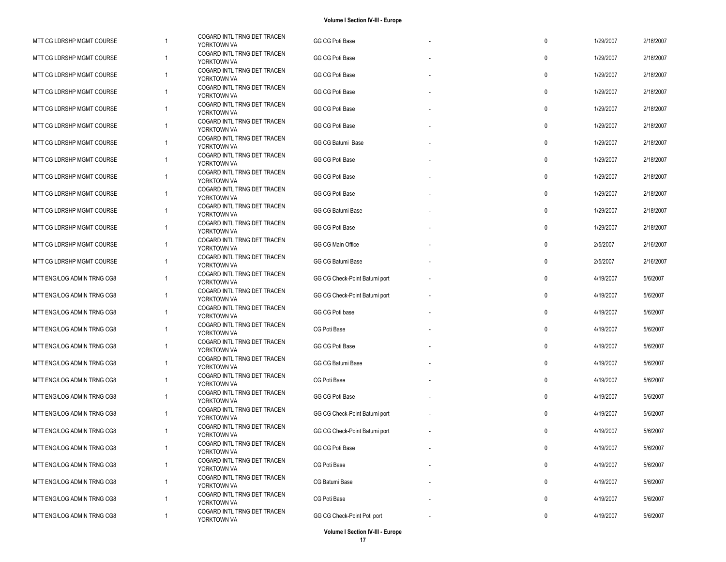| MTT CG LDRSHP MGMT COURSE  |              | COGARD INTL TRNG DET TRACEN<br>YORKTOWN VA | GG CG Poti Base               | 0           | 1/29/2007 | 2/18/2007 |
|----------------------------|--------------|--------------------------------------------|-------------------------------|-------------|-----------|-----------|
| MTT CG LDRSHP MGMT COURSE  | -1           | COGARD INTL TRNG DET TRACEN<br>YORKTOWN VA | GG CG Poti Base               | 0           | 1/29/2007 | 2/18/2007 |
| MTT CG LDRSHP MGMT COURSE  | 1            | COGARD INTL TRNG DET TRACEN<br>YORKTOWN VA | GG CG Poti Base               | 0           | 1/29/2007 | 2/18/2007 |
| MTT CG LDRSHP MGMT COURSE  | 1            | COGARD INTL TRNG DET TRACEN<br>YORKTOWN VA | GG CG Poti Base               | 0           | 1/29/2007 | 2/18/2007 |
| MTT CG LDRSHP MGMT COURSE  | 1            | COGARD INTL TRNG DET TRACEN<br>YORKTOWN VA | GG CG Poti Base               | 0           | 1/29/2007 | 2/18/2007 |
| MTT CG LDRSHP MGMT COURSE  | 1            | COGARD INTL TRNG DET TRACEN<br>YORKTOWN VA | GG CG Poti Base               | 0           | 1/29/2007 | 2/18/2007 |
| MTT CG LDRSHP MGMT COURSE  | $\mathbf{1}$ | COGARD INTL TRNG DET TRACEN<br>YORKTOWN VA | GG CG Batumi Base             | 0           | 1/29/2007 | 2/18/2007 |
| MTT CG LDRSHP MGMT COURSE  | 1            | COGARD INTL TRNG DET TRACEN<br>YORKTOWN VA | GG CG Poti Base               | 0           | 1/29/2007 | 2/18/2007 |
| MTT CG LDRSHP MGMT COURSE  | 1            | COGARD INTL TRNG DET TRACEN<br>YORKTOWN VA | GG CG Poti Base               | 0           | 1/29/2007 | 2/18/2007 |
| MTT CG LDRSHP MGMT COURSE  | $\mathbf{1}$ | COGARD INTL TRNG DET TRACEN<br>YORKTOWN VA | GG CG Poti Base               | 0           | 1/29/2007 | 2/18/2007 |
| MTT CG LDRSHP MGMT COURSE  | 1            | COGARD INTL TRNG DET TRACEN<br>YORKTOWN VA | GG CG Batumi Base             | $\mathbf 0$ | 1/29/2007 | 2/18/2007 |
| MTT CG LDRSHP MGMT COURSE  | 1            | COGARD INTL TRNG DET TRACEN<br>YORKTOWN VA | GG CG Poti Base               | 0           | 1/29/2007 | 2/18/2007 |
| MTT CG LDRSHP MGMT COURSE  | $\mathbf{1}$ | COGARD INTL TRNG DET TRACEN<br>YORKTOWN VA | GG CG Main Office             | 0           | 2/5/2007  | 2/16/2007 |
| MTT CG LDRSHP MGMT COURSE  | 1            | COGARD INTL TRNG DET TRACEN<br>YORKTOWN VA | GG CG Batumi Base             | 0           | 2/5/2007  | 2/16/2007 |
| MTT ENG/LOG ADMIN TRNG CG8 | 1            | COGARD INTL TRNG DET TRACEN<br>YORKTOWN VA | GG CG Check-Point Batumi port | 0           | 4/19/2007 | 5/6/2007  |
| MTT ENG/LOG ADMIN TRNG CG8 | 1            | COGARD INTL TRNG DET TRACEN<br>YORKTOWN VA | GG CG Check-Point Batumi port | $\mathbf 0$ | 4/19/2007 | 5/6/2007  |
| MTT ENG/LOG ADMIN TRNG CG8 | 1            | COGARD INTL TRNG DET TRACEN<br>YORKTOWN VA | GG CG Poti base               | 0           | 4/19/2007 | 5/6/2007  |
| MTT ENG/LOG ADMIN TRNG CG8 | 1            | COGARD INTL TRNG DET TRACEN<br>YORKTOWN VA | CG Poti Base                  | 0           | 4/19/2007 | 5/6/2007  |
| MTT ENG/LOG ADMIN TRNG CG8 | $\mathbf{1}$ | COGARD INTL TRNG DET TRACEN<br>YORKTOWN VA | GG CG Poti Base               | 0           | 4/19/2007 | 5/6/2007  |
| MTT ENG/LOG ADMIN TRNG CG8 | 1            | COGARD INTL TRNG DET TRACEN<br>YORKTOWN VA | GG CG Batumi Base             | 0           | 4/19/2007 | 5/6/2007  |
| MTT ENG/LOG ADMIN TRNG CG8 | 1            | COGARD INTL TRNG DET TRACEN<br>YORKTOWN VA | CG Poti Base                  | 0           | 4/19/2007 | 5/6/2007  |
| MTT ENG/LOG ADMIN TRNG CG8 | 1            | COGARD INTL TRNG DET TRACEN<br>YORKTOWN VA | GG CG Poti Base               | $\mathbf 0$ | 4/19/2007 | 5/6/2007  |
| MTT ENG/LOG ADMIN TRNG CG8 | 1            | COGARD INTL TRNG DET TRACEN<br>YORKTOWN VA | GG CG Check-Point Batumi port | 0           | 4/19/2007 | 5/6/2007  |
| MTT ENG/LOG ADMIN TRNG CG8 | 1            | COGARD INTL TRNG DET TRACEN<br>YORKTOWN VA | GG CG Check-Point Batumi port | 0           | 4/19/2007 | 5/6/2007  |
| MTT ENG/LOG ADMIN TRNG CG8 | 1            | COGARD INTL TRNG DET TRACEN<br>YORKTOWN VA | GG CG Poti Base               | $\mathbf 0$ | 4/19/2007 | 5/6/2007  |
| MTT ENG/LOG ADMIN TRNG CG8 | 1            | COGARD INTL TRNG DET TRACEN<br>YORKTOWN VA | CG Poti Base                  | 0           | 4/19/2007 | 5/6/2007  |
| MTT ENG/LOG ADMIN TRNG CG8 | 1            | COGARD INTL TRNG DET TRACEN<br>YORKTOWN VA | CG Batumi Base                | 0           | 4/19/2007 | 5/6/2007  |
| MTT ENG/LOG ADMIN TRNG CG8 | 1            | COGARD INTL TRNG DET TRACEN<br>YORKTOWN VA | CG Poti Base                  | 0           | 4/19/2007 | 5/6/2007  |
| MTT ENG/LOG ADMIN TRNG CG8 | $\mathbf{1}$ | COGARD INTL TRNG DET TRACEN<br>YORKTOWN VA | GG CG Check-Point Poti port   | 0           | 4/19/2007 | 5/6/2007  |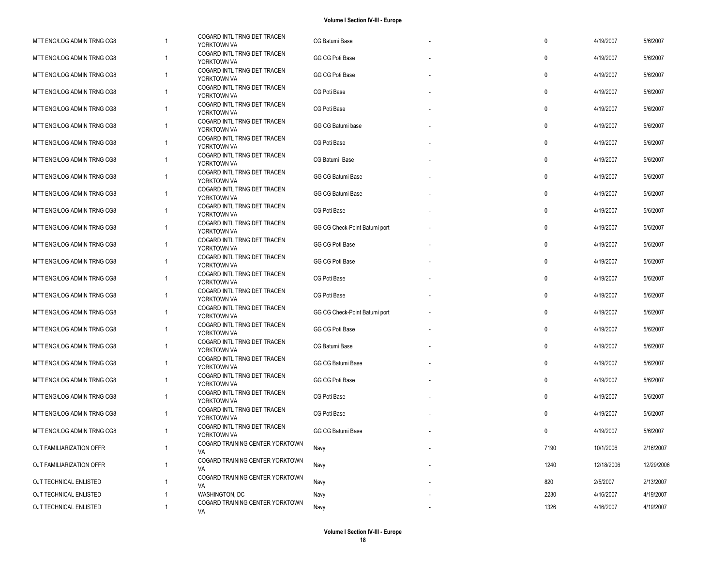| MTT ENG/LOG ADMIN TRNG CG8 | -1             | COGARD INTL TRNG DET TRACEN<br>YORKTOWN VA | CG Batumi Base                | $\mathbf 0$  | 4/19/2007  | 5/6/2007   |
|----------------------------|----------------|--------------------------------------------|-------------------------------|--------------|------------|------------|
| MTT ENG/LOG ADMIN TRNG CG8 | $\mathbf{1}$   | COGARD INTL TRNG DET TRACEN<br>YORKTOWN VA | GG CG Poti Base               | $\mathbf{0}$ | 4/19/2007  | 5/6/2007   |
| MTT ENG/LOG ADMIN TRNG CG8 | $\mathbf{1}$   | COGARD INTL TRNG DET TRACEN<br>YORKTOWN VA | GG CG Poti Base               | $\mathbf 0$  | 4/19/2007  | 5/6/2007   |
| MTT ENG/LOG ADMIN TRNG CG8 | $\overline{1}$ | COGARD INTL TRNG DET TRACEN<br>YORKTOWN VA | CG Poti Base                  | $\mathbf 0$  | 4/19/2007  | 5/6/2007   |
| MTT ENG/LOG ADMIN TRNG CG8 | $\overline{1}$ | COGARD INTL TRNG DET TRACEN<br>YORKTOWN VA | CG Poti Base                  | $\pmb{0}$    | 4/19/2007  | 5/6/2007   |
| MTT ENG/LOG ADMIN TRNG CG8 | $\mathbf{1}$   | COGARD INTL TRNG DET TRACEN<br>YORKTOWN VA | GG CG Batumi base             | $\mathbf 0$  | 4/19/2007  | 5/6/2007   |
| MTT ENG/LOG ADMIN TRNG CG8 | $\overline{1}$ | COGARD INTL TRNG DET TRACEN<br>YORKTOWN VA | CG Poti Base                  | $\mathbf 0$  | 4/19/2007  | 5/6/2007   |
| MTT ENG/LOG ADMIN TRNG CG8 | $\overline{1}$ | COGARD INTL TRNG DET TRACEN<br>YORKTOWN VA | CG Batumi Base                | $\mathbf 0$  | 4/19/2007  | 5/6/2007   |
| MTT ENG/LOG ADMIN TRNG CG8 | $\overline{1}$ | COGARD INTL TRNG DET TRACEN<br>YORKTOWN VA | GG CG Batumi Base             | $\mathbf 0$  | 4/19/2007  | 5/6/2007   |
| MTT ENG/LOG ADMIN TRNG CG8 | $\mathbf{1}$   | COGARD INTL TRNG DET TRACEN<br>YORKTOWN VA | GG CG Batumi Base             | $\mathbf 0$  | 4/19/2007  | 5/6/2007   |
| MTT ENG/LOG ADMIN TRNG CG8 | $\mathbf{1}$   | COGARD INTL TRNG DET TRACEN<br>YORKTOWN VA | CG Poti Base                  | $\mathbf 0$  | 4/19/2007  | 5/6/2007   |
| MTT ENG/LOG ADMIN TRNG CG8 | $\overline{1}$ | COGARD INTL TRNG DET TRACEN<br>YORKTOWN VA | GG CG Check-Point Batumi port | $\mathbf 0$  | 4/19/2007  | 5/6/2007   |
| MTT ENG/LOG ADMIN TRNG CG8 | $\mathbf{1}$   | COGARD INTL TRNG DET TRACEN<br>YORKTOWN VA | GG CG Poti Base               | $\mathbf 0$  | 4/19/2007  | 5/6/2007   |
| MTT ENG/LOG ADMIN TRNG CG8 | $\overline{1}$ | COGARD INTL TRNG DET TRACEN<br>YORKTOWN VA | GG CG Poti Base               | $\mathbf 0$  | 4/19/2007  | 5/6/2007   |
| MTT ENG/LOG ADMIN TRNG CG8 | $\mathbf{1}$   | COGARD INTL TRNG DET TRACEN<br>YORKTOWN VA | CG Poti Base                  | $\mathbf 0$  | 4/19/2007  | 5/6/2007   |
| MTT ENG/LOG ADMIN TRNG CG8 | $\overline{1}$ | COGARD INTL TRNG DET TRACEN<br>YORKTOWN VA | CG Poti Base                  | $\mathbf 0$  | 4/19/2007  | 5/6/2007   |
| MTT ENG/LOG ADMIN TRNG CG8 | $\mathbf{1}$   | COGARD INTL TRNG DET TRACEN<br>YORKTOWN VA | GG CG Check-Point Batumi port | $\mathbf 0$  | 4/19/2007  | 5/6/2007   |
| MTT ENG/LOG ADMIN TRNG CG8 | $\overline{1}$ | COGARD INTL TRNG DET TRACEN<br>YORKTOWN VA | GG CG Poti Base               | $\mathbf 0$  | 4/19/2007  | 5/6/2007   |
| MTT ENG/LOG ADMIN TRNG CG8 | $\overline{1}$ | COGARD INTL TRNG DET TRACEN<br>YORKTOWN VA | CG Batumi Base                | $\mathbf 0$  | 4/19/2007  | 5/6/2007   |
| MTT ENG/LOG ADMIN TRNG CG8 | $\mathbf{1}$   | COGARD INTL TRNG DET TRACEN<br>YORKTOWN VA | GG CG Batumi Base             | $\mathbf 0$  | 4/19/2007  | 5/6/2007   |
| MTT ENG/LOG ADMIN TRNG CG8 | $\overline{1}$ | COGARD INTL TRNG DET TRACEN<br>YORKTOWN VA | GG CG Poti Base               | $\mathbf 0$  | 4/19/2007  | 5/6/2007   |
| MTT ENG/LOG ADMIN TRNG CG8 | $\overline{1}$ | COGARD INTL TRNG DET TRACEN<br>YORKTOWN VA | CG Poti Base                  | $\mathbf 0$  | 4/19/2007  | 5/6/2007   |
| MTT ENG/LOG ADMIN TRNG CG8 | $\mathbf{1}$   | COGARD INTL TRNG DET TRACEN<br>YORKTOWN VA | CG Poti Base                  | $\mathbf 0$  | 4/19/2007  | 5/6/2007   |
| MTT ENG/LOG ADMIN TRNG CG8 | $\mathbf{1}$   | COGARD INTL TRNG DET TRACEN<br>YORKTOWN VA | GG CG Batumi Base             | $\mathbf 0$  | 4/19/2007  | 5/6/2007   |
| OJT FAMILIARIZATION OFFR   | $\mathbf{1}$   | COGARD TRAINING CENTER YORKTOWN<br>VA      | Navy                          | 7190         | 10/1/2006  | 2/16/2007  |
| OJT FAMILIARIZATION OFFR   | $\mathbf{1}$   | COGARD TRAINING CENTER YORKTOWN<br>VA      | Navy                          | 1240         | 12/18/2006 | 12/29/2006 |
| OJT TECHNICAL ENLISTED     | $\overline{1}$ | COGARD TRAINING CENTER YORKTOWN<br>VA      | Navy                          | 820          | 2/5/2007   | 2/13/2007  |
| OJT TECHNICAL ENLISTED     | $\mathbf{1}$   | WASHINGTON, DC                             | Navy                          | 2230         | 4/16/2007  | 4/19/2007  |
| OJT TECHNICAL ENLISTED     | $\overline{1}$ | COGARD TRAINING CENTER YORKTOWN<br>VA      | Navy                          | 1326         | 4/16/2007  | 4/19/2007  |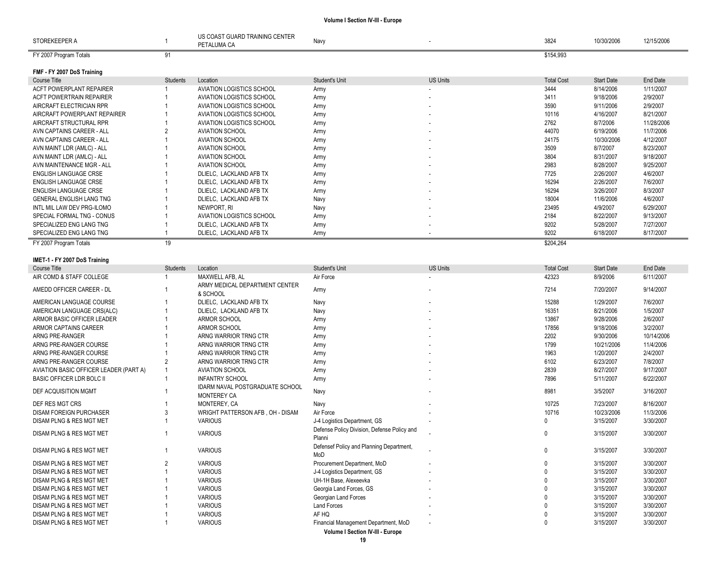| STOREKEEPER A                   |          | US COAST GUARD TRAINING CENTER<br>PETALUMA CA | Navy                  |                          | 3824              | 10/30/2006        | 12/15/2006 |
|---------------------------------|----------|-----------------------------------------------|-----------------------|--------------------------|-------------------|-------------------|------------|
| FY 2007 Program Totals          | 91       |                                               |                       |                          | \$154,993         |                   |            |
| FMF - FY 2007 DoS Training      |          |                                               |                       |                          |                   |                   |            |
| Course Title                    | Students | Location                                      | <b>Student's Unit</b> | <b>US Units</b>          | <b>Total Cost</b> | <b>Start Date</b> | End Date   |
| ACFT POWERPLANT REPAIRER        |          | <b>AVIATION LOGISTICS SCHOOL</b>              | Army                  | $\overline{\phantom{a}}$ | 3444              | 8/14/2006         | 1/11/2007  |
| <b>ACFT POWERTRAIN REPAIRER</b> |          | <b>AVIATION LOGISTICS SCHOOL</b>              | Army                  | $\overline{\phantom{a}}$ | 3411              | 9/18/2006         | 2/9/2007   |
| AIRCRAFT ELECTRICIAN RPR        |          | AVIATION LOGISTICS SCHOOL                     | Army                  |                          | 3590              | 9/11/2006         | 2/9/2007   |
| AIRCRAFT POWERPLANT REPAIRER    |          | <b>AVIATION LOGISTICS SCHOOL</b>              | Army                  | $\overline{\phantom{a}}$ | 10116             | 4/16/2007         | 8/21/2007  |
| AIRCRAFT STRUCTURAL RPR         |          | AVIATION LOGISTICS SCHOOL                     | Army                  |                          | 2762              | 8/7/2006          | 11/28/2006 |
| AVN CAPTAINS CAREER - ALL       |          | <b>AVIATION SCHOOL</b>                        | Army                  | $\overline{\phantom{a}}$ | 44070             | 6/19/2006         | 11/7/2006  |
| AVN CAPTAINS CAREER - ALL       |          | <b>AVIATION SCHOOL</b>                        | Army                  | $\overline{\phantom{a}}$ | 24175             | 10/30/2006        | 4/12/2007  |
| AVN MAINT LDR (AMLC) - ALL      |          | <b>AVIATION SCHOOL</b>                        | Army                  |                          | 3509              | 8/7/2007          | 8/23/2007  |
| AVN MAINT LDR (AMLC) - ALL      |          | <b>AVIATION SCHOOL</b>                        | Army                  | $\overline{\phantom{a}}$ | 3804              | 8/31/2007         | 9/18/2007  |
| AVN MAINTENANCE MGR - ALL       |          | <b>AVIATION SCHOOL</b>                        | Army                  |                          | 2983              | 8/28/2007         | 9/25/2007  |
| ENGLISH LANGUAGE CRSE           |          | DLIELC, LACKLAND AFB TX                       | Army                  |                          | 7725              | 2/26/2007         | 4/6/2007   |
| ENGLISH LANGUAGE CRSE           |          | DLIELC, LACKLAND AFB TX                       | Army                  | $\sim$                   | 16294             | 2/26/2007         | 7/6/2007   |
| ENGLISH LANGUAGE CRSE           |          | DLIELC, LACKLAND AFB TX                       | Army                  |                          | 16294             | 3/26/2007         | 8/3/2007   |
| <b>GENERAL ENGLISH LANG TNG</b> |          | DLIELC, LACKLAND AFB TX                       | Navy                  | $\overline{\phantom{a}}$ | 18004             | 11/6/2006         | 4/6/2007   |
| INTL MIL LAW DEV PRG-ILOMO      |          | Newport, Ri                                   | Navy                  | $\overline{\phantom{a}}$ | 23495             | 4/9/2007          | 6/29/2007  |
| SPECIAL FORMAL TNG - CONUS      |          | AVIATION LOGISTICS SCHOOL                     | Army                  |                          | 2184              | 8/22/2007         | 9/13/2007  |
| SPECIALIZED ENG LANG TNG        |          | DLIELC, LACKLAND AFB TX                       | Army                  | $\overline{\phantom{a}}$ | 9202              | 5/28/2007         | 7/27/2007  |
| SPECIALIZED ENG LANG TNG        |          | DLIELC. LACKLAND AFB TX                       | Army                  |                          | 9202              | 6/18/2007         | 8/17/2007  |

FY 2007 Program Totals 3204,264 **19** \$204,264

| IMET-1 - FY 2007 DoS Training          |          |                                                              |                                                       |                 |                   |                   |                 |
|----------------------------------------|----------|--------------------------------------------------------------|-------------------------------------------------------|-----------------|-------------------|-------------------|-----------------|
| Course Title                           | Students | Location                                                     | <b>Student's Unit</b>                                 | <b>US Units</b> | <b>Total Cost</b> | <b>Start Date</b> | <b>End Date</b> |
| AIR COMD & STAFF COLLEGE               |          | MAXWELL AFB, AL                                              | Air Force                                             |                 | 42323             | 8/9/2006          | 6/11/2007       |
| AMEDD OFFICER CAREER - DL              |          | ARMY MEDICAL DEPARTMENT CENTER<br>& SCHOOL                   | Army                                                  |                 | 7214              | 7/20/2007         | 9/14/2007       |
| AMERICAN LANGUAGE COURSE               |          | DLIELC. LACKLAND AFB TX                                      | Navy                                                  |                 | 15288             | 1/29/2007         | 7/6/2007        |
| AMERICAN LANGUAGE CRS(ALC)             |          | DLIELC, LACKLAND AFB TX                                      | Navy                                                  |                 | 16351             | 8/21/2006         | 1/5/2007        |
| ARMOR BASIC OFFICER LEADER             |          | ARMOR SCHOOL                                                 | Army                                                  |                 | 13867             | 9/28/2006         | 2/6/2007        |
| ARMOR CAPTAINS CAREER                  |          | <b>ARMOR SCHOOL</b>                                          | Army                                                  |                 | 17856             | 9/18/2006         | 3/2/2007        |
| ARNG PRE-RANGER                        |          | ARNG WARRIOR TRNG CTR                                        | Army                                                  |                 | 2202              | 9/30/2006         | 10/14/2006      |
| ARNG PRE-RANGER COURSE                 |          | ARNG WARRIOR TRNG CTR                                        | Army                                                  |                 | 1799              | 10/21/2006        | 11/4/2006       |
| ARNG PRE-RANGER COURSE                 |          | ARNG WARRIOR TRNG CTR                                        | Army                                                  |                 | 1963              | 1/20/2007         | 2/4/2007        |
| ARNG PRE-RANGER COURSE                 |          | ARNG WARRIOR TRNG CTR                                        | Army                                                  |                 | 6102              | 6/23/2007         | 7/8/2007        |
| AVIATION BASIC OFFICER LEADER (PART A) |          | <b>AVIATION SCHOOL</b>                                       | Army                                                  |                 | 2839              | 8/27/2007         | 9/17/2007       |
| <b>BASIC OFFICER LDR BOLC II</b>       |          | <b>INFANTRY SCHOOL</b>                                       | Army                                                  |                 | 7896              | 5/11/2007         | 6/22/2007       |
| DEF ACQUISITION MGMT                   |          | <b>IDARM NAVAL POSTGRADUATE SCHOOL</b><br><b>MONTEREY CA</b> | Navy                                                  |                 | 8981              | 3/5/2007          | 3/16/2007       |
| DEF RES MGT CRS                        |          | MONTEREY, CA                                                 | Navy                                                  |                 | 10725             | 7/23/2007         | 8/16/2007       |
| <b>DISAM FOREIGN PURCHASER</b>         |          | WRIGHT PATTERSON AFB, OH - DISAM                             | Air Force                                             |                 | 10716             | 10/23/2006        | 11/3/2006       |
| DISAM PLNG & RES MGT MET               |          | <b>VARIOUS</b>                                               | J-4 Logistics Department, GS                          |                 | 0                 | 3/15/2007         | 3/30/2007       |
| DISAM PLNG & RES MGT MET               |          | <b>VARIOUS</b>                                               | Defense Policy Division, Defense Policy and<br>Planni |                 | $\mathbf{0}$      | 3/15/2007         | 3/30/2007       |
| DISAM PLNG & RES MGT MET               |          | <b>VARIOUS</b>                                               | Defensef Policy and Planning Department,<br>MoD       |                 | $\Omega$          | 3/15/2007         | 3/30/2007       |
| DISAM PLNG & RES MGT MET               |          | <b>VARIOUS</b>                                               | Procurement Department, MoD                           |                 |                   | 3/15/2007         | 3/30/2007       |
| DISAM PLNG & RES MGT MET               |          | <b>VARIOUS</b>                                               | J-4 Logistics Department, GS                          |                 |                   | 3/15/2007         | 3/30/2007       |
| DISAM PLNG & RES MGT MET               |          | <b>VARIOUS</b>                                               | UH-1H Base, Alexeevka                                 |                 |                   | 3/15/2007         | 3/30/2007       |
| DISAM PLNG & RES MGT MET               |          | <b>VARIOUS</b>                                               | Georgia Land Forces, GS                               |                 |                   | 3/15/2007         | 3/30/2007       |
| DISAM PLNG & RES MGT MET               |          | <b>VARIOUS</b>                                               | Georgian Land Forces                                  |                 |                   | 3/15/2007         | 3/30/2007       |
| DISAM PLNG & RES MGT MET               |          | <b>VARIOUS</b>                                               | <b>Land Forces</b>                                    |                 |                   | 3/15/2007         | 3/30/2007       |
| DISAM PLNG & RES MGT MET               |          | <b>VARIOUS</b>                                               | AF HQ                                                 |                 |                   | 3/15/2007         | 3/30/2007       |
| DISAM PLNG & RES MGT MET               |          | <b>VARIOUS</b>                                               | Financial Management Department, MoD                  |                 |                   | 3/15/2007         | 3/30/2007       |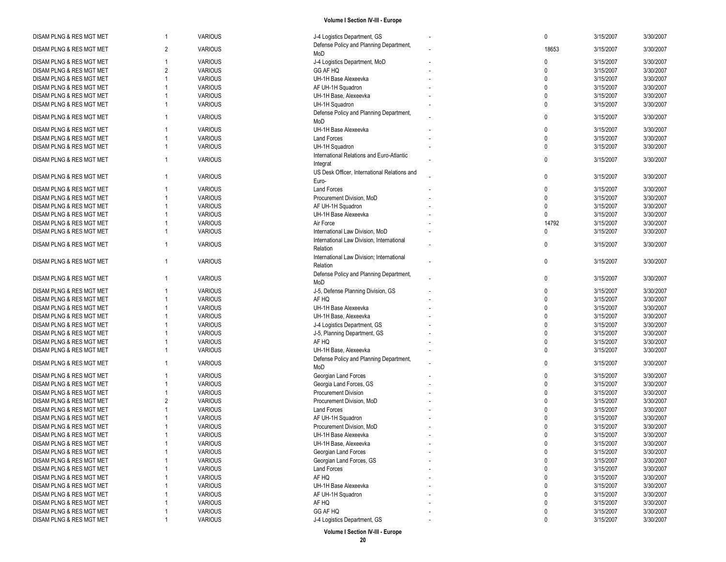| DISAM PLNG & RES MGT MET |                | <b>VARIOUS</b> | J-4 Logistics Department, GS                 | 0            | 3/15/2007 | 3/30/2007 |
|--------------------------|----------------|----------------|----------------------------------------------|--------------|-----------|-----------|
| DISAM PLNG & RES MGT MET | $\overline{2}$ | <b>VARIOUS</b> | Defense Policy and Planning Department,      | 18653        | 3/15/2007 | 3/30/2007 |
|                          |                |                | MoD                                          |              |           |           |
| DISAM PLNG & RES MGT MET |                | <b>VARIOUS</b> | J-4 Logistics Department, MoD                | $\mathbf{0}$ | 3/15/2007 | 3/30/2007 |
| DISAM PLNG & RES MGT MET | 2              | <b>VARIOUS</b> | GG AF HQ                                     | $\Omega$     | 3/15/2007 | 3/30/2007 |
| DISAM PLNG & RES MGT MET |                | <b>VARIOUS</b> | UH-1H Base Alexeevka                         | $\Omega$     | 3/15/2007 | 3/30/2007 |
| DISAM PLNG & RES MGT MET |                | <b>VARIOUS</b> | AF UH-1H Squadron                            | $\Omega$     | 3/15/2007 | 3/30/2007 |
| DISAM PLNG & RES MGT MET |                | <b>VARIOUS</b> | UH-1H Base, Alexeevka                        | $\Omega$     | 3/15/2007 | 3/30/2007 |
| DISAM PLNG & RES MGT MET |                | <b>VARIOUS</b> | UH-1H Squadron                               | $\Omega$     | 3/15/2007 | 3/30/2007 |
|                          |                |                | Defense Policy and Planning Department,      |              |           |           |
| DISAM PLNG & RES MGT MET |                | <b>VARIOUS</b> | MoD                                          | $\mathbf{0}$ | 3/15/2007 | 3/30/2007 |
| DISAM PLNG & RES MGT MET |                | <b>VARIOUS</b> | UH-1H Base Alexeevka                         | $\mathbf 0$  | 3/15/2007 | 3/30/2007 |
| DISAM PLNG & RES MGT MET |                | <b>VARIOUS</b> | <b>Land Forces</b>                           | $\mathbf 0$  | 3/15/2007 | 3/30/2007 |
| DISAM PLNG & RES MGT MET |                | <b>VARIOUS</b> | UH-1H Squadron                               | $\mathbf{0}$ | 3/15/2007 | 3/30/2007 |
|                          |                |                | International Relations and Euro-Atlantic    |              |           |           |
| DISAM PLNG & RES MGT MET | -1             | <b>VARIOUS</b> | Integrat                                     | $\mathbf{0}$ | 3/15/2007 | 3/30/2007 |
|                          |                |                | US Desk Officer, International Relations and |              |           |           |
| DISAM PLNG & RES MGT MET |                | <b>VARIOUS</b> | Euro-                                        | $\mathbf 0$  | 3/15/2007 | 3/30/2007 |
|                          |                | <b>VARIOUS</b> | <b>Land Forces</b>                           | $\mathbf{0}$ | 3/15/2007 | 3/30/2007 |
| DISAM PLNG & RES MGT MET |                |                |                                              | $\Omega$     |           |           |
| DISAM PLNG & RES MGT MET |                | <b>VARIOUS</b> | Procurement Division, MoD                    | $\Omega$     | 3/15/2007 | 3/30/2007 |
| DISAM PLNG & RES MGT MET |                | <b>VARIOUS</b> | AF UH-1H Squadron                            |              | 3/15/2007 | 3/30/2007 |
| DISAM PLNG & RES MGT MET |                | <b>VARIOUS</b> | UH-1H Base Alexeevka                         | $\Omega$     | 3/15/2007 | 3/30/2007 |
| DISAM PLNG & RES MGT MET |                | <b>VARIOUS</b> | Air Force                                    | 14792        | 3/15/2007 | 3/30/2007 |
| DISAM PLNG & RES MGT MET |                | <b>VARIOUS</b> | International Law Division, MoD              | $\mathbf 0$  | 3/15/2007 | 3/30/2007 |
| DISAM PLNG & RES MGT MET | 1              | <b>VARIOUS</b> | International Law Division, International    | $\Omega$     | 3/15/2007 | 3/30/2007 |
|                          |                |                | Relation                                     |              |           |           |
| DISAM PLNG & RES MGT MET | -1             | <b>VARIOUS</b> | International Law Division; International    | $\mathbf 0$  | 3/15/2007 | 3/30/2007 |
|                          |                |                | Relation                                     |              |           |           |
| DISAM PLNG & RES MGT MET | 1              | <b>VARIOUS</b> | Defense Policy and Planning Department,      | $\mathbf{0}$ | 3/15/2007 | 3/30/2007 |
|                          |                |                | MoD                                          |              |           |           |
| DISAM PLNG & RES MGT MET |                | <b>VARIOUS</b> | J-5, Defense Planning Division, GS           | $\mathbf{0}$ | 3/15/2007 | 3/30/2007 |
| DISAM PLNG & RES MGT MET |                | <b>VARIOUS</b> | AF HQ                                        | $\Omega$     | 3/15/2007 | 3/30/2007 |
| DISAM PLNG & RES MGT MET |                | <b>VARIOUS</b> | UH-1H Base Alexeevka                         | $\Omega$     | 3/15/2007 | 3/30/2007 |
| DISAM PLNG & RES MGT MET |                | <b>VARIOUS</b> | UH-1H Base, Alexeevka                        | $\Omega$     | 3/15/2007 | 3/30/2007 |
| DISAM PLNG & RES MGT MET |                | <b>VARIOUS</b> | J-4 Logistics Department, GS                 | $\Omega$     | 3/15/2007 | 3/30/2007 |
| DISAM PLNG & RES MGT MET |                | <b>VARIOUS</b> | J-5, Planning Department, GS                 | $\Omega$     | 3/15/2007 | 3/30/2007 |
| DISAM PLNG & RES MGT MET |                | <b>VARIOUS</b> | AF HQ                                        | $\mathbf{0}$ | 3/15/2007 | 3/30/2007 |
| DISAM PLNG & RES MGT MET |                | <b>VARIOUS</b> | UH-1H Base, Alexeevka                        | $\mathbf{0}$ | 3/15/2007 | 3/30/2007 |
|                          |                |                | Defense Policy and Planning Department,      |              |           |           |
| DISAM PLNG & RES MGT MET |                | <b>VARIOUS</b> | MoD                                          | $\Omega$     | 3/15/2007 | 3/30/2007 |
| DISAM PLNG & RES MGT MET |                | <b>VARIOUS</b> | Georgian Land Forces                         | $\mathbf{0}$ | 3/15/2007 | 3/30/2007 |
| DISAM PLNG & RES MGT MET |                | <b>VARIOUS</b> | Georgia Land Forces, GS                      | $\mathbf{0}$ | 3/15/2007 | 3/30/2007 |
| DISAM PLNG & RES MGT MET |                | <b>VARIOUS</b> | <b>Procurement Division</b>                  | $\Omega$     | 3/15/2007 | 3/30/2007 |
| DISAM PLNG & RES MGT MET | $\overline{2}$ | <b>VARIOUS</b> |                                              | $\Omega$     | 3/15/2007 | 3/30/2007 |
|                          |                |                | Procurement Division, MoD                    | $\Omega$     |           |           |
| DISAM PLNG & RES MGT MET |                | <b>VARIOUS</b> | Land Forces                                  |              | 3/15/2007 | 3/30/2007 |
| DISAM PLNG & RES MGT MET |                | <b>VARIOUS</b> | AF UH-1H Squadron                            |              | 3/15/2007 | 3/30/2007 |
| DISAM PLNG & RES MGT MET |                | <b>VARIOUS</b> | Procurement Division, MoD                    |              | 3/15/2007 | 3/30/2007 |
| DISAM PLNG & RES MGT MET |                | <b>VARIOUS</b> | UH-1H Base Alexeevka                         | <sup>n</sup> | 3/15/2007 | 3/30/2007 |
| DISAM PLNG & RES MGT MET |                | <b>VARIOUS</b> | UH-1H Base, Alexeevka                        | $\Omega$     | 3/15/2007 | 3/30/2007 |
| DISAM PLNG & RES MGT MET |                | VARIOUS        | Georgian Land Forces                         | $\mathbf 0$  | 3/15/2007 | 3/30/2007 |
| DISAM PLNG & RES MGT MET |                | VARIOUS        | Georgian Land Forces, GS                     | $\mathbf 0$  | 3/15/2007 | 3/30/2007 |
| DISAM PLNG & RES MGT MET |                | <b>VARIOUS</b> | Land Forces                                  | 0            | 3/15/2007 | 3/30/2007 |
| DISAM PLNG & RES MGT MET |                | <b>VARIOUS</b> | AF HQ                                        | $\mathbf{0}$ | 3/15/2007 | 3/30/2007 |
| DISAM PLNG & RES MGT MET |                | <b>VARIOUS</b> | UH-1H Base Alexeevka                         | $\mathbf{0}$ | 3/15/2007 | 3/30/2007 |
| DISAM PLNG & RES MGT MET |                | <b>VARIOUS</b> | AF UH-1H Squadron                            | $\mathbf{0}$ | 3/15/2007 | 3/30/2007 |
| DISAM PLNG & RES MGT MET |                | <b>VARIOUS</b> | AF HQ                                        | $\mathbf 0$  | 3/15/2007 | 3/30/2007 |
| DISAM PLNG & RES MGT MET |                | <b>VARIOUS</b> | GG AF HQ                                     | 0            | 3/15/2007 | 3/30/2007 |
| DISAM PLNG & RES MGT MET |                | <b>VARIOUS</b> | J-4 Logistics Department, GS                 | $\mathbf 0$  | 3/15/2007 | 3/30/2007 |
|                          |                |                |                                              |              |           |           |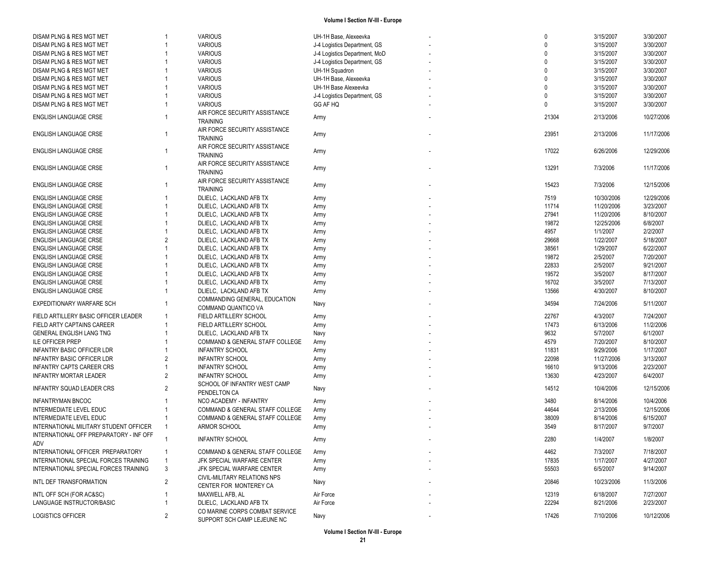| DISAM PLNG & RES MGT MET                       | 1              | <b>VARIOUS</b>                  | UH-1H Base, Alexeevka         | $\Omega$     | 3/15/2007  | 3/30/2007  |
|------------------------------------------------|----------------|---------------------------------|-------------------------------|--------------|------------|------------|
| DISAM PLNG & RES MGT MET                       |                | <b>VARIOUS</b>                  | J-4 Logistics Department, GS  | $\Omega$     | 3/15/2007  | 3/30/2007  |
| DISAM PLNG & RES MGT MET                       |                | <b>VARIOUS</b>                  | J-4 Logistics Department, MoD | $\Omega$     | 3/15/2007  | 3/30/2007  |
| DISAM PLNG & RES MGT MET                       |                | <b>VARIOUS</b>                  | J-4 Logistics Department, GS  | $\Omega$     | 3/15/2007  | 3/30/2007  |
| DISAM PLNG & RES MGT MET                       |                | <b>VARIOUS</b>                  | UH-1H Squadron                | $\Omega$     | 3/15/2007  | 3/30/2007  |
| DISAM PLNG & RES MGT MET                       |                | <b>VARIOUS</b>                  | UH-1H Base, Alexeevka         | $\Omega$     | 3/15/2007  | 3/30/2007  |
| DISAM PLNG & RES MGT MET                       |                | <b>VARIOUS</b>                  | UH-1H Base Alexeevka          | $\mathbf{0}$ | 3/15/2007  | 3/30/2007  |
| DISAM PLNG & RES MGT MET                       |                | <b>VARIOUS</b>                  | J-4 Logistics Department, GS  | $\mathbf{0}$ | 3/15/2007  | 3/30/2007  |
| DISAM PLNG & RES MGT MET                       |                | <b>VARIOUS</b>                  | GG AF HQ                      | $\mathbf{0}$ | 3/15/2007  | 3/30/2007  |
|                                                |                | AIR FORCE SECURITY ASSISTANCE   |                               |              |            |            |
| <b>ENGLISH LANGUAGE CRSE</b>                   |                | <b>TRAINING</b>                 | Army                          | 21304        | 2/13/2006  | 10/27/2006 |
|                                                |                | AIR FORCE SECURITY ASSISTANCE   |                               |              |            |            |
| <b>ENGLISH LANGUAGE CRSE</b>                   | 1              | <b>TRAINING</b>                 | Army                          | 23951        | 2/13/2006  | 11/17/2006 |
|                                                |                | AIR FORCE SECURITY ASSISTANCE   |                               |              |            |            |
| <b>ENGLISH LANGUAGE CRSE</b>                   | 1              | <b>TRAINING</b>                 | Army                          | 17022        | 6/26/2006  | 12/29/2006 |
|                                                |                |                                 |                               |              |            |            |
| <b>ENGLISH LANGUAGE CRSE</b>                   | 1              | AIR FORCE SECURITY ASSISTANCE   | Army                          | 13291        | 7/3/2006   | 11/17/2006 |
|                                                |                | <b>TRAINING</b>                 |                               |              |            |            |
| <b>ENGLISH LANGUAGE CRSE</b>                   |                | AIR FORCE SECURITY ASSISTANCE   | Army                          | 15423        | 7/3/2006   | 12/15/2006 |
|                                                |                | <b>TRAINING</b>                 |                               |              |            |            |
| <b>ENGLISH LANGUAGE CRSE</b>                   |                | DLIELC, LACKLAND AFB TX         | Army                          | 7519         | 10/30/2006 | 12/29/2006 |
| <b>ENGLISH LANGUAGE CRSE</b>                   |                | DLIELC, LACKLAND AFB TX         | Army                          | 11714        | 11/20/2006 | 3/23/2007  |
| <b>ENGLISH LANGUAGE CRSE</b>                   |                | DLIELC. LACKLAND AFB TX         | Army                          | 27941        | 11/20/2006 | 8/10/2007  |
| <b>ENGLISH LANGUAGE CRSE</b>                   |                | DLIELC, LACKLAND AFB TX         | Army                          | 19872        | 12/25/2006 | 6/8/2007   |
| <b>ENGLISH LANGUAGE CRSE</b>                   |                | DLIELC, LACKLAND AFB TX         | Army                          | 4957         | 1/1/2007   | 2/2/2007   |
| <b>ENGLISH LANGUAGE CRSE</b>                   | $\overline{2}$ | DLIELC, LACKLAND AFB TX         | Army                          | 29668        | 1/22/2007  | 5/18/2007  |
| <b>ENGLISH LANGUAGE CRSE</b>                   |                | DLIELC, LACKLAND AFB TX         | Army                          | 38561        | 1/29/2007  | 6/22/2007  |
| <b>ENGLISH LANGUAGE CRSE</b>                   |                | DLIELC. LACKLAND AFB TX         | Army                          | 19872        | 2/5/2007   | 7/20/2007  |
| <b>ENGLISH LANGUAGE CRSE</b>                   |                | DLIELC, LACKLAND AFB TX         | Army                          | 22833        | 2/5/2007   | 9/21/2007  |
| <b>ENGLISH LANGUAGE CRSE</b>                   |                | DLIELC. LACKLAND AFB TX         | Army                          | 19572        | 3/5/2007   | 8/17/2007  |
| <b>ENGLISH LANGUAGE CRSE</b>                   |                | DLIELC, LACKLAND AFB TX         | Army                          | 16702        | 3/5/2007   | 7/13/2007  |
| ENGLISH LANGUAGE CRSE                          |                | DLIELC, LACKLAND AFB TX         | Army                          | 13566        | 4/30/2007  | 8/10/2007  |
|                                                |                | COMMANDING GENERAL, EDUCATION   |                               |              |            |            |
| <b>EXPEDITIONARY WARFARE SCH</b>               |                | COMMAND QUANTICO VA             | Navy                          | 34594        | 7/24/2006  | 5/11/2007  |
| FIELD ARTILLERY BASIC OFFICER LEADER           | $\mathbf{1}$   | FIELD ARTILLERY SCHOOL          | Army                          | 22767        | 4/3/2007   | 7/24/2007  |
| FIELD ARTY CAPTAINS CAREER                     |                | FIELD ARTILLERY SCHOOL          | Army                          | 17473        | 6/13/2006  | 11/2/2006  |
| GENERAL ENGLISH LANG TNG                       |                | DLIELC, LACKLAND AFB TX         | Navy                          | 9632         | 5/7/2007   | 6/1/2007   |
| <b>ILE OFFICER PREP</b>                        |                | COMMAND & GENERAL STAFF COLLEGE | Army                          | 4579         | 7/20/2007  | 8/10/2007  |
| <b>INFANTRY BASIC OFFICER LDR</b>              |                | <b>INFANTRY SCHOOL</b>          | Army                          | 11831        | 9/29/2006  | 1/17/2007  |
| INFANTRY BASIC OFFICER LDR                     | 2              | <b>INFANTRY SCHOOL</b>          | Army                          | 22098        | 11/27/2006 | 3/13/2007  |
| <b>INFANTRY CAPTS CAREER CRS</b>               |                | <b>INFANTRY SCHOOL</b>          | Army                          | 16610        | 9/13/2006  | 2/23/2007  |
| <b>INFANTRY MORTAR LEADER</b>                  | $\overline{2}$ | <b>INFANTRY SCHOOL</b>          |                               | 13630        | 4/23/2007  | 6/4/2007   |
|                                                |                | SCHOOL OF INFANTRY WEST CAMP    | Army                          |              |            |            |
| <b>INFANTRY SQUAD LEADER CRS</b>               | $\overline{2}$ | PENDELTON CA                    | Navy                          | 14512        | 10/4/2006  | 12/15/2006 |
|                                                |                |                                 |                               |              |            |            |
| <b>INFANTRYMAN BNCOC</b>                       |                | NCO ACADEMY - INFANTRY          | Army                          | 3480         | 8/14/2006  | 10/4/2006  |
| <b>INTERMEDIATE LEVEL EDUC</b>                 |                | COMMAND & GENERAL STAFF COLLEGE | Army                          | 44644        | 2/13/2006  | 12/15/2006 |
| INTERMEDIATE LEVEL EDUC                        | 1              | COMMAND & GENERAL STAFF COLLEGE | Army                          | 38009        | 8/14/2006  | 6/15/2007  |
| INTERNATIONAL MILITARY STUDENT OFFICER         | 1              | ARMOR SCHOOL                    | Army                          | 3549         | 8/17/2007  | 9/7/2007   |
| INTERNATIONAL OFF PREPARATORY - INF OFF<br>ADV |                | <b>INFANTRY SCHOOL</b>          | Army                          | 2280         | 1/4/2007   | 1/8/2007   |
| INTERNATIONAL OFFICER PREPARATORY              | 1              | COMMAND & GENERAL STAFF COLLEGE | Army                          | 4462         | 7/3/2007   | 7/18/2007  |
| INTERNATIONAL SPECIAL FORCES TRAINING          | $\mathbf{1}$   | JFK SPECIAL WARFARE CENTER      | Army                          | 17835        | 1/17/2007  | 4/27/2007  |
| INTERNATIONAL SPECIAL FORCES TRAINING          | 3              | JFK SPECIAL WARFARE CENTER      | Army                          | 55503        | 6/5/2007   | 9/14/2007  |
|                                                |                | CIVIL-MILITARY RELATIONS NPS    |                               |              |            |            |
| INTL DEF TRANSFORMATION                        | $\overline{2}$ | CENTER FOR MONTEREY CA          | Navy                          | 20846        | 10/23/2006 | 11/3/2006  |
| INTL OFF SCH (FOR AC&SC)                       |                | MAXWELL AFB, AL                 | Air Force                     | 12319        | 6/18/2007  | 7/27/2007  |
| LANGUAGE INSTRUCTOR/BASIC                      |                | DLIELC, LACKLAND AFB TX         | Air Force                     | 22294        | 8/21/2006  | 2/23/2007  |
|                                                |                | CO MARINE CORPS COMBAT SERVICE  |                               |              |            |            |
| <b>LOGISTICS OFFICER</b>                       | $\overline{c}$ | SUPPORT SCH CAMP LEJEUNE NC     | Navy                          | 17426        | 7/10/2006  | 10/12/2006 |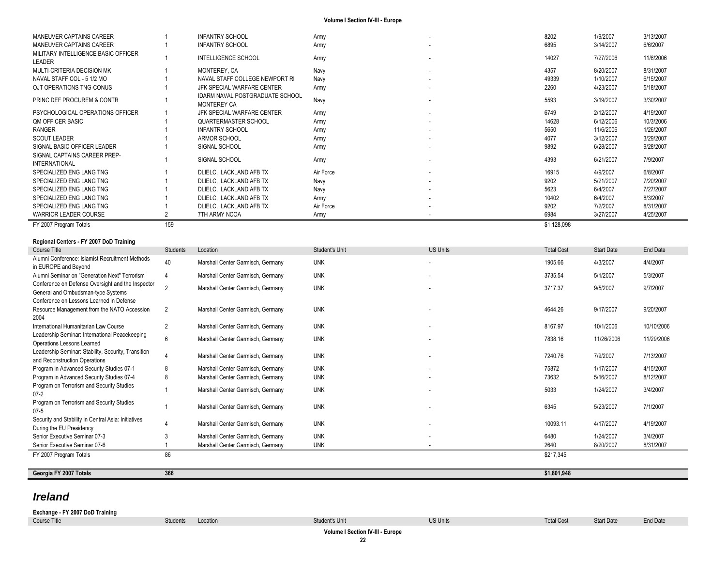| MANEUVER CAPTAINS CAREER                             |     | <b>INFANTRY SCHOOL</b>                                       | Army      | ٠                        | 8202        | 1/9/2007  | 3/13/2007 |
|------------------------------------------------------|-----|--------------------------------------------------------------|-----------|--------------------------|-------------|-----------|-----------|
| MANEUVER CAPTAINS CAREER                             |     | <b>INFANTRY SCHOOL</b>                                       | Army      | ٠                        | 6895        | 3/14/2007 | 6/6/2007  |
| MILITARY INTELLIGENCE BASIC OFFICER<br>LEADER        |     | <b>INTELLIGENCE SCHOOL</b>                                   | Army      | ٠                        | 14027       | 7/27/2006 | 11/8/2006 |
| MULTI-CRITERIA DECISION MK                           |     | MONTEREY, CA                                                 | Navy      |                          | 4357        | 8/20/2007 | 8/31/2007 |
| NAVAL STAFF COL - 5 1/2 MO                           |     | NAVAL STAFF COLLEGE NEWPORT RI                               | Navy      | ٠                        | 49339       | 1/10/2007 | 6/15/2007 |
| OJT OPERATIONS TNG-CONUS                             |     | JFK SPECIAL WARFARE CENTER                                   | Army      | ۰.                       | 2260        | 4/23/2007 | 5/18/2007 |
| <b>PRINC DEF PROCUREM &amp; CONTR</b>                |     | <b>IDARM NAVAL POSTGRADUATE SCHOOL</b><br><b>MONTEREY CA</b> | Navy      |                          | 5593        | 3/19/2007 | 3/30/2007 |
| PSYCHOLOGICAL OPERATIONS OFFICER                     |     | JFK SPECIAL WARFARE CENTER                                   | Army      | $\overline{\phantom{a}}$ | 6749        | 2/12/2007 | 4/19/2007 |
| <b>QM OFFICER BASIC</b>                              |     | QUARTERMASTER SCHOOL                                         | Army      |                          | 14628       | 6/12/2006 | 10/3/2006 |
| <b>RANGER</b>                                        |     | <b>INFANTRY SCHOOL</b>                                       | Army      |                          | 5650        | 11/6/2006 | 1/26/2007 |
| <b>SCOUT LEADER</b>                                  |     | ARMOR SCHOOL                                                 | Army      |                          | 4077        | 3/12/2007 | 3/29/2007 |
| SIGNAL BASIC OFFICER LEADER                          |     | SIGNAL SCHOOL                                                | Army      | ٠                        | 9892        | 6/28/2007 | 9/28/2007 |
| SIGNAL CAPTAINS CAREER PREP-<br><b>INTERNATIONAL</b> |     | SIGNAL SCHOOL                                                | Army      |                          | 4393        | 6/21/2007 | 7/9/2007  |
| SPECIALIZED ENG LANG TNG                             |     | DLIELC, LACKLAND AFB TX                                      | Air Force |                          | 16915       | 4/9/2007  | 6/8/2007  |
| SPECIALIZED ENG LANG TNG                             |     | DLIELC, LACKLAND AFB TX                                      | Navy      | $\overline{\phantom{a}}$ | 9202        | 5/21/2007 | 7/20/2007 |
| SPECIALIZED ENG LANG TNG                             |     | DLIELC. LACKLAND AFB TX                                      | Navy      | ٠                        | 5623        | 6/4/2007  | 7/27/2007 |
| SPECIALIZED ENG LANG TNG                             |     | DLIELC, LACKLAND AFB TX                                      | Army      |                          | 10402       | 6/4/2007  | 8/3/2007  |
| SPECIALIZED ENG LANG TNG                             |     | DLIELC, LACKLAND AFB TX                                      | Air Force |                          | 9202        | 7/2/2007  | 8/31/2007 |
| <b>WARRIOR LEADER COURSE</b>                         |     | 7TH ARMY NCOA                                                | Army      | ٠                        | 6984        | 3/27/2007 | 4/25/2007 |
| FY 2007 Program Totals                               | 159 |                                                              |           |                          | \$1,128,098 |           |           |

#### **Regional Centers - FY 2007 DoD Training**

| Course Title                                                                            | <b>Students</b> | Location                          | Student's Unit | <b>US Units</b>          | <b>Total Cost</b> | Start Date | End Date   |
|-----------------------------------------------------------------------------------------|-----------------|-----------------------------------|----------------|--------------------------|-------------------|------------|------------|
| Alumni Conference: Islamist Recruitment Methods<br>in EUROPE and Beyond                 | 40              | Marshall Center Garmisch, Germany | <b>UNK</b>     | $\overline{\phantom{a}}$ | 1905.66           | 4/3/2007   | 4/4/2007   |
| Alumni Seminar on "Generation Next" Terrorism                                           |                 | Marshall Center Garmisch, Germany | <b>UNK</b>     | $\overline{\phantom{a}}$ | 3735.54           | 5/1/2007   | 5/3/2007   |
| Conference on Defense Oversight and the Inspector<br>General and Ombudsman-type Systems | $\overline{2}$  | Marshall Center Garmisch, Germany | <b>UNK</b>     | $\overline{\phantom{a}}$ | 3717.37           | 9/5/2007   | 9/7/2007   |
| Conference on Lessons Learned in Defense                                                |                 |                                   |                |                          |                   |            |            |
| Resource Management from the NATO Accession<br>2004                                     | $\overline{2}$  | Marshall Center Garmisch, Germany | <b>UNK</b>     |                          | 4644.26           | 9/17/2007  | 9/20/2007  |
| International Humanitarian Law Course                                                   | $\overline{2}$  | Marshall Center Garmisch, Germany | <b>UNK</b>     | $\overline{\phantom{a}}$ | 8167.97           | 10/1/2006  | 10/10/2006 |
| Leadership Seminar: International Peacekeeping<br>Operations Lessons Learned            | 6               | Marshall Center Garmisch, Germany | <b>UNK</b>     |                          | 7838.16           | 11/26/2006 | 11/29/2006 |
| Leadership Seminar: Stability, Security, Transition<br>and Reconstruction Operations    |                 | Marshall Center Garmisch, Germany | <b>UNK</b>     | $\overline{\phantom{a}}$ | 7240.76           | 7/9/2007   | 7/13/2007  |
| Program in Advanced Security Studies 07-1                                               | 8               | Marshall Center Garmisch, Germany | <b>UNK</b>     | $\overline{\phantom{a}}$ | 75872             | 1/17/2007  | 4/15/2007  |
| Program in Advanced Security Studies 07-4                                               | 8               | Marshall Center Garmisch, Germany | <b>UNK</b>     |                          | 73632             | 5/16/2007  | 8/12/2007  |
| Program on Terrorism and Security Studies<br>$07 - 2$                                   |                 | Marshall Center Garmisch, Germany | <b>UNK</b>     |                          | 5033              | 1/24/2007  | 3/4/2007   |
| Program on Terrorism and Security Studies<br>$07 - 5$                                   |                 | Marshall Center Garmisch, Germany | <b>UNK</b>     |                          | 6345              | 5/23/2007  | 7/1/2007   |
| Security and Stability in Central Asia: Initiatives<br>During the EU Presidency         |                 | Marshall Center Garmisch, Germany | <b>UNK</b>     | $\overline{\phantom{a}}$ | 10093.11          | 4/17/2007  | 4/19/2007  |
| Senior Executive Seminar 07-3                                                           |                 | Marshall Center Garmisch, Germany | <b>UNK</b>     |                          | 6480              | 1/24/2007  | 3/4/2007   |
| Senior Executive Seminar 07-6                                                           |                 | Marshall Center Garmisch, Germany | <b>UNK</b>     |                          | 2640              | 8/20/2007  | 8/31/2007  |
| FY 2007 Program Totals                                                                  | 86              |                                   |                |                          | \$217.345         |            |            |

**Georgia FY 2007 Totals 366 \$1,801,948**

## *Ireland*

**Exchange - FY 2007 DoD Training** Course Title Students Students Location Students Unit Student's Unit US Units Unit US Units Total Cost Start Date End Date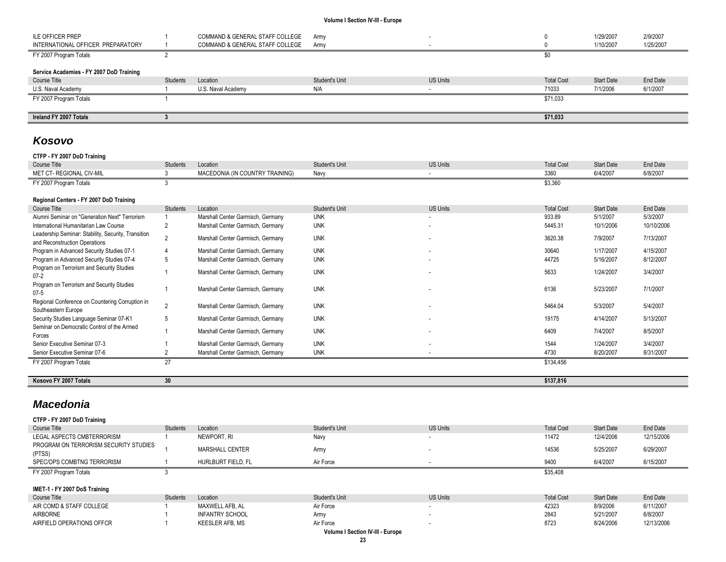| <b>ILE OFFICER PREP</b>                  |                 | COMMAND & GENERAL STAFF COLLEGE | Army           |                 |                   | 1/29/2007         | 2/9/2007  |
|------------------------------------------|-----------------|---------------------------------|----------------|-----------------|-------------------|-------------------|-----------|
| INTERNATIONAL OFFICER PREPARATORY        |                 | COMMAND & GENERAL STAFF COLLEGE | Army           |                 |                   | 1/10/2007         | 1/25/2007 |
| FY 2007 Program Totals                   |                 |                                 |                |                 |                   |                   |           |
|                                          |                 |                                 |                |                 |                   |                   |           |
| Service Academies - FY 2007 DoD Training |                 |                                 |                |                 |                   |                   |           |
| Course Title                             | <b>Students</b> | Location                        | Student's Unit | <b>US Units</b> | <b>Total Cost</b> | <b>Start Date</b> | End Date  |
| U.S. Naval Academy                       |                 | U.S. Naval Academy              | N/A            |                 | 71033             | 7/1/2006          | 6/1/2007  |
| FY 2007 Program Totals                   |                 |                                 |                |                 | \$71,033          |                   |           |
|                                          |                 |                                 |                |                 |                   |                   |           |
| Ireland FY 2007 Totals                   |                 |                                 |                |                 | \$71,033          |                   |           |

## *Kosovo*

## **CTFP - FY 2007 DoD Training**

| Course Title                                                                         | Students        | Location                          | Student's Unit | <b>US Units</b> | <b>Total Cost</b> | Start Date | End Date   |
|--------------------------------------------------------------------------------------|-----------------|-----------------------------------|----------------|-----------------|-------------------|------------|------------|
| MET CT- REGIONAL CIV-MIL                                                             |                 | MACEDONIA (IN COUNTRY TRAINING)   | Navy           |                 | 3360              | 6/4/2007   | 6/8/2007   |
| FY 2007 Program Totals                                                               |                 |                                   |                |                 | \$3,360           |            |            |
| Regional Centers - FY 2007 DoD Training                                              |                 |                                   |                |                 |                   |            |            |
| Course Title                                                                         | <b>Students</b> | Location                          | Student's Unit | <b>US Units</b> | <b>Total Cost</b> | Start Date | End Date   |
| Alumni Seminar on "Generation Next" Terrorism                                        |                 | Marshall Center Garmisch, Germany | <b>UNK</b>     |                 | 933.89            | 5/1/2007   | 5/3/2007   |
| International Humanitarian Law Course                                                |                 | Marshall Center Garmisch, Germany | <b>UNK</b>     |                 | 5445.31           | 10/1/2006  | 10/10/2006 |
| Leadership Seminar: Stability, Security, Transition<br>and Reconstruction Operations |                 | Marshall Center Garmisch, Germany | <b>UNK</b>     |                 | 3620.38           | 7/9/2007   | 7/13/2007  |
| Program in Advanced Security Studies 07-1                                            |                 | Marshall Center Garmisch, Germany | <b>UNK</b>     |                 | 30640             | 1/17/2007  | 4/15/2007  |
| Program in Advanced Security Studies 07-4                                            | 5               | Marshall Center Garmisch, Germany | <b>UNK</b>     |                 | 44725             | 5/16/2007  | 8/12/2007  |
| Program on Terrorism and Security Studies<br>$07 - 2$                                |                 | Marshall Center Garmisch, Germany | <b>UNK</b>     |                 | 5633              | 1/24/2007  | 3/4/2007   |
| Program on Terrorism and Security Studies<br>$07 - 5$                                |                 | Marshall Center Garmisch, Germany | <b>UNK</b>     |                 | 6136              | 5/23/2007  | 7/1/2007   |
| Regional Conference on Countering Corruption in<br>Southeastern Europe               | $\mathfrak{p}$  | Marshall Center Garmisch, Germany | <b>UNK</b>     |                 | 5464.04           | 5/3/2007   | 5/4/2007   |
| Security Studies Language Seminar 07-K1                                              | 5               | Marshall Center Garmisch, Germany | <b>UNK</b>     |                 | 19175             | 4/14/2007  | 5/13/2007  |
| Seminar on Democratic Control of the Armed<br>Forces                                 |                 | Marshall Center Garmisch, Germany | <b>UNK</b>     | $\sim$          | 6409              | 7/4/2007   | 8/5/2007   |
| Senior Executive Seminar 07-3                                                        |                 | Marshall Center Garmisch, Germany | <b>UNK</b>     |                 | 1544              | 1/24/2007  | 3/4/2007   |
| Senior Executive Seminar 07-6                                                        |                 | Marshall Center Garmisch, Germany | <b>UNK</b>     |                 | 4730              | 8/20/2007  | 8/31/2007  |
| FY 2007 Program Totals                                                               | 27              |                                   |                |                 | \$134,456         |            |            |
| Kosovo FY 2007 Totals                                                                | 30              |                                   |                |                 | \$137,816         |            |            |

## *Macedonia*

| CTFP - FY 2007 DoD Training                     |                 |                        |                                  |                          |                   |                   |            |
|-------------------------------------------------|-----------------|------------------------|----------------------------------|--------------------------|-------------------|-------------------|------------|
| Course Title                                    | <b>Students</b> | Location               | Student's Unit                   | <b>US Units</b>          | <b>Total Cost</b> | <b>Start Date</b> | End Date   |
| LEGAL ASPECTS CMBTERRORISM                      |                 | NEWPORT, RI            | Navy                             | $\overline{\phantom{a}}$ | 11472             | 12/4/2006         | 12/15/2006 |
| PROGRAM ON TERRORISM SECURITY STUDIES<br>(PTSS) |                 | MARSHALL CENTER        | Army                             | $\overline{\phantom{a}}$ | 14536             | 5/25/2007         | 6/29/2007  |
| SPEC/OPS COMBTNG TERRORISM                      |                 | HURLBURT FIELD, FL     | Air Force                        |                          | 9400              | 6/4/2007          | 6/15/2007  |
| FY 2007 Program Totals                          |                 |                        |                                  |                          | \$35,408          |                   |            |
|                                                 |                 |                        |                                  |                          |                   |                   |            |
| IMET-1 - FY 2007 DoS Training                   |                 |                        |                                  |                          |                   |                   |            |
| Course Title                                    | Students        | Location               | Student's Unit                   | <b>US Units</b>          | <b>Total Cost</b> | <b>Start Date</b> | End Date   |
| AIR COMD & STAFF COLLEGE                        |                 | MAXWELL AFB. AL        | Air Force                        | ۰                        | 42323             | 8/9/2006          | 6/11/2007  |
| <b>AIRBORNE</b>                                 |                 | <b>INFANTRY SCHOOL</b> | Army                             | $\overline{\phantom{a}}$ | 2843              | 5/21/2007         | 6/8/2007   |
| AIRFIELD OPERATIONS OFFCR                       |                 | KEESLER AFB, MS        | Air Force                        | $\overline{\phantom{a}}$ | 8723              | 8/24/2006         | 12/13/2006 |
|                                                 |                 |                        |                                  |                          |                   |                   |            |
|                                                 |                 |                        | Volume I Section IV-III - Europe |                          |                   |                   |            |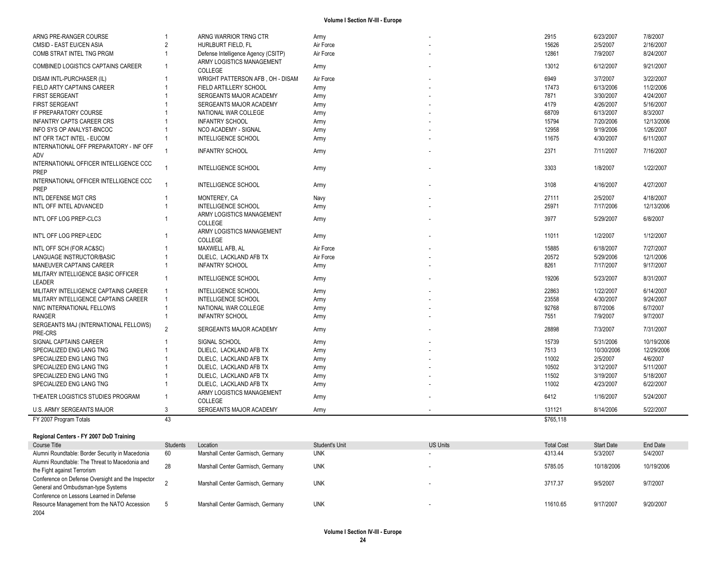| ARNG PRE-RANGER COURSE                                | $\overline{1}$ | ARNG WARRIOR TRNG CTR                                            | Army      | 2915      | 6/23/2007  | 7/8/2007   |
|-------------------------------------------------------|----------------|------------------------------------------------------------------|-----------|-----------|------------|------------|
| CMSID - EAST EU/CEN ASIA                              | $\overline{2}$ | HURLBURT FIELD. FL                                               | Air Force | 15626     | 2/5/2007   | 2/16/2007  |
| COMB STRAT INTEL TNG PRGM                             |                | Defense Intelligence Agency (CSITP)<br>ARMY LOGISTICS MANAGEMENT | Air Force | 12861     | 7/9/2007   | 8/24/2007  |
| <b>COMBINED LOGISTICS CAPTAINS CAREER</b>             | $\mathbf{1}$   | COLLEGE                                                          | Army      | 13012     | 6/12/2007  | 9/21/2007  |
| DISAM INTL-PURCHASER (IL)                             |                | WRIGHT PATTERSON AFB, OH - DISAM                                 | Air Force | 6949      | 3/7/2007   | 3/22/2007  |
| FIELD ARTY CAPTAINS CAREER                            |                | FIELD ARTILLERY SCHOOL                                           | Army      | 17473     | 6/13/2006  | 11/2/2006  |
| <b>FIRST SERGEANT</b>                                 |                | SERGEANTS MAJOR ACADEMY                                          | Army      | 7871      | 3/30/2007  | 4/24/2007  |
| <b>FIRST SERGEANT</b>                                 |                | SERGEANTS MAJOR ACADEMY                                          | Army      | 4179      | 4/26/2007  | 5/16/2007  |
| IF PREPARATORY COURSE                                 |                | NATIONAL WAR COLLEGE                                             | Army      | 68709     | 6/13/2007  | 8/3/2007   |
| <b>INFANTRY CAPTS CAREER CRS</b>                      |                | <b>INFANTRY SCHOOL</b>                                           | Army      | 15794     | 7/20/2006  | 12/13/2006 |
| INFO SYS OP ANALYST-BNCOC                             |                | NCO ACADEMY - SIGNAL                                             | Army      | 12958     | 9/19/2006  | 1/26/2007  |
| INT OFR TACT INTEL - EUCOM                            |                | INTELLIGENCE SCHOOL                                              | Army      | 11675     | 4/30/2007  | 6/11/2007  |
| INTERNATIONAL OFF PREPARATORY - INF OFF<br>ADV        |                | <b>INFANTRY SCHOOL</b>                                           | Army      | 2371      | 7/11/2007  | 7/16/2007  |
| INTERNATIONAL OFFICER INTELLIGENCE CCC                | $\overline{1}$ | INTELLIGENCE SCHOOL                                              | Army      | 3303      | 1/8/2007   | 1/22/2007  |
| <b>PREP</b>                                           |                |                                                                  |           |           |            |            |
| INTERNATIONAL OFFICER INTELLIGENCE CCC<br><b>PREP</b> |                | <b>INTELLIGENCE SCHOOL</b>                                       | Army      | 3108      | 4/16/2007  | 4/27/2007  |
| <b>INTL DEFENSE MGT CRS</b>                           |                | MONTEREY, CA                                                     | Navy      | 27111     | 2/5/2007   | 4/18/2007  |
| INTL OFF INTEL ADVANCED                               |                | <b>INTELLIGENCE SCHOOL</b>                                       | Army      | 25971     | 7/17/2006  | 12/13/2006 |
| INT'L OFF LOG PREP-CLC3                               |                | ARMY LOGISTICS MANAGEMENT                                        | Army      | 3977      | 5/29/2007  | 6/8/2007   |
|                                                       |                | COLLEGE                                                          |           |           |            |            |
| INT'L OFF LOG PREP-LEDC                               | -1             | ARMY LOGISTICS MANAGEMENT<br>COLLEGE                             | Army      | 11011     | 1/2/2007   | 1/12/2007  |
| INTL OFF SCH (FOR AC&SC)                              |                | MAXWELL AFB. AL                                                  | Air Force | 15885     | 6/18/2007  | 7/27/2007  |
| LANGUAGE INSTRUCTOR/BASIC                             |                | DLIELC, LACKLAND AFB TX                                          | Air Force | 20572     | 5/29/2006  | 12/1/2006  |
| MANEUVER CAPTAINS CAREER                              | $\mathbf{1}$   | <b>INFANTRY SCHOOL</b>                                           | Army      | 8261      | 7/17/2007  | 9/17/2007  |
| MILITARY INTELLIGENCE BASIC OFFICER                   | $\overline{1}$ | <b>INTELLIGENCE SCHOOL</b>                                       |           | 19206     | 5/23/2007  | 8/31/2007  |
| LEADER                                                |                |                                                                  | Army      |           |            |            |
| MILITARY INTELLIGENCE CAPTAINS CAREER                 | -1             | <b>INTELLIGENCE SCHOOL</b>                                       | Army      | 22863     | 1/22/2007  | 6/14/2007  |
| MILITARY INTELLIGENCE CAPTAINS CAREER                 | $\overline{1}$ | <b>INTELLIGENCE SCHOOL</b>                                       | Army      | 23558     | 4/30/2007  | 9/24/2007  |
| NWC INTERNATIONAL FELLOWS                             | $\overline{1}$ | NATIONAL WAR COLLEGE                                             | Army      | 92768     | 8/7/2006   | 6/7/2007   |
| <b>RANGER</b>                                         |                | <b>INFANTRY SCHOOL</b>                                           | Army      | 7551      | 7/9/2007   | 9/7/2007   |
| SERGEANTS MAJ (INTERNATIONAL FELLOWS)                 | $\mathfrak{p}$ | SERGEANTS MAJOR ACADEMY                                          | Army      | 28898     | 7/3/2007   | 7/31/2007  |
| PRE-CRS                                               |                |                                                                  |           |           |            |            |
| SIGNAL CAPTAINS CAREER                                |                | SIGNAL SCHOOL                                                    | Army      | 15739     | 5/31/2006  | 10/19/2006 |
| SPECIALIZED ENG LANG TNG                              |                | DLIELC, LACKLAND AFB TX                                          | Army      | 7513      | 10/30/2006 | 12/29/2006 |
| SPECIALIZED ENG LANG TNG                              |                | DLIELC. LACKLAND AFB TX                                          | Army      | 11002     | 2/5/2007   | 4/6/2007   |
| SPECIALIZED ENG LANG TNG                              |                | DLIELC, LACKLAND AFB TX                                          | Army      | 10502     | 3/12/2007  | 5/11/2007  |
| SPECIALIZED ENG LANG TNG                              |                | DLIELC, LACKLAND AFB TX                                          | Army      | 11502     | 3/19/2007  | 5/18/2007  |
| SPECIALIZED ENG LANG TNG                              | 1              | DLIELC, LACKLAND AFB TX                                          | Army      | 11002     | 4/23/2007  | 6/22/2007  |
|                                                       | -1             | ARMY LOGISTICS MANAGEMENT                                        |           | 6412      |            |            |
| THEATER LOGISTICS STUDIES PROGRAM                     |                | COLLEGE                                                          | Army      |           | 1/16/2007  | 5/24/2007  |
| U.S. ARMY SERGEANTS MAJOR                             | 3              | SERGEANTS MAJOR ACADEMY                                          | Army      | 131121    | 8/14/2006  | 5/22/2007  |
| FY 2007 Program Totals                                | 43             |                                                                  |           | \$765.118 |            |            |

#### **Regional Centers - FY 2007 DoD Training**

| Course Title                                                                                    | <b>Students</b> | Location                          | Student's Unit | <b>US Units</b> | <b>Total Cost</b> | <b>Start Date</b> | End Date   |
|-------------------------------------------------------------------------------------------------|-----------------|-----------------------------------|----------------|-----------------|-------------------|-------------------|------------|
| Alumni Roundtable: Border Security in Macedonia                                                 | 60              | Marshall Center Garmisch, Germany | <b>UNK</b>     |                 | 4313.44           | 5/3/2007          | 5/4/2007   |
| Alumni Roundtable: The Threat to Macedonia and<br>the Fight against Terrorism                   | 28              | Marshall Center Garmisch, Germany | <b>UNK</b>     |                 | 5785.05           | 10/18/2006        | 10/19/2006 |
| Conference on Defense Oversight and the Inspector<br>General and Ombudsman-type Systems         |                 | Marshall Center Garmisch, Germany | <b>UNK</b>     |                 | 3717.37           | 9/5/2007          | 9/7/2007   |
| Conference on Lessons Learned in Defense<br>Resource Management from the NATO Accession<br>2004 |                 | Marshall Center Garmisch, Germany | <b>UNK</b>     |                 | 11610.65          | 9/17/2007         | 9/20/2007  |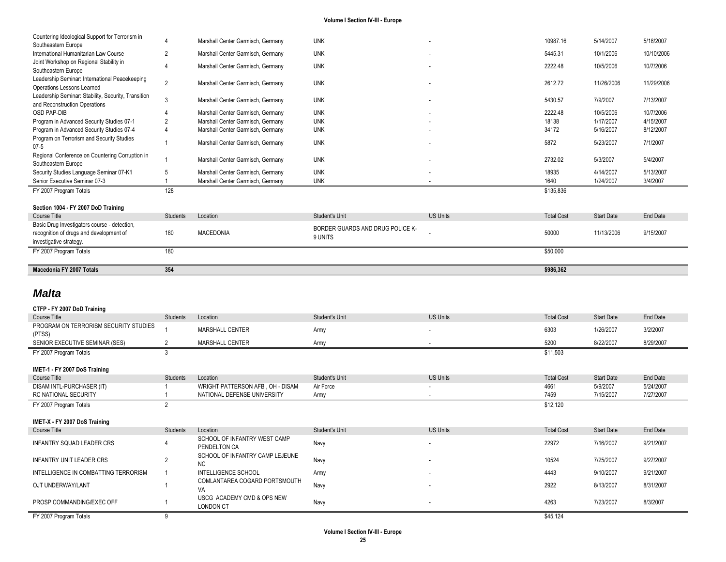| Macedonia FY 2007 Totals                                                                                           | 354            |                                   |                                             |                 | \$986,362         |                   |            |
|--------------------------------------------------------------------------------------------------------------------|----------------|-----------------------------------|---------------------------------------------|-----------------|-------------------|-------------------|------------|
| FY 2007 Program Totals                                                                                             | 180            |                                   |                                             |                 | \$50,000          |                   |            |
| Basic Drug Investigators course - detection,<br>recognition of drugs and development of<br>investigative strategy. | 180            | <b>MACEDONIA</b>                  | BORDER GUARDS AND DRUG POLICE K-<br>9 UNITS |                 | 50000             | 11/13/2006        | 9/15/2007  |
| Course Title                                                                                                       | Students       | Location                          | <b>Student's Unit</b>                       | <b>US Units</b> | <b>Total Cost</b> | <b>Start Date</b> | End Date   |
| Section 1004 - FY 2007 DoD Training                                                                                |                |                                   |                                             |                 |                   |                   |            |
| FY 2007 Program Totals                                                                                             | 128            |                                   |                                             |                 | \$135,836         |                   |            |
| Senior Executive Seminar 07-3                                                                                      |                | Marshall Center Garmisch, Germany | <b>UNK</b>                                  |                 | 1640              | 1/24/2007         | 3/4/2007   |
| Security Studies Language Seminar 07-K1                                                                            |                | Marshall Center Garmisch, Germany | <b>UNK</b>                                  |                 | 18935             | 4/14/2007         | 5/13/2007  |
| Regional Conference on Countering Corruption in<br>Southeastern Europe                                             |                | Marshall Center Garmisch, Germany | <b>UNK</b>                                  |                 | 2732.02           | 5/3/2007          | 5/4/2007   |
| Program on Terrorism and Security Studies<br>$07 - 5$                                                              |                | Marshall Center Garmisch, Germany | <b>UNK</b>                                  |                 | 5872              | 5/23/2007         | 7/1/2007   |
| Program in Advanced Security Studies 07-4                                                                          |                | Marshall Center Garmisch, Germany | <b>UNK</b>                                  |                 | 34172             | 5/16/2007         | 8/12/2007  |
| Program in Advanced Security Studies 07-1                                                                          |                | Marshall Center Garmisch, Germany | <b>UNK</b>                                  |                 | 18138             | 1/17/2007         | 4/15/2007  |
| <b>OSD PAP-DIB</b>                                                                                                 |                | Marshall Center Garmisch, Germany | <b>UNK</b>                                  |                 | 2222.48           | 10/5/2006         | 10/7/2006  |
| Leadership Seminar: Stability, Security, Transition<br>and Reconstruction Operations                               | 3              | Marshall Center Garmisch, Germany | <b>UNK</b>                                  |                 | 5430.57           | 7/9/2007          | 7/13/2007  |
| Leadership Seminar: International Peacekeeping<br>Operations Lessons Learned                                       | $\overline{2}$ | Marshall Center Garmisch, Germany | <b>UNK</b>                                  |                 | 2612.72           | 11/26/2006        | 11/29/2006 |
| Joint Workshop on Regional Stability in<br>Southeastern Europe                                                     |                | Marshall Center Garmisch, Germany | <b>UNK</b>                                  |                 | 2222.48           | 10/5/2006         | 10/7/2006  |
| International Humanitarian Law Course                                                                              | $\overline{2}$ | Marshall Center Garmisch, Germany | <b>UNK</b>                                  |                 | 5445.31           | 10/1/2006         | 10/10/2006 |
| Countering Ideological Support for Terrorism in<br>Southeastern Europe                                             |                | Marshall Center Garmisch, Germany | <b>UNK</b>                                  |                 | 10987.16          | 5/14/2007         | 5/18/2007  |

## *Malta*

| CTFP - FY 2007 DoD Training           |                |                                  |                |                          |                   |                   |           |
|---------------------------------------|----------------|----------------------------------|----------------|--------------------------|-------------------|-------------------|-----------|
| Course Title                          | Students       | Location                         | Student's Unit | <b>US Units</b>          | <b>Total Cost</b> | Start Date        | End Date  |
| PROGRAM ON TERRORISM SECURITY STUDIES |                | MARSHALL CENTER                  | Army           |                          | 6303              | 1/26/2007         | 3/2/2007  |
| (PTSS)                                |                |                                  |                |                          |                   |                   |           |
| SENIOR EXECUTIVE SEMINAR (SES)        |                | MARSHALL CENTER                  | Army           |                          | 5200              | 8/22/2007         | 8/29/2007 |
| FY 2007 Program Totals                | 3              |                                  |                |                          | \$11,503          |                   |           |
|                                       |                |                                  |                |                          |                   |                   |           |
| IMET-1 - FY 2007 DoS Training         |                |                                  |                |                          |                   |                   |           |
| Course Title                          | Students       | Location                         | Student's Unit | <b>US Units</b>          | <b>Total Cost</b> | <b>Start Date</b> | End Date  |
| DISAM INTL-PURCHASER (IT)             |                | WRIGHT PATTERSON AFB, OH - DISAM | Air Force      |                          | 4661              | 5/9/2007          | 5/24/2007 |
| RC NATIONAL SECURITY                  |                | NATIONAL DEFENSE UNIVERSITY      | Army           |                          | 7459              | 7/15/2007         | 7/27/2007 |
| FY 2007 Program Totals                | $\sim$         |                                  |                |                          | \$12,120          |                   |           |
|                                       |                |                                  |                |                          |                   |                   |           |
|                                       |                |                                  |                |                          |                   |                   |           |
| IMET-X - FY 2007 DoS Training         |                |                                  |                |                          |                   |                   |           |
| Course Title                          | Students       | Location                         | Student's Unit | <b>US Units</b>          | <b>Total Cost</b> | <b>Start Date</b> | End Date  |
|                                       |                | SCHOOL OF INFANTRY WEST CAMP     |                | $\overline{\phantom{a}}$ |                   |                   |           |
| INFANTRY SQUAD LEADER CRS             |                | PENDELTON CA                     | Navy           |                          | 22972             | 7/16/2007         | 9/21/2007 |
|                                       |                | SCHOOL OF INFANTRY CAMP LEJEUNE  |                |                          |                   |                   |           |
| INFANTRY UNIT LEADER CRS              | $\overline{2}$ | NC.                              | Navy           |                          | 10524             | 7/25/2007         | 9/27/2007 |
| INTELLIGENCE IN COMBATTING TERRORISM  |                | <b>INTELLIGENCE SCHOOL</b>       | Army           |                          | 4443              | 9/10/2007         | 9/21/2007 |
|                                       |                | COMLANTAREA COGARD PORTSMOUTH    |                |                          |                   |                   |           |
| OJT UNDERWAY/LANT                     |                | VA                               | Navy           |                          | 2922              | 8/13/2007         | 8/31/2007 |
|                                       |                | USCG ACADEMY CMD & OPS NEW       |                |                          |                   |                   |           |
| PROSP COMMANDING/EXEC OFF             |                | LONDON CT                        | Navy           |                          | 4263              | 7/23/2007         | 8/3/2007  |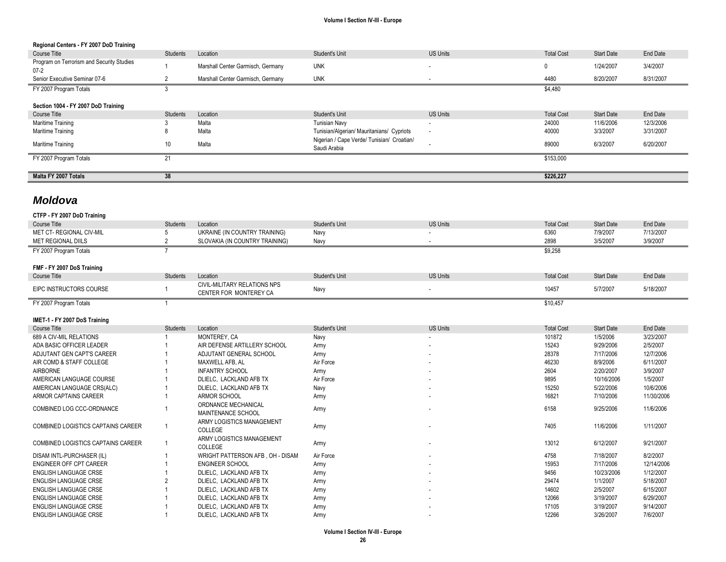| Regional Centers - FY 2007 DoD Training               |                |                                                               |                                                            |                          |                   |                   |                 |
|-------------------------------------------------------|----------------|---------------------------------------------------------------|------------------------------------------------------------|--------------------------|-------------------|-------------------|-----------------|
| Course Title                                          | Students       | Location                                                      | Student's Unit                                             | <b>US Units</b>          | <b>Total Cost</b> | <b>Start Date</b> | <b>End Date</b> |
| Program on Terrorism and Security Studies<br>$07 - 2$ |                | Marshall Center Garmisch, Germany                             | <b>UNK</b>                                                 | $\overline{\phantom{a}}$ | 0                 | 1/24/2007         | 3/4/2007        |
| Senior Executive Seminar 07-6                         | 2              | Marshall Center Garmisch, Germany                             | <b>UNK</b>                                                 |                          | 4480              | 8/20/2007         | 8/31/2007       |
| FY 2007 Program Totals                                | 3              |                                                               |                                                            |                          | \$4,480           |                   |                 |
| Section 1004 - FY 2007 DoD Training                   |                |                                                               |                                                            |                          |                   |                   |                 |
| Course Title                                          | Students       | Location                                                      | Student's Unit                                             | <b>US Units</b>          | <b>Total Cost</b> | <b>Start Date</b> | End Date        |
| Maritime Training                                     |                | Malta                                                         | <b>Tunisian Navv</b>                                       |                          | 24000             | 11/6/2006         | 12/3/2006       |
| Maritime Training                                     | 8              | Malta                                                         | Tunisian/Algerian/ Mauritanians/ Cypriots                  | $\overline{\phantom{a}}$ | 40000             | 3/3/2007          | 3/31/2007       |
| Maritime Training                                     | 10             | Malta                                                         | Nigerian / Cape Verde/ Tunisian/ Croatian/<br>Saudi Arabia |                          | 89000             | 6/3/2007          | 6/20/2007       |
| FY 2007 Program Totals                                | 21             |                                                               |                                                            |                          | \$153,000         |                   |                 |
|                                                       |                |                                                               |                                                            |                          |                   |                   |                 |
|                                                       |                |                                                               |                                                            |                          |                   |                   |                 |
| Malta FY 2007 Totals                                  | 38             |                                                               |                                                            |                          | \$226,227         |                   |                 |
|                                                       |                |                                                               |                                                            |                          |                   |                   |                 |
| <b>Moldova</b>                                        |                |                                                               |                                                            |                          |                   |                   |                 |
| CTFP - FY 2007 DoD Training                           |                |                                                               |                                                            |                          |                   |                   |                 |
| Course Title                                          | Students       | Location                                                      | Student's Unit                                             | <b>US Units</b>          | <b>Total Cost</b> | <b>Start Date</b> | <b>End Date</b> |
| MET CT- REGIONAL CIV-MIL                              | 5              | UKRAINE (IN COUNTRY TRAINING)                                 | Navy                                                       |                          | 6360              | 7/9/2007          | 7/13/2007       |
| <b>MET REGIONAL DIILS</b>                             | 2              | SLOVAKIA (IN COUNTRY TRAINING)                                | Navy                                                       |                          | 2898              | 3/5/2007          | 3/9/2007        |
| FY 2007 Program Totals                                | $\overline{ }$ |                                                               |                                                            |                          | \$9,258           |                   |                 |
|                                                       |                |                                                               |                                                            |                          |                   |                   |                 |
| FMF - FY 2007 DoS Training                            |                |                                                               |                                                            |                          |                   |                   |                 |
| Course Title                                          | Students       | Location                                                      | Student's Unit                                             | <b>US Units</b>          | <b>Total Cost</b> | <b>Start Date</b> | <b>End Date</b> |
| EIPC INSTRUCTORS COURSE                               |                | <b>CIVIL-MILITARY RELATIONS NPS</b><br>CENTER FOR MONTEREY CA | Navy                                                       | $\sim$                   | 10457             | 5/7/2007          | 5/18/2007       |

| IMET-1 - FY 2007 DoS Training             |          |                                  |                |                          |                   |                   |            |
|-------------------------------------------|----------|----------------------------------|----------------|--------------------------|-------------------|-------------------|------------|
| Course Title                              | Students | Location                         | Student's Unit | <b>US Units</b>          | <b>Total Cost</b> | <b>Start Date</b> | End Date   |
| 689 A CIV-MIL RELATIONS                   |          | MONTEREY, CA                     | Navy           |                          | 101872            | 1/5/2006          | 3/23/2007  |
| ADA BASIC OFFICER LEADER                  |          | AIR DEFENSE ARTILLERY SCHOOL     | Army           | $\overline{\phantom{a}}$ | 15243             | 9/29/2006         | 2/5/2007   |
| ADJUTANT GEN CAPT'S CAREER                |          | ADJUTANT GENERAL SCHOOL          | Army           | $\overline{\phantom{a}}$ | 28378             | 7/17/2006         | 12/7/2006  |
| AIR COMD & STAFF COLLEGE                  |          | MAXWELL AFB, AL                  | Air Force      | $\overline{\phantom{a}}$ | 46230             | 8/9/2006          | 6/11/2007  |
| <b>AIRBORNE</b>                           |          | <b>INFANTRY SCHOOL</b>           | Army           | $\overline{\phantom{a}}$ | 2604              | 2/20/2007         | 3/9/2007   |
| AMERICAN LANGUAGE COURSE                  |          | DLIELC, LACKLAND AFB TX          | Air Force      | $\overline{\phantom{a}}$ | 9895              | 10/16/2006        | 1/5/2007   |
| AMERICAN LANGUAGE CRS(ALC)                |          | DLIELC, LACKLAND AFB TX          | Navy           | $\overline{\phantom{a}}$ | 15250             | 5/22/2006         | 10/6/2006  |
| ARMOR CAPTAINS CAREER                     |          | ARMOR SCHOOL                     | Army           |                          | 16821             | 7/10/2006         | 11/30/2006 |
| COMBINED LOG CCC-ORDNANCE                 |          | ORDNANCE MECHANICAL              | Army           |                          | 6158              | 9/25/2006         | 11/6/2006  |
|                                           |          | MAINTENANCE SCHOOL               |                |                          |                   |                   |            |
| COMBINED LOGISTICS CAPTAINS CAREER        |          | ARMY LOGISTICS MANAGEMENT        | Army           |                          | 7405              | 11/6/2006         | 1/11/2007  |
|                                           |          | <b>COLLEGE</b>                   |                |                          |                   |                   |            |
| <b>COMBINED LOGISTICS CAPTAINS CAREER</b> |          | ARMY LOGISTICS MANAGEMENT        | Army           |                          | 13012             | 6/12/2007         | 9/21/2007  |
|                                           |          | <b>COLLEGE</b>                   |                |                          |                   |                   |            |
| DISAM INTL-PURCHASER (IL)                 |          | WRIGHT PATTERSON AFB, OH - DISAM | Air Force      |                          | 4758              | 7/18/2007         | 8/2/2007   |
| ENGINEER OFF CPT CAREER                   |          | <b>ENGINEER SCHOOL</b>           | Army           |                          | 15953             | 7/17/2006         | 12/14/2006 |
| <b>ENGLISH LANGUAGE CRSE</b>              |          | DLIELC, LACKLAND AFB TX          | Army           | $\overline{\phantom{a}}$ | 9456              | 10/23/2006        | 1/12/2007  |
| <b>ENGLISH LANGUAGE CRSE</b>              |          | DLIELC, LACKLAND AFB TX          | Army           |                          | 29474             | 1/1/2007          | 5/18/2007  |
| <b>ENGLISH LANGUAGE CRSE</b>              |          | DLIELC, LACKLAND AFB TX          | Army           |                          | 14602             | 2/5/2007          | 6/15/2007  |
| <b>ENGLISH LANGUAGE CRSE</b>              |          | DLIELC, LACKLAND AFB TX          | Army           | $\overline{\phantom{a}}$ | 12066             | 3/19/2007         | 6/29/2007  |
| <b>ENGLISH LANGUAGE CRSE</b>              |          | DLIELC, LACKLAND AFB TX          | Army           |                          | 17105             | 3/19/2007         | 9/14/2007  |
| ENGLISH LANGUAGE CRSE                     |          | DLIELC, LACKLAND AFB TX          | Army           |                          | 12266             | 3/26/2007         | 7/6/2007   |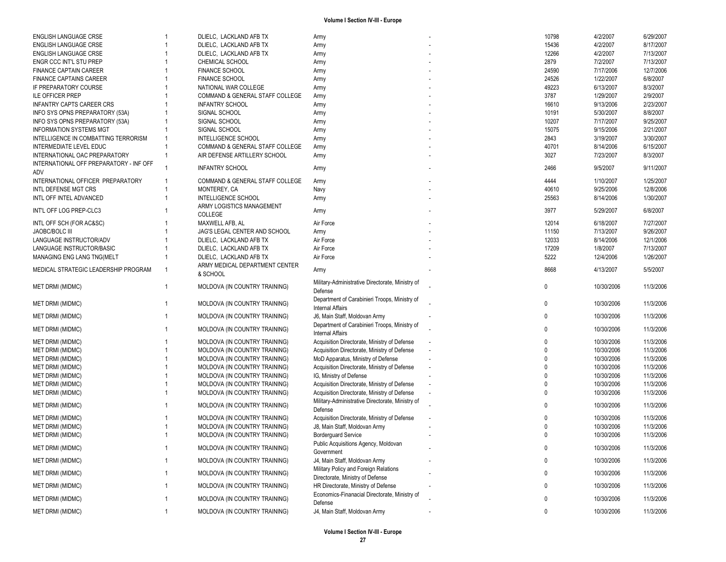| ENGLISH LANGUAGE CRSE                       |              | DLIELC, LACKLAND AFB TX                                        | Army                                             | 10798        | 4/2/2007                 | 6/29/2007              |
|---------------------------------------------|--------------|----------------------------------------------------------------|--------------------------------------------------|--------------|--------------------------|------------------------|
| <b>ENGLISH LANGUAGE CRSE</b>                |              | DLIELC, LACKLAND AFB TX                                        | Army                                             | 15436        | 4/2/2007                 | 8/17/2007              |
| ENGLISH LANGUAGE CRSE                       |              | DLIELC, LACKLAND AFB TX                                        | Army                                             | 12266        | 4/2/2007                 | 7/13/2007              |
| ENGR CCC INT'L STU PREP                     |              | CHEMICAL SCHOOL                                                | Army                                             | 2879         | 7/2/2007                 | 7/13/2007              |
|                                             |              |                                                                |                                                  |              |                          |                        |
| <b>FINANCE CAPTAIN CAREER</b>               |              | <b>FINANCE SCHOOL</b>                                          | Army                                             | 24590        | 7/17/2006                | 12/7/2006              |
| <b>FINANCE CAPTAINS CAREER</b>              |              | <b>FINANCE SCHOOL</b>                                          | Army                                             | 24526        | 1/22/2007                | 6/8/2007               |
| IF PREPARATORY COURSE                       |              | NATIONAL WAR COLLEGE                                           | Army                                             | 49223        | 6/13/2007                | 8/3/2007               |
| <b>ILE OFFICER PREP</b>                     |              | COMMAND & GENERAL STAFF COLLEGE                                | Army                                             | 3787         | 1/29/2007                | 2/9/2007               |
| <b>INFANTRY CAPTS CAREER CRS</b>            |              | <b>INFANTRY SCHOOL</b>                                         | Army                                             | 16610        | 9/13/2006                | 2/23/2007              |
| INFO SYS OPNS PREPARATORY (53A)             |              | SIGNAL SCHOOL                                                  |                                                  | 10191        | 5/30/2007                | 8/8/2007               |
|                                             |              |                                                                | Army                                             |              |                          |                        |
| INFO SYS OPNS PREPARATORY (53A)             |              | SIGNAL SCHOOL                                                  | Army                                             | 10207        | 7/17/2007                | 9/25/2007              |
| <b>INFORMATION SYSTEMS MGT</b>              |              | SIGNAL SCHOOL                                                  | Army                                             | 15075        | 9/15/2006                | 2/21/2007              |
| INTELLIGENCE IN COMBATTING TERRORISM        |              | <b>INTELLIGENCE SCHOOL</b>                                     | Army                                             | 2843         | 3/19/2007                | 3/30/2007              |
| <b>INTERMEDIATE LEVEL EDUC</b>              |              | COMMAND & GENERAL STAFF COLLEGE                                | Army                                             | 40701        | 8/14/2006                | 6/15/2007              |
| INTERNATIONAL OAC PREPARATORY               |              | AIR DEFENSE ARTILLERY SCHOOL                                   | Army                                             | 3027         | 7/23/2007                | 8/3/2007               |
| INTERNATIONAL OFF PREPARATORY - INF OFF     |              |                                                                |                                                  |              |                          |                        |
|                                             |              | <b>INFANTRY SCHOOL</b>                                         | Army                                             | 2466         | 9/5/2007                 | 9/11/2007              |
| ADV                                         |              |                                                                |                                                  |              |                          |                        |
| INTERNATIONAL OFFICER PREPARATORY           |              | COMMAND & GENERAL STAFF COLLEGE                                | Army                                             | 4444         | 1/10/2007                | 1/25/2007              |
| INTL DEFENSE MGT CRS                        |              | MONTEREY, CA                                                   | Navy                                             | 40610        | 9/25/2006                | 12/8/2006              |
| INTL OFF INTEL ADVANCED                     |              | <b>INTELLIGENCE SCHOOL</b>                                     | Army                                             | 25563        | 8/14/2006                | 1/30/2007              |
|                                             |              | ARMY LOGISTICS MANAGEMENT                                      |                                                  |              |                          |                        |
| INT'L OFF LOG PREP-CLC3                     |              | COLLEGE                                                        | Army                                             | 3977         | 5/29/2007                | 6/8/2007               |
|                                             |              |                                                                |                                                  |              |                          |                        |
| INTL OFF SCH (FOR AC&SC)                    |              | MAXWELL AFB, AL                                                | Air Force                                        | 12014        | 6/18/2007                | 7/27/2007              |
| JAOBC/BOLC III                              |              | JAG'S LEGAL CENTER AND SCHOOL                                  | Army                                             | 11150        | 7/13/2007                | 9/26/2007              |
| LANGUAGE INSTRUCTOR/ADV                     |              | DLIELC, LACKLAND AFB TX                                        | Air Force                                        | 12033        | 8/14/2006                | 12/1/2006              |
| LANGUAGE INSTRUCTOR/BASIC                   |              | DLIELC, LACKLAND AFB TX                                        | Air Force                                        | 17209        | 1/8/2007                 | 7/13/2007              |
| MANAGING ENG LANG TNG(MELT                  |              | DLIELC, LACKLAND AFB TX                                        | Air Force                                        | 5222         | 12/4/2006                | 1/26/2007              |
|                                             |              | ARMY MEDICAL DEPARTMENT CENTER                                 |                                                  |              |                          |                        |
| MEDICAL STRATEGIC LEADERSHIP PROGRAM        |              |                                                                | Army                                             | 8668         | 4/13/2007                | 5/5/2007               |
|                                             |              | & SCHOOL                                                       |                                                  |              |                          |                        |
| <b>MET DRMI (MIDMC)</b>                     | $\mathbf{1}$ | MOLDOVA (IN COUNTRY TRAINING)                                  | Military-Administrative Directorate, Ministry of | 0            | 10/30/2006               | 11/3/2006              |
|                                             |              |                                                                | Defense                                          |              |                          |                        |
|                                             |              |                                                                | Department of Carabinieri Troops, Ministry of    |              |                          |                        |
| <b>MET DRMI (MIDMC)</b>                     |              | MOLDOVA (IN COUNTRY TRAINING)                                  | <b>Internal Affairs</b>                          | 0            | 10/30/2006               | 11/3/2006              |
| <b>MET DRMI (MIDMC)</b>                     |              | MOLDOVA (IN COUNTRY TRAINING)                                  | J6, Main Staff, Moldovan Army                    | 0            | 10/30/2006               | 11/3/2006              |
|                                             |              |                                                                |                                                  |              |                          |                        |
| <b>MET DRMI (MIDMC)</b>                     |              | MOLDOVA (IN COUNTRY TRAINING)                                  | Department of Carabinieri Troops, Ministry of    | 0            | 10/30/2006               | 11/3/2006              |
|                                             |              |                                                                | <b>Internal Affairs</b>                          |              |                          |                        |
| <b>MET DRMI (MIDMC)</b>                     |              | MOLDOVA (IN COUNTRY TRAINING)                                  | Acquisition Directorate, Ministry of Defense     | $\mathbf{0}$ | 10/30/2006               | 11/3/2006              |
| <b>MET DRMI (MIDMC)</b>                     |              | MOLDOVA (IN COUNTRY TRAINING)                                  | Acquisition Directorate, Ministry of Defense     | $\Omega$     | 10/30/2006               | 11/3/2006              |
| <b>MET DRMI (MIDMC)</b>                     |              | MOLDOVA (IN COUNTRY TRAINING)                                  | MoD Apparatus, Ministry of Defense               | $\Omega$     | 10/30/2006               | 11/3/2006              |
| <b>MET DRMI (MIDMC)</b>                     |              | MOLDOVA (IN COUNTRY TRAINING)                                  | Acquisition Directorate, Ministry of Defense     | $\Omega$     | 10/30/2006               | 11/3/2006              |
| <b>MET DRMI (MIDMC)</b>                     |              | MOLDOVA (IN COUNTRY TRAINING)                                  | IG, Ministry of Defense                          | $\Omega$     | 10/30/2006               | 11/3/2006              |
|                                             |              |                                                                |                                                  |              |                          |                        |
| <b>MET DRMI (MIDMC)</b>                     |              | MOLDOVA (IN COUNTRY TRAINING)                                  | Acquisition Directorate, Ministry of Defense     | $\mathbf{0}$ | 10/30/2006               | 11/3/2006              |
| <b>MET DRMI (MIDMC)</b>                     |              | MOLDOVA (IN COUNTRY TRAINING)                                  | Acquisition Directorate, Ministry of Defense     | $\mathbf 0$  | 10/30/2006               | 11/3/2006              |
|                                             |              |                                                                | Military-Administrative Directorate, Ministry of | $\mathbf{0}$ |                          |                        |
| <b>MET DRMI (MIDMC)</b>                     |              | MOLDOVA (IN COUNTRY TRAINING)                                  | Defense                                          |              | 10/30/2006               | 11/3/2006              |
| <b>MET DRMI (MIDMC)</b>                     |              | MOLDOVA (IN COUNTRY TRAINING)                                  | Acquisition Directorate, Ministry of Defense     | $\Omega$     | 10/30/2006               | 11/3/2006              |
| <b>MET DRMI (MIDMC)</b>                     |              | MOLDOVA (IN COUNTRY TRAINING)                                  | J8, Main Staff, Moldovan Army                    |              | 10/30/2006               | 11/3/2006              |
|                                             |              |                                                                |                                                  | $\mathbf{0}$ |                          |                        |
| <b>MET DRMI (MIDMC)</b>                     |              | MOLDOVA (IN COUNTRY TRAINING)                                  | <b>Borderquard Service</b>                       |              | 10/30/2006               | 11/3/2006              |
| <b>MET DRMI (MIDMC)</b>                     | $\mathbf{1}$ | MOLDOVA (IN COUNTRY TRAINING)                                  | Public Acquisitions Agency, Moldovan             | $\mathbf 0$  | 10/30/2006               | 11/3/2006              |
|                                             |              |                                                                | Government                                       |              |                          |                        |
| MET DRMI (MIDMC)                            |              | MOLDOVA (IN COUNTRY TRAINING)                                  | J4, Main Staff, Moldovan Army                    | 0            | 10/30/2006               | 11/3/2006              |
|                                             |              |                                                                | Military Policy and Foreign Relations            |              |                          |                        |
| <b>MET DRMI (MIDMC)</b>                     |              | MOLDOVA (IN COUNTRY TRAINING)                                  | Directorate, Ministry of Defense                 | 0            | 10/30/2006               | 11/3/2006              |
|                                             |              | MOLDOVA (IN COUNTRY TRAINING)                                  | HR Directorate, Ministry of Defense              | 0            | 10/30/2006               | 11/3/2006              |
| MET DRMI (MIDMC)                            |              |                                                                |                                                  |              |                          |                        |
|                                             |              |                                                                |                                                  |              |                          |                        |
|                                             |              |                                                                | Economics-Finanacial Directorate, Ministry of    |              |                          |                        |
| MET DRMI (MIDMC)<br><b>MET DRMI (MIDMC)</b> |              | MOLDOVA (IN COUNTRY TRAINING)<br>MOLDOVA (IN COUNTRY TRAINING) | Defense<br>J4, Main Staff, Moldovan Army         | 0<br>0       | 10/30/2006<br>10/30/2006 | 11/3/2006<br>11/3/2006 |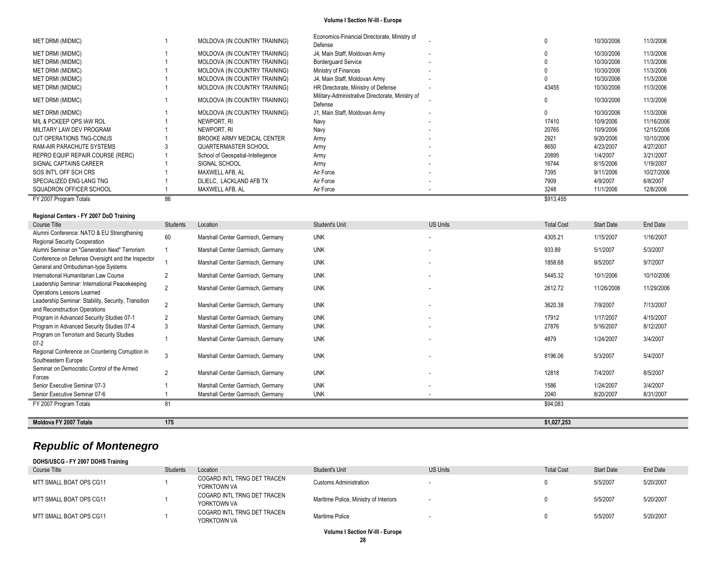| FY 2007 Program Totals           | 86 |                                   |                                                             |                          | \$913,455 |            |            |
|----------------------------------|----|-----------------------------------|-------------------------------------------------------------|--------------------------|-----------|------------|------------|
| SQUADRON OFFICER SCHOOL          |    | MAXWELL AFB, AL                   | Air Force                                                   |                          | 3248      | 11/1/2006  | 12/8/2006  |
| SPECIALIZED ENG LANG TNG         |    | DLIELC, LACKLAND AFB TX           | Air Force                                                   |                          | 7909      | 4/9/2007   | 6/8/2007   |
| SOS INT'L OFF SCH CRS            |    | MAXWELL AFB. AL                   | Air Force                                                   |                          | 7395      | 9/11/2006  | 10/27/2006 |
| SIGNAL CAPTAINS CAREER           |    | SIGNAL SCHOOL                     | Army                                                        |                          | 16744     | 8/15/2006  | 1/19/2007  |
| REPRO EQUIP REPAIR COURSE (RERC) |    | School of Geospatial-Intellegence | Army                                                        |                          | 20895     | 1/4/2007   | 3/21/2007  |
| RAM-AIR PARACHUTE SYSTEMS        |    | QUARTERMASTER SCHOOL              | Army                                                        |                          | 8650      | 4/23/2007  | 4/27/2007  |
| OJT OPERATIONS TNG-CONUS         |    | BROOKE ARMY MEDICAL CENTER        | Army                                                        | $\overline{\phantom{a}}$ | 2921      | 9/20/2006  | 10/10/2006 |
| MILITARY LAW DEV PROGRAM         |    | NEWPORT, RI                       | Navy                                                        | $\sim$                   | 20765     | 10/9/2006  | 12/15/2006 |
| MIL & PCKEEP OPS IAW ROL         |    | NEWPORT, RI                       | Navy                                                        |                          | 17410     | 10/9/2006  | 11/16/2006 |
| MET DRMI (MIDMC)                 |    | MOLDOVA (IN COUNTRY TRAINING)     | J1, Main Staff, Moldovan Army                               |                          |           | 10/30/2006 | 11/3/2006  |
| <b>MET DRMI (MIDMC)</b>          |    | MOLDOVA (IN COUNTRY TRAINING)     | Military-Administrative Directorate, Ministry of<br>Defense |                          |           | 10/30/2006 | 11/3/2006  |
| <b>MET DRMI (MIDMC)</b>          |    | MOLDOVA (IN COUNTRY TRAINING)     | HR Directorate, Ministry of Defense                         |                          | 43455     | 10/30/2006 | 11/3/2006  |
| <b>MET DRMI (MIDMC)</b>          |    | MOLDOVA (IN COUNTRY TRAINING)     | J4, Main Staff, Moldovan Army                               |                          |           | 10/30/2006 | 11/3/2006  |
| <b>MET DRMI (MIDMC)</b>          |    | MOLDOVA (IN COUNTRY TRAINING)     | Ministry of Finances                                        |                          |           | 10/30/2006 | 11/3/2006  |
| <b>MET DRMI (MIDMC)</b>          |    | MOLDOVA (IN COUNTRY TRAINING)     | <b>Borderquard Service</b>                                  |                          |           | 10/30/2006 | 11/3/2006  |
| MET DRMI (MIDMC)                 |    | MOLDOVA (IN COUNTRY TRAINING)     | J4, Main Staff, Moldovan Army                               |                          |           | 10/30/2006 | 11/3/2006  |
| <b>MET DRMI (MIDMC)</b>          |    | MOLDOVA (IN COUNTRY TRAINING)     | Defense                                                     |                          |           | 10/30/2006 | 11/3/2006  |
|                                  |    |                                   | Economics-Financial Directorate, Ministry of                |                          |           |            |            |

## **Regional Centers - FY 2007 DoD Training**

| Course Title                                                                            | <b>Students</b> | Location                          | <b>Student's Unit</b> | <b>US Units</b>          | <b>Total Cost</b> | Start Date | End Date   |
|-----------------------------------------------------------------------------------------|-----------------|-----------------------------------|-----------------------|--------------------------|-------------------|------------|------------|
| Alumni Conference: NATO & EU Strengthening<br>Regional Security Cooperation             | 60              | Marshall Center Garmisch, Germany | <b>UNK</b>            |                          | 4305.21           | 1/15/2007  | 1/16/2007  |
| Alumni Seminar on "Generation Next" Terrorism                                           |                 | Marshall Center Garmisch, Germany | <b>UNK</b>            |                          | 933.89            | 5/1/2007   | 5/3/2007   |
| Conference on Defense Oversight and the Inspector<br>General and Ombudsman-type Systems |                 | Marshall Center Garmisch, Germany | <b>UNK</b>            |                          | 1858.68           | 9/5/2007   | 9/7/2007   |
| International Humanitarian Law Course                                                   |                 | Marshall Center Garmisch, Germany | <b>UNK</b>            |                          | 5445.32           | 10/1/2006  | 10/10/2006 |
| Leadership Seminar: International Peacekeeping<br>Operations Lessons Learned            | $\overline{2}$  | Marshall Center Garmisch, Germany | <b>UNK</b>            |                          | 2612.72           | 11/26/2006 | 11/29/2006 |
| Leadership Seminar: Stability, Security, Transition<br>and Reconstruction Operations    | $\mathfrak{p}$  | Marshall Center Garmisch, Germany | <b>UNK</b>            |                          | 3620.38           | 7/9/2007   | 7/13/2007  |
| Program in Advanced Security Studies 07-1                                               |                 | Marshall Center Garmisch, Germany | <b>UNK</b>            |                          | 17912             | 1/17/2007  | 4/15/2007  |
| Program in Advanced Security Studies 07-4                                               | 3               | Marshall Center Garmisch, Germany | <b>UNK</b>            | $\overline{\phantom{a}}$ | 27876             | 5/16/2007  | 8/12/2007  |
| Program on Terrorism and Security Studies<br>$07-2$                                     |                 | Marshall Center Garmisch, Germany | <b>UNK</b>            | $\overline{\phantom{a}}$ | 4879              | 1/24/2007  | 3/4/2007   |
| Regional Conference on Countering Corruption in<br>Southeastern Europe                  |                 | Marshall Center Garmisch, Germany | <b>UNK</b>            |                          | 8196.06           | 5/3/2007   | 5/4/2007   |
| Seminar on Democratic Control of the Armed<br>Forces                                    | $\overline{2}$  | Marshall Center Garmisch, Germany | <b>UNK</b>            |                          | 12818             | 7/4/2007   | 8/5/2007   |
| Senior Executive Seminar 07-3                                                           |                 | Marshall Center Garmisch, Germany | <b>UNK</b>            |                          | 1586              | 1/24/2007  | 3/4/2007   |
| Senior Executive Seminar 07-6                                                           |                 | Marshall Center Garmisch, Germany | <b>UNK</b>            |                          | 2040              | 8/20/2007  | 8/31/2007  |
| FY 2007 Program Totals                                                                  | 81              |                                   |                       |                          | \$94,083          |            |            |
| Moldova FY 2007 Totals                                                                  | 175             |                                   |                       |                          | \$1,027,253       |            |            |

# *Republic of Montenegro*

| DOHS/USCG - FY 2007 DOHS Training |                 |                                            |                                        |                 |                   |                   |           |
|-----------------------------------|-----------------|--------------------------------------------|----------------------------------------|-----------------|-------------------|-------------------|-----------|
| Course Title                      | <b>Students</b> | Location                                   | Student's Unit                         | <b>US Units</b> | <b>Total Cost</b> | <b>Start Date</b> | End Date  |
| MTT SMALL BOAT OPS CG11           |                 | COGARD INTL TRNG DET TRACEN<br>YORKTOWN VA | Customs Administration                 |                 |                   | 5/5/2007          | 5/20/2007 |
| MTT SMALL BOAT OPS CG11           |                 | COGARD INTL TRNG DET TRACEN<br>YORKTOWN VA | Maritime Police, Ministry of Interiors |                 |                   | 5/5/2007          | 5/20/2007 |
| MTT SMALL BOAT OPS CG11           |                 | COGARD INTL TRNG DET TRACEN<br>YORKTOWN VA | Maritime Police                        |                 |                   | 5/5/2007          | 5/20/2007 |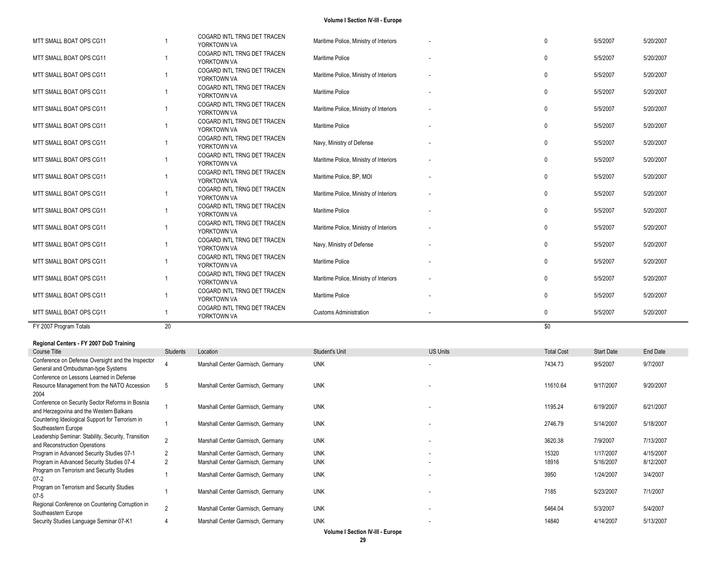|                                                                            |                 | COGARD INTL TRNG DET TRACEN                |                                        |                 |                   |                   |           |
|----------------------------------------------------------------------------|-----------------|--------------------------------------------|----------------------------------------|-----------------|-------------------|-------------------|-----------|
| MTT SMALL BOAT OPS CG11                                                    | -1              | YORKTOWN VA                                | Maritime Police, Ministry of Interiors |                 | $\mathbf{0}$      | 5/5/2007          | 5/20/2007 |
|                                                                            |                 | COGARD INTL TRNG DET TRACEN                |                                        |                 |                   |                   |           |
| MTT SMALL BOAT OPS CG11                                                    | -1              | YORKTOWN VA                                | Maritime Police                        |                 | $\Omega$          | 5/5/2007          | 5/20/2007 |
| MTT SMALL BOAT OPS CG11                                                    | -1              | COGARD INTL TRNG DET TRACEN                | Maritime Police, Ministry of Interiors |                 | $\mathbf{0}$      | 5/5/2007          | 5/20/2007 |
|                                                                            |                 | YORKTOWN VA                                |                                        |                 |                   |                   |           |
| MTT SMALL BOAT OPS CG11                                                    | -1              | COGARD INTL TRNG DET TRACEN                | Maritime Police                        |                 | $\mathbf{0}$      | 5/5/2007          | 5/20/2007 |
|                                                                            |                 | YORKTOWN VA                                |                                        |                 |                   |                   |           |
| MTT SMALL BOAT OPS CG11                                                    | -1              | COGARD INTL TRNG DET TRACEN                | Maritime Police, Ministry of Interiors |                 | $\mathbf{0}$      | 5/5/2007          | 5/20/2007 |
|                                                                            |                 | YORKTOWN VA                                |                                        |                 |                   |                   |           |
| MTT SMALL BOAT OPS CG11                                                    | -1              | COGARD INTL TRNG DET TRACEN<br>YORKTOWN VA | Maritime Police                        |                 | $\Omega$          | 5/5/2007          | 5/20/2007 |
|                                                                            |                 | COGARD INTL TRNG DET TRACEN                |                                        |                 |                   |                   |           |
| MTT SMALL BOAT OPS CG11                                                    | -1              | YORKTOWN VA                                | Navy, Ministry of Defense              |                 | $\mathbf{0}$      | 5/5/2007          | 5/20/2007 |
|                                                                            |                 | COGARD INTL TRNG DET TRACEN                |                                        |                 |                   |                   |           |
| MTT SMALL BOAT OPS CG11                                                    | -1              | YORKTOWN VA                                | Maritime Police, Ministry of Interiors |                 | $\Omega$          | 5/5/2007          | 5/20/2007 |
|                                                                            | -1              | COGARD INTL TRNG DET TRACEN                |                                        |                 | $\mathbf{0}$      | 5/5/2007          | 5/20/2007 |
| MTT SMALL BOAT OPS CG11                                                    |                 | YORKTOWN VA                                | Maritime Police, BP, MOI               |                 |                   |                   |           |
| MTT SMALL BOAT OPS CG11                                                    |                 | COGARD INTL TRNG DET TRACEN                | Maritime Police, Ministry of Interiors |                 | $\mathbf{0}$      | 5/5/2007          | 5/20/2007 |
|                                                                            |                 | YORKTOWN VA                                |                                        |                 |                   |                   |           |
| MTT SMALL BOAT OPS CG11                                                    |                 | COGARD INTL TRNG DET TRACEN                | Maritime Police                        |                 | $\mathbf{0}$      | 5/5/2007          | 5/20/2007 |
|                                                                            |                 | YORKTOWN VA<br>COGARD INTL TRNG DET TRACEN |                                        |                 |                   |                   |           |
| MTT SMALL BOAT OPS CG11                                                    | -1              | YORKTOWN VA                                | Maritime Police, Ministry of Interiors |                 | $\Omega$          | 5/5/2007          | 5/20/2007 |
|                                                                            |                 | COGARD INTL TRNG DET TRACEN                |                                        |                 |                   |                   |           |
| MTT SMALL BOAT OPS CG11                                                    | -1              | YORKTOWN VA                                | Navy, Ministry of Defense              |                 | $\mathbf{0}$      | 5/5/2007          | 5/20/2007 |
|                                                                            |                 | COGARD INTL TRNG DET TRACEN                |                                        |                 |                   |                   |           |
| MTT SMALL BOAT OPS CG11                                                    | -1              | YORKTOWN VA                                | Maritime Police                        |                 | $\mathbf{0}$      | 5/5/2007          | 5/20/2007 |
|                                                                            |                 | COGARD INTL TRNG DET TRACEN                |                                        |                 |                   |                   |           |
|                                                                            |                 |                                            |                                        |                 |                   |                   |           |
| MTT SMALL BOAT OPS CG11                                                    | -1              | YORKTOWN VA                                | Maritime Police, Ministry of Interiors |                 | $\Omega$          | 5/5/2007          | 5/20/2007 |
|                                                                            |                 | COGARD INTL TRNG DET TRACEN                |                                        |                 |                   |                   |           |
| MTT SMALL BOAT OPS CG11                                                    |                 | YORKTOWN VA                                | Maritime Police                        |                 | $\mathbf{0}$      | 5/5/2007          | 5/20/2007 |
| MTT SMALL BOAT OPS CG11                                                    | -1              | COGARD INTL TRNG DET TRACEN                | <b>Customs Administration</b>          |                 | $\mathbf 0$       | 5/5/2007          | 5/20/2007 |
|                                                                            |                 | YORKTOWN VA                                |                                        |                 |                   |                   |           |
| FY 2007 Program Totals                                                     | 20              |                                            |                                        |                 | \$0               |                   |           |
| Regional Centers - FY 2007 DoD Training                                    |                 |                                            |                                        |                 |                   |                   |           |
| Course Title                                                               | <b>Students</b> | Location                                   | Student's Unit                         | <b>US Units</b> | <b>Total Cost</b> | <b>Start Date</b> | End Date  |
| Conference on Defense Oversight and the Inspector                          |                 |                                            |                                        |                 |                   |                   |           |
| General and Ombudsman-type Systems                                         |                 | Marshall Center Garmisch, Germany          | <b>UNK</b>                             |                 | 7434.73           | 9/5/2007          | 9/7/2007  |
| Conference on Lessons Learned in Defense                                   |                 |                                            |                                        |                 |                   |                   |           |
| Resource Management from the NATO Accession                                | 5               | Marshall Center Garmisch, Germany          | <b>UNK</b>                             |                 | 11610.64          | 9/17/2007         | 9/20/2007 |
| 2004                                                                       |                 |                                            |                                        |                 |                   |                   |           |
| Conference on Security Sector Reforms in Bosnia                            | $\overline{1}$  | Marshall Center Garmisch, Germany          | <b>UNK</b>                             |                 | 1195.24           | 6/19/2007         | 6/21/2007 |
| and Herzegovina and the Western Balkans                                    |                 |                                            |                                        |                 |                   |                   |           |
| Countering Ideological Support for Terrorism in                            | $\mathbf{1}$    | Marshall Center Garmisch, Germany          | <b>UNK</b>                             |                 | 2746.79           | 5/14/2007         | 5/18/2007 |
| Southeastern Europe<br>Leadership Seminar: Stability, Security, Transition |                 |                                            |                                        |                 |                   |                   |           |
| and Reconstruction Operations                                              | $\mathcal{P}$   | Marshall Center Garmisch, Germany          | <b>UNK</b>                             |                 | 3620.38           | 7/9/2007          | 7/13/2007 |
| Program in Advanced Security Studies 07-1                                  | $\overline{2}$  | Marshall Center Garmisch, Germany          | <b>UNK</b>                             |                 | 15320             | 1/17/2007         | 4/15/2007 |
| Program in Advanced Security Studies 07-4                                  | $\overline{2}$  | Marshall Center Garmisch, Germany          | <b>UNK</b>                             |                 | 18916             | 5/16/2007         | 8/12/2007 |
| Program on Terrorism and Security Studies                                  | $\overline{1}$  | Marshall Center Garmisch, Germany          | <b>UNK</b>                             |                 | 3950              | 1/24/2007         | 3/4/2007  |
| $07-2$                                                                     |                 |                                            |                                        |                 |                   |                   |           |
| Program on Terrorism and Security Studies                                  | $\mathbf{1}$    | Marshall Center Garmisch, Germany          | <b>UNK</b>                             |                 | 7185              | 5/23/2007         | 7/1/2007  |
| $07-5$<br>Regional Conference on Countering Corruption in                  | $\overline{2}$  | Marshall Center Garmisch, Germany          | <b>UNK</b>                             |                 | 5464.04           | 5/3/2007          | 5/4/2007  |

**Volume I Section IV -III - Europe**

- 14840 4/14/2007 5/13/2007

4 Marshall Center Garmisch, Germany UNK

Security Studies Language Seminar 07 -K1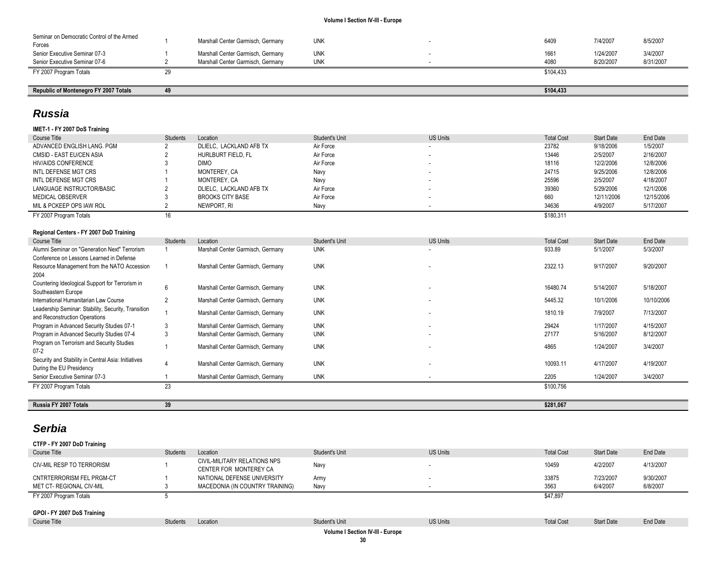| Seminar on Democratic Control of the Armed<br>Forces | Marshall Center Garmisch, Germany | unk        | 6409      | 7/4/2007  | 8/5/2007  |
|------------------------------------------------------|-----------------------------------|------------|-----------|-----------|-----------|
| Senior Executive Seminar 07-3                        | Marshall Center Garmisch, Germany | UNK        | 1661      | 1/24/2007 | 3/4/2007  |
| Senior Executive Seminar 07-6                        | Marshall Center Garmisch, Germany | <b>UNK</b> | 4080      | 8/20/2007 | 8/31/2007 |
| FY 2007 Program Totals                               |                                   |            | \$104,433 |           |           |

## **Republic of Montenegro FY 2007 Totals 49 \$104,433**

## *Russia*

|  |  | IMET-1 - FY 2007 DoS Training |
|--|--|-------------------------------|
|  |  |                               |

| Course Title               | <b>Students</b> | Location                | Student's Unit | <b>US Units</b> | <b>Total Cost</b> | <b>Start Date</b> | End Date   |
|----------------------------|-----------------|-------------------------|----------------|-----------------|-------------------|-------------------|------------|
| ADVANCED ENGLISH LANG, PGM |                 | DLIELC. LACKLAND AFB TX | Air Force      | . .             | 23782             | 9/18/2006         | 1/5/2007   |
| CMSID - EAST EU/CEN ASIA   |                 | HURLBURT FIELD. FL      | Air Force      | . .             | 13446             | 2/5/2007          | 2/16/2007  |
| HIV/AIDS CONFERENCE        |                 | <b>DIMO</b>             | Air Force      | . .             | 18116             | 12/2/2006         | 12/8/2006  |
| INTL DEFENSE MGT CRS       |                 | MONTEREY, CA            | Navy           | . .             | 24715             | 9/25/2006         | 12/8/2006  |
| INTL DEFENSE MGT CRS       |                 | MONTEREY, CA            | Navy           |                 | 25596             | 2/5/2007          | 4/18/2007  |
| LANGUAGE INSTRUCTOR/BASIC  |                 | DLIELC. LACKLAND AFB TX | Air Force      |                 | 39360             | 5/29/2006         | 12/1/2006  |
| MEDICAL OBSERVER           |                 | <b>BROOKS CITY BASE</b> | Air Force      |                 | 660               | 12/11/2006        | 12/15/2006 |
| MIL & PCKEEP OPS IAW ROL   |                 | NEWPORT. RI             | Navv           |                 | 34636             | 4/9/2007          | 5/17/2007  |
| FY 2007 Program Totals     |                 |                         |                |                 | \$180.311         |                   |            |

## **Regional Centers - FY 2007 DoD Training**

| Course Title                                                                    | <b>Students</b> | Location                          | <b>Student's Unit</b> | <b>US Units</b>          | <b>Total Cost</b> | Start Date | End Date   |
|---------------------------------------------------------------------------------|-----------------|-----------------------------------|-----------------------|--------------------------|-------------------|------------|------------|
| Alumni Seminar on "Generation Next" Terrorism                                   |                 | Marshall Center Garmisch, Germany | <b>UNK</b>            | $\overline{\phantom{a}}$ | 933.89            | 5/1/2007   | 5/3/2007   |
| Conference on Lessons Learned in Defense                                        |                 |                                   |                       |                          |                   |            |            |
| Resource Management from the NATO Accession                                     |                 | Marshall Center Garmisch, Germany | <b>UNK</b>            |                          | 2322.13           | 9/17/2007  | 9/20/2007  |
| 2004                                                                            |                 |                                   |                       |                          |                   |            |            |
| Countering Ideological Support for Terrorism in<br>Southeastern Europe          | 6               | Marshall Center Garmisch, Germany | <b>UNK</b>            |                          | 16480.74          | 5/14/2007  | 5/18/2007  |
| International Humanitarian Law Course                                           |                 | Marshall Center Garmisch, Germany | <b>UNK</b>            |                          | 5445.32           | 10/1/2006  | 10/10/2006 |
| Leadership Seminar: Stability, Security, Transition                             |                 |                                   |                       |                          |                   |            |            |
| and Reconstruction Operations                                                   |                 | Marshall Center Garmisch, Germany | <b>UNK</b>            |                          | 1810.19           | 7/9/2007   | 7/13/2007  |
| Program in Advanced Security Studies 07-1                                       |                 | Marshall Center Garmisch, Germany | <b>UNK</b>            | $\overline{\phantom{a}}$ | 29424             | 1/17/2007  | 4/15/2007  |
| Program in Advanced Security Studies 07-4                                       |                 | Marshall Center Garmisch, Germany | <b>UNK</b>            |                          | 27177             | 5/16/2007  | 8/12/2007  |
| Program on Terrorism and Security Studies<br>$07-2$                             |                 | Marshall Center Garmisch, Germany | <b>UNK</b>            |                          | 4865              | 1/24/2007  | 3/4/2007   |
| Security and Stability in Central Asia: Initiatives<br>During the EU Presidency |                 | Marshall Center Garmisch, Germany | <b>UNK</b>            |                          | 10093.11          | 4/17/2007  | 4/19/2007  |
| Senior Executive Seminar 07-3                                                   |                 | Marshall Center Garmisch, Germany | <b>UNK</b>            |                          | 2205              | 1/24/2007  | 3/4/2007   |
| FY 2007 Program Totals                                                          | 23              |                                   |                       |                          | \$100,756         |            |            |
|                                                                                 |                 |                                   |                       |                          |                   |            |            |
| Russia FY 2007 Totals                                                           | 39              |                                   |                       |                          | \$281,067         |            |            |

## *Serbia*

**CTFP - FY 2007 DoD Training**

| Course Title                | Students | Location                                               | Student's Unit | <b>US Units</b> | <b>Total Cost</b> | <b>Start Date</b> | End Date  |
|-----------------------------|----------|--------------------------------------------------------|----------------|-----------------|-------------------|-------------------|-----------|
| CIV-MIL RESP TO TERRORISM   |          | CIVIL-MILITARY RELATIONS NPS<br>CENTER FOR MONTEREY CA | Navy           |                 | 10459             | 4/2/2007          | 4/13/2007 |
| CNTRTERRORISM FEL PRGM-CT   |          | NATIONAL DEFENSE UNIVERSITY                            | Army           |                 | 33875             | 7/23/2007         | 9/30/2007 |
| MET CT- REGIONAL CIV-MIL    |          | MACEDONIA (IN COUNTRY TRAINING)                        | Navy           |                 | 3563              | 6/4/2007          | 6/8/2007  |
| FY 2007 Program Totals      |          |                                                        |                |                 | \$47,897          |                   |           |
|                             |          |                                                        |                |                 |                   |                   |           |
| GPOI - FY 2007 DoS Training |          |                                                        |                |                 |                   |                   |           |
| Course Title                | Students | Location                                               | Student's Unit | <b>US Units</b> | <b>Total Cost</b> | <b>Start Date</b> | End Date  |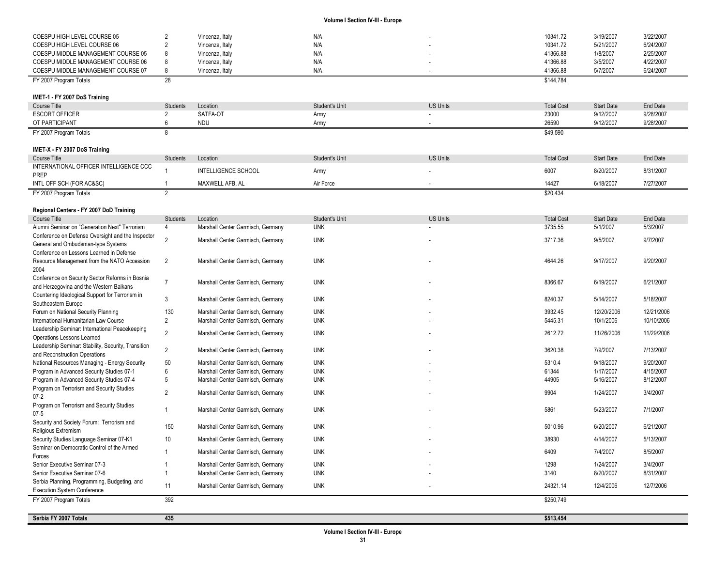| COESPU HIGH LEVEL COURSE 05                                    | 2                    | Vincenza, Italy                               | N/A            |                 | 10341.72          | 3/19/2007         | 3/22/2007  |
|----------------------------------------------------------------|----------------------|-----------------------------------------------|----------------|-----------------|-------------------|-------------------|------------|
| COESPU HIGH LEVEL COURSE 06                                    | $\overline{2}$       | Vincenza, Italy                               | N/A            |                 | 10341.72          | 5/21/2007         | 6/24/2007  |
| COESPU MIDDLE MANAGEMENT COURSE 05                             | 8                    | Vincenza, Italy                               | N/A            |                 | 41366.88          | 1/8/2007          | 2/25/2007  |
| COESPU MIDDLE MANAGEMENT COURSE 06                             | 8                    | Vincenza, Italy                               | N/A            |                 | 41366.88          | 3/5/2007          | 4/22/2007  |
| COESPU MIDDLE MANAGEMENT COURSE 07                             | 8                    | Vincenza, Italy                               | N/A            |                 | 41366.88          | 5/7/2007          | 6/24/2007  |
| FY 2007 Program Totals                                         | 28                   |                                               |                |                 | \$144,784         |                   |            |
|                                                                |                      |                                               |                |                 |                   |                   |            |
| IMET-1 - FY 2007 DoS Training                                  |                      |                                               |                |                 |                   |                   |            |
| <b>Course Title</b>                                            | <b>Students</b>      | Location                                      | Student's Unit | <b>US Units</b> | <b>Total Cost</b> | <b>Start Date</b> | End Date   |
| <b>ESCORT OFFICER</b>                                          | 2                    | SATFA-OT                                      | Army           |                 | 23000             | 9/12/2007         | 9/28/2007  |
| OT PARTICIPANT                                                 | 6                    | <b>NDU</b>                                    | Army           |                 | 26590             | 9/12/2007         | 9/28/2007  |
| FY 2007 Program Totals                                         | 8                    |                                               |                |                 | \$49,590          |                   |            |
| IMET-X - FY 2007 DoS Training                                  |                      |                                               |                |                 |                   |                   |            |
| <b>Course Title</b>                                            | <b>Students</b>      | Location                                      | Student's Unit | <b>US Units</b> | <b>Total Cost</b> | <b>Start Date</b> | End Date   |
| INTERNATIONAL OFFICER INTELLIGENCE CCC                         |                      |                                               |                |                 |                   |                   |            |
| PREP                                                           |                      | <b>INTELLIGENCE SCHOOL</b>                    | Army           |                 | 6007              | 8/20/2007         | 8/31/2007  |
| INTL OFF SCH (FOR AC&SC)                                       | -1                   | MAXWELL AFB, AL                               | Air Force      |                 | 14427             | 6/18/2007         | 7/27/2007  |
| FY 2007 Program Totals                                         | $\overline{2}$       |                                               |                |                 | \$20,434          |                   |            |
|                                                                |                      |                                               |                |                 |                   |                   |            |
| Regional Centers - FY 2007 DoD Training<br><b>Course Title</b> |                      |                                               | Student's Unit | <b>US Units</b> | <b>Total Cost</b> | <b>Start Date</b> | End Date   |
| Alumni Seminar on "Generation Next" Terrorism                  | <b>Students</b><br>4 | Location<br>Marshall Center Garmisch, Germany | <b>UNK</b>     |                 | 3735.55           | 5/1/2007          | 5/3/2007   |
| Conference on Defense Oversight and the Inspector              |                      |                                               |                |                 |                   |                   |            |
| General and Ombudsman-type Systems                             | $\overline{2}$       | Marshall Center Garmisch, Germany             | <b>UNK</b>     |                 | 3717.36           | 9/5/2007          | 9/7/2007   |
| Conference on Lessons Learned in Defense                       |                      |                                               |                |                 |                   |                   |            |
| Resource Management from the NATO Accession                    | $\overline{2}$       | Marshall Center Garmisch, Germany             | <b>UNK</b>     |                 | 4644.26           | 9/17/2007         | 9/20/2007  |
| 2004                                                           |                      |                                               |                |                 |                   |                   |            |
| Conference on Security Sector Reforms in Bosnia                | $\overline{7}$       | Marshall Center Garmisch, Germany             | <b>UNK</b>     |                 | 8366.67           | 6/19/2007         | 6/21/2007  |
| and Herzegovina and the Western Balkans                        |                      |                                               |                |                 |                   |                   |            |
| Countering Ideological Support for Terrorism in                | 3                    | Marshall Center Garmisch, Germany             | <b>UNK</b>     |                 | 8240.37           | 5/14/2007         | 5/18/2007  |
| Southeastern Europe<br>Forum on National Security Planning     | 130                  | Marshall Center Garmisch, Germany             | <b>UNK</b>     |                 | 3932.45           | 12/20/2006        | 12/21/2006 |
| International Humanitarian Law Course                          | $\overline{2}$       | Marshall Center Garmisch, Germany             | <b>UNK</b>     |                 | 5445.31           | 10/1/2006         | 10/10/2006 |
| Leadership Seminar: International Peacekeeping                 |                      |                                               |                |                 |                   |                   |            |
| Operations Lessons Learned                                     | $\overline{2}$       | Marshall Center Garmisch, Germany             | <b>UNK</b>     |                 | 2612.72           | 11/26/2006        | 11/29/2006 |
| Leadership Seminar: Stability, Security, Transition            |                      |                                               |                |                 |                   |                   |            |
| and Reconstruction Operations                                  | $\overline{2}$       | Marshall Center Garmisch, Germany             | <b>UNK</b>     |                 | 3620.38           | 7/9/2007          | 7/13/2007  |
| National Resources Managing - Energy Security                  | 50                   | Marshall Center Garmisch, Germany             | <b>UNK</b>     |                 | 5310.4            | 9/18/2007         | 9/20/2007  |
| Program in Advanced Security Studies 07-1                      | 6                    | Marshall Center Garmisch, Germany             | <b>UNK</b>     |                 | 61344             | 1/17/2007         | 4/15/2007  |
| Program in Advanced Security Studies 07-4                      | 5                    | Marshall Center Garmisch, Germany             | <b>UNK</b>     |                 | 44905             | 5/16/2007         | 8/12/2007  |
| Program on Terrorism and Security Studies                      | $\overline{2}$       | Marshall Center Garmisch, Germany             | <b>UNK</b>     |                 | 9904              | 1/24/2007         | 3/4/2007   |
| $07 - 2$                                                       |                      |                                               |                |                 |                   |                   |            |
| Program on Terrorism and Security Studies<br>$07 - 5$          | $\mathbf{1}$         | Marshall Center Garmisch, Germany             | <b>UNK</b>     |                 | 5861              | 5/23/2007         | 7/1/2007   |
| Security and Society Forum: Terrorism and                      |                      |                                               |                |                 |                   |                   |            |
| Religious Extremism                                            | 150                  | Marshall Center Garmisch, Germany             | <b>UNK</b>     |                 | 5010.96           | 6/20/2007         | 6/21/2007  |
| Security Studies Language Seminar 07-K1                        | 10 <sup>°</sup>      | Marshall Center Garmisch, Germany             | <b>UNK</b>     |                 | 38930             | 4/14/2007         | 5/13/2007  |
| Seminar on Democratic Control of the Armed                     | $\mathbf{1}$         |                                               |                |                 |                   |                   |            |
| Forces                                                         |                      | Marshall Center Garmisch, Germany             | <b>UNK</b>     |                 | 6409              | 7/4/2007          | 8/5/2007   |
| Senior Executive Seminar 07-3                                  |                      | Marshall Center Garmisch, Germany             | <b>UNK</b>     |                 | 1298              | 1/24/2007         | 3/4/2007   |
| Senior Executive Seminar 07-6                                  | $\mathbf{1}$         | Marshall Center Garmisch, Germany             | <b>UNK</b>     |                 | 3140              | 8/20/2007         | 8/31/2007  |
| Serbia Planning, Programming, Budgeting, and                   | 11                   | Marshall Center Garmisch, Germany             | <b>UNK</b>     |                 | 24321.14          | 12/4/2006         | 12/7/2006  |
| <b>Execution System Conference</b>                             |                      |                                               |                |                 |                   |                   |            |
| FY 2007 Program Totals                                         | 392                  |                                               |                |                 | \$250,749         |                   |            |
| Serbia FY 2007 Totals                                          | 435                  |                                               |                |                 | \$513,454         |                   |            |
|                                                                |                      |                                               |                |                 |                   |                   |            |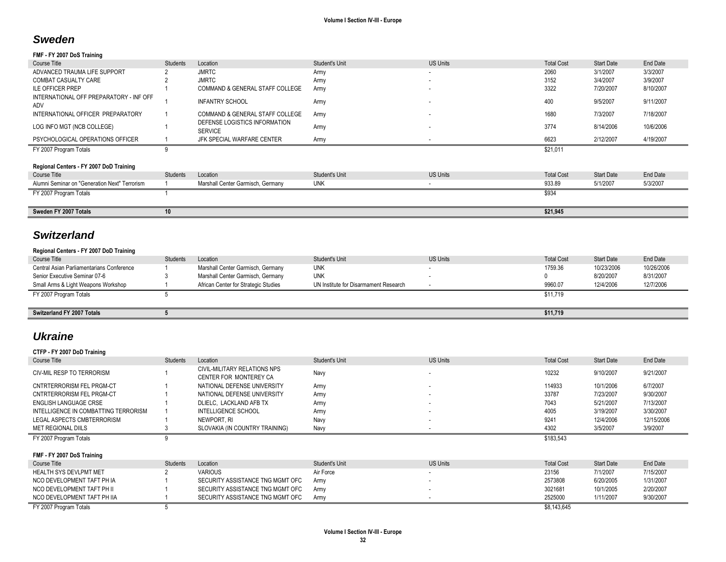## *Sweden*

## **FMF - FY 2007 DoS Training**

| Course Title                                   | Students | Location                                        | Student's Unit | <b>US Units</b>          | <b>Total Cost</b> | <b>Start Date</b> | End Date  |
|------------------------------------------------|----------|-------------------------------------------------|----------------|--------------------------|-------------------|-------------------|-----------|
| ADVANCED TRAUMA LIFE SUPPORT                   |          | <b>JMRTC</b>                                    | Army           | $\overline{\phantom{a}}$ | 2060              | 3/1/2007          | 3/3/2007  |
| COMBAT CASUALTY CARE                           |          | <b>JMRTC</b>                                    | Army           | $\overline{\phantom{a}}$ | 3152              | 3/4/2007          | 3/9/2007  |
| <b>ILE OFFICER PREP</b>                        |          | COMMAND & GENERAL STAFF COLLEGE                 | Army           |                          | 3322              | 7/20/2007         | 8/10/2007 |
| INTERNATIONAL OFF PREPARATORY - INF OFF<br>ADV |          | <b>INFANTRY SCHOOL</b>                          | Army           |                          | 400               | 9/5/2007          | 9/11/2007 |
| INTERNATIONAL OFFICER PREPARATORY              |          | COMMAND & GENERAL STAFF COLLEGE                 | Army           |                          | 1680              | 7/3/2007          | 7/18/2007 |
| LOG INFO MGT (NCB COLLEGE)                     |          | DEFENSE LOGISTICS INFORMATION<br><b>SERVICE</b> | Army           |                          | 3774              | 8/14/2006         | 10/6/2006 |
| PSYCHOLOGICAL OPERATIONS OFFICER               |          | JFK SPECIAL WARFARE CENTER                      | Army           |                          | 6623              | 2/12/2007         | 4/19/2007 |
| FY 2007 Program Totals                         |          |                                                 |                |                          | \$21,011          |                   |           |
| Regional Centers - FY 2007 DoD Training        |          |                                                 |                |                          |                   |                   |           |
| Course Title                                   | Students | Location                                        | Student's Unit | <b>US Units</b>          | <b>Total Cost</b> | <b>Start Date</b> | End Date  |
| Alumni Seminar on "Generation Next" Terrorism  |          | Marshall Center Garmisch, Germany               | <b>UNK</b>     |                          | 933.89            | 5/1/2007          | 5/3/2007  |
| FY 2007 Program Totals                         |          |                                                 |                |                          | \$934             |                   |           |
|                                                |          |                                                 |                |                          |                   |                   |           |
| Sweden FY 2007 Totals                          | 10       |                                                 |                |                          | \$21,945          |                   |           |

## *Switzerland*

### **Regional Centers - FY 2007 DoD Training**

| Course Title                              | <b>Students</b> | Location                             | Student's Unit                        | <b>US Units</b> | <b>Total Cost</b> | <b>Start Date</b> | End Date   |
|-------------------------------------------|-----------------|--------------------------------------|---------------------------------------|-----------------|-------------------|-------------------|------------|
| Central Asian Parliamentarians Conference |                 | Marshall Center Garmisch, Germany    | <b>UNK</b>                            |                 | 1759.36           | 10/23/2006        | 10/26/2006 |
| Senior Executive Seminar 07-6             |                 | Marshall Center Garmisch, Germany    | <b>UNK</b>                            |                 |                   | 8/20/2007         | 8/31/2007  |
| Small Arms & Light Weapons Workshop       |                 | African Center for Strategic Studies | UN Institute for Disarmament Research |                 | 9960.07           | 12/4/2006         | 12/7/2006  |
| FY 2007 Program Totals                    |                 |                                      |                                       |                 | \$11,719          |                   |            |
|                                           |                 |                                      |                                       |                 |                   |                   |            |
| Switzerland FY 2007 Totals                |                 |                                      |                                       |                 | \$11,719          |                   |            |

## *Ukraine*

| CTFP - FY 2007 DoD Training          |                 |                                                        |                       |                          |                   |                   |            |
|--------------------------------------|-----------------|--------------------------------------------------------|-----------------------|--------------------------|-------------------|-------------------|------------|
| Course Title                         | Students        | Location                                               | <b>Student's Unit</b> | <b>US Units</b>          | <b>Total Cost</b> | <b>Start Date</b> | End Date   |
| <b>CIV-MIL RESP TO TERRORISM</b>     |                 | CIVIL-MILITARY RELATIONS NPS<br>CENTER FOR MONTEREY CA | Navy                  | $\overline{\phantom{a}}$ | 10232             | 9/10/2007         | 9/21/2007  |
| CNTRTERRORISM FEL PRGM-CT            |                 | NATIONAL DEFENSE UNIVERSITY                            | Army                  | $\sim$                   | 114933            | 10/1/2006         | 6/7/2007   |
| CNTRTERRORISM FEL PRGM-CT            |                 | NATIONAL DEFENSE UNIVERSITY                            | Army                  | $\sim$                   | 33787             | 7/23/2007         | 9/30/2007  |
| ENGLISH LANGUAGE CRSE                |                 | DLIELC. LACKLAND AFB TX                                | Army                  | $\sim$                   | 7043              | 5/21/2007         | 7/13/2007  |
| INTELLIGENCE IN COMBATTING TERRORISM |                 | INTELLIGENCE SCHOOL                                    | Army                  | $\sim$                   | 4005              | 3/19/2007         | 3/30/2007  |
| LEGAL ASPECTS CMBTERRORISM           |                 | NEWPORT, RI                                            | Navy                  | $\overline{\phantom{a}}$ | 9241              | 12/4/2006         | 12/15/2006 |
| MET REGIONAL DIILS                   |                 | SLOVAKIA (IN COUNTRY TRAINING)                         | Navy                  |                          | 4302              | 3/5/2007          | 3/9/2007   |
| FY 2007 Program Totals               |                 |                                                        |                       |                          |                   |                   |            |
|                                      |                 |                                                        |                       |                          | \$183,543         |                   |            |
|                                      |                 |                                                        |                       |                          |                   |                   |            |
| FMF - FY 2007 DoS Training           |                 |                                                        |                       |                          |                   |                   |            |
| Course Title                         | <b>Students</b> | Location                                               | <b>Student's Unit</b> | <b>US Units</b>          | <b>Total Cost</b> | <b>Start Date</b> | End Date   |
| HEALTH SYS DEVLPMT MET               |                 | <b>VARIOUS</b>                                         | Air Force             | $\overline{\phantom{a}}$ | 23156             | 7/1/2007          | 7/15/2007  |
| NCO DEVELOPMENT TAFT PH IA           |                 | SECURITY ASSISTANCE TNG MGMT OFC                       | Army                  | $\sim$                   | 2573808           | 6/20/2005         | 1/31/2007  |
| NCO DEVELOPMENT TAFT PH II           |                 | SECURITY ASSISTANCE TNG MGMT OFC                       | Army                  | $\sim$                   | 3021681           | 10/1/2005         | 2/20/2007  |
| NCO DEVELOPMENT TAFT PH IIA          |                 | SECURITY ASSISTANCE TNG MGMT OFC                       | Army                  |                          | 2525000           | 1/11/2007         | 9/30/2007  |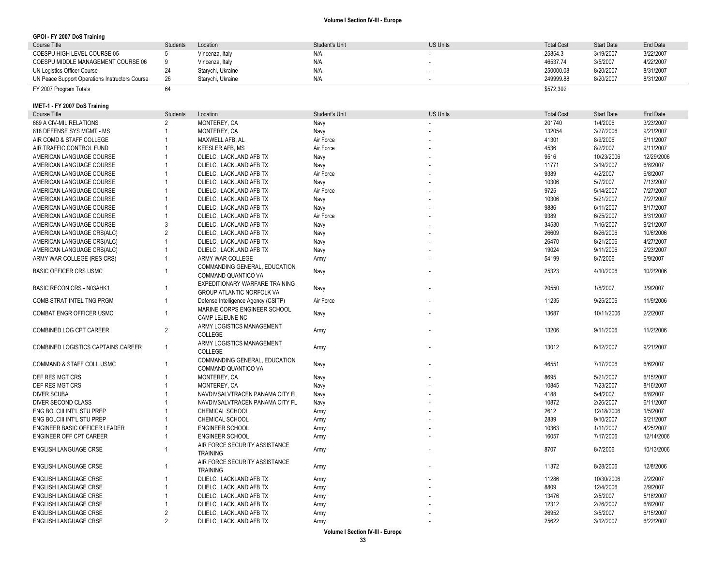#### **GPOI - FY 2007 DoS Training**

| Course Title                                   | Students | Location          | Student's Unit | <b>US Units</b> | <b>Total Cost</b> | <b>Start Date</b> | End Date  |
|------------------------------------------------|----------|-------------------|----------------|-----------------|-------------------|-------------------|-----------|
| COESPU HIGH LEVEL COURSE 05                    |          | Vincenza, Italy   | N/A            |                 | 25854.3           | 3/19/2007         | 3/22/2007 |
| COESPU MIDDLE MANAGEMENT COURSE 06             |          | Vincenza, Italy   | N/A            |                 | 46537.74          | 3/5/2007          | 4/22/2007 |
| UN Logistics Officer Course                    |          | Starychi, Ukraine | N/A            |                 | 250000.08         | 8/20/2007         | 8/31/2007 |
| UN Peace Support Operations Instructors Course | 26       | Starvchi, Ukraine | N/A            |                 | 249999.88         | 8/20/2007         | 8/31/2007 |
| FY 2007 Program Totals                         |          |                   |                |                 | \$572,392         |                   |           |

### **IMET -1 - FY 2007 DoS Training**

| <b>Course Title</b>                | <b>Students</b> | Location                                                    | <b>Student's Unit</b> | <b>US Units</b> | <b>Total Cost</b> | <b>Start Date</b> | <b>End Date</b> |
|------------------------------------|-----------------|-------------------------------------------------------------|-----------------------|-----------------|-------------------|-------------------|-----------------|
| 689 A CIV-MIL RELATIONS            | $\overline{2}$  | MONTEREY, CA                                                | Navy                  |                 | 201740            | 1/4/2006          | 3/23/2007       |
| 818 DEFENSE SYS MGMT - MS          |                 | MONTEREY, CA                                                | Navy                  |                 | 132054            | 3/27/2006         | 9/21/2007       |
| AIR COMD & STAFF COLLEGE           |                 | MAXWELL AFB. AL                                             | Air Force             |                 | 41301             | 8/9/2006          | 6/11/2007       |
| AIR TRAFFIC CONTROL FUND           |                 | <b>KEESLER AFB, MS</b>                                      | Air Force             |                 | 4536              | 8/2/2007          | 9/11/2007       |
| AMERICAN LANGUAGE COURSE           |                 | DLIELC, LACKLAND AFB TX                                     | Navy                  |                 | 9516              | 10/23/2006        | 12/29/2006      |
| AMERICAN LANGUAGE COURSE           |                 | DLIELC, LACKLAND AFB TX                                     | Navy                  |                 | 11771             | 3/19/2007         | 6/8/2007        |
| AMERICAN LANGUAGE COURSE           |                 | DLIELC, LACKLAND AFB TX                                     | Air Force             |                 | 9389              | 4/2/2007          | 6/8/2007        |
| AMERICAN LANGUAGE COURSE           |                 | DLIELC, LACKLAND AFB TX                                     | Navy                  |                 | 10306             | 5/7/2007          | 7/13/2007       |
| AMERICAN LANGUAGE COURSE           |                 | DLIELC, LACKLAND AFB TX                                     | Air Force             |                 | 9725              | 5/14/2007         | 7/27/2007       |
| AMERICAN LANGUAGE COURSE           |                 | DLIELC, LACKLAND AFB TX                                     | Navy                  |                 | 10306             | 5/21/2007         | 7/27/2007       |
| AMERICAN LANGUAGE COURSE           |                 | DLIELC, LACKLAND AFB TX                                     | Navy                  |                 | 9886              | 6/11/2007         | 8/17/2007       |
| AMERICAN LANGUAGE COURSE           |                 | DLIELC, LACKLAND AFB TX                                     | Air Force             |                 | 9389              | 6/25/2007         | 8/31/2007       |
| AMERICAN LANGUAGE COURSE           | 3               | DLIELC, LACKLAND AFB TX                                     | Navy                  |                 | 34530             | 7/16/2007         | 9/21/2007       |
| AMERICAN LANGUAGE CRS(ALC)         | $\overline{2}$  | DLIELC, LACKLAND AFB TX                                     | Navy                  |                 | 26609             | 6/26/2006         | 10/6/2006       |
| AMERICAN LANGUAGE CRS(ALC)         | $\overline{1}$  | DLIELC, LACKLAND AFB TX                                     | Navy                  |                 | 26470             | 8/21/2006         | 4/27/2007       |
| AMERICAN LANGUAGE CRS(ALC)         | 1               | DLIELC, LACKLAND AFB TX                                     | Navy                  |                 | 19024             | 9/11/2006         | 2/23/2007       |
| ARMY WAR COLLEGE (RES CRS)         | $\overline{1}$  | ARMY WAR COLLEGE                                            | Army                  |                 | 54199             | 8/7/2006          | 6/9/2007        |
| <b>BASIC OFFICER CRS USMC</b>      | $\overline{1}$  | COMMANDING GENERAL, EDUCATION<br>COMMAND QUANTICO VA        | Navy                  |                 | 25323             | 4/10/2006         | 10/2/2006       |
| <b>BASIC RECON CRS - N03AHK1</b>   | $\overline{1}$  | EXPEDITIONARY WARFARE TRAINING<br>GROUP ATLANTIC NORFOLK VA | Navy                  |                 | 20550             | 1/8/2007          | 3/9/2007        |
| COMB STRAT INTEL TNG PRGM          | $\overline{1}$  | Defense Intelligence Agency (CSITP)                         | Air Force             |                 | 11235             | 9/25/2006         | 11/9/2006       |
| <b>COMBAT ENGR OFFICER USMC</b>    | $\overline{1}$  | MARINE CORPS ENGINEER SCHOOL<br>CAMP LEJEUNE NC             | Navy                  |                 | 13687             | 10/11/2006        | 2/2/2007        |
| COMBINED LOG CPT CAREER            | $\overline{2}$  | ARMY LOGISTICS MANAGEMENT<br>COLLEGE                        | Army                  |                 | 13206             | 9/11/2006         | 11/2/2006       |
| COMBINED LOGISTICS CAPTAINS CAREER | $\overline{1}$  | ARMY LOGISTICS MANAGEMENT<br><b>COLLEGE</b>                 | Army                  |                 | 13012             | 6/12/2007         | 9/21/2007       |
| COMMAND & STAFF COLL USMC          | $\overline{1}$  | <b>COMMANDING GENERAL, EDUCATION</b><br>COMMAND QUANTICO VA | Navy                  |                 | 46551             | 7/17/2006         | 6/6/2007        |
| DEF RES MGT CRS                    |                 | MONTEREY, CA                                                | Navy                  |                 | 8695              | 5/21/2007         | 6/15/2007       |
| DEF RES MGT CRS                    |                 | MONTEREY, CA                                                | Navy                  |                 | 10845             | 7/23/2007         | 8/16/2007       |
| <b>DIVER SCUBA</b>                 |                 | NAVDIVSALVTRACEN PANAMA CITY FL                             | Navy                  |                 | 4188              | 5/4/2007          | 6/8/2007        |
| DIVER SECOND CLASS                 |                 | NAVDIVSALVTRACEN PANAMA CITY FL                             | Navy                  |                 | 10872             | 2/26/2007         | 6/11/2007       |
| ENG BOLCIII INT'L STU PREP         |                 | CHEMICAL SCHOOL                                             | Army                  |                 | 2612              | 12/18/2006        | 1/5/2007        |
| ENG BOLCIII INT'L STU PREP         |                 | CHEMICAL SCHOOL                                             | Army                  |                 | 2839              | 9/10/2007         | 9/21/2007       |
| ENGINEER BASIC OFFICER LEADER      | $\overline{1}$  | <b>ENGINEER SCHOOL</b>                                      | Army                  |                 | 10363             | 1/11/2007         | 4/25/2007       |
| ENGINEER OFF CPT CAREER            | $\mathbf{1}$    | <b>ENGINEER SCHOOL</b>                                      | Army                  |                 | 16057             | 7/17/2006         | 12/14/2006      |
| <b>ENGLISH LANGUAGE CRSE</b>       | $\overline{1}$  | AIR FORCE SECURITY ASSISTANCE<br><b>TRAINING</b>            | Army                  |                 | 8707              | 8/7/2006          | 10/13/2006      |
| <b>ENGLISH LANGUAGE CRSE</b>       | -1              | AIR FORCE SECURITY ASSISTANCE<br><b>TRAINING</b>            | Army                  |                 | 11372             | 8/28/2006         | 12/8/2006       |
| <b>ENGLISH LANGUAGE CRSE</b>       |                 | DLIELC, LACKLAND AFB TX                                     | Army                  |                 | 11286             | 10/30/2006        | 2/2/2007        |
| <b>ENGLISH LANGUAGE CRSE</b>       |                 | DLIELC. LACKLAND AFB TX                                     | Army                  |                 | 8809              | 12/4/2006         | 2/9/2007        |
| <b>ENGLISH LANGUAGE CRSE</b>       |                 | DLIELC, LACKLAND AFB TX                                     | Army                  |                 | 13476             | 2/5/2007          | 5/18/2007       |
| <b>ENGLISH LANGUAGE CRSE</b>       |                 | DLIELC, LACKLAND AFB TX                                     | Army                  |                 | 12312             | 2/26/2007         | 6/8/2007        |
| <b>ENGLISH LANGUAGE CRSE</b>       | $\overline{2}$  | DLIELC, LACKLAND AFB TX                                     | Army                  |                 | 26952             | 3/5/2007          | 6/15/2007       |
| <b>ENGLISH LANGUAGE CRSE</b>       | $\overline{2}$  | DLIELC, LACKLAND AFB TX                                     | Army                  |                 | 25622             | 3/12/2007         | 6/22/2007       |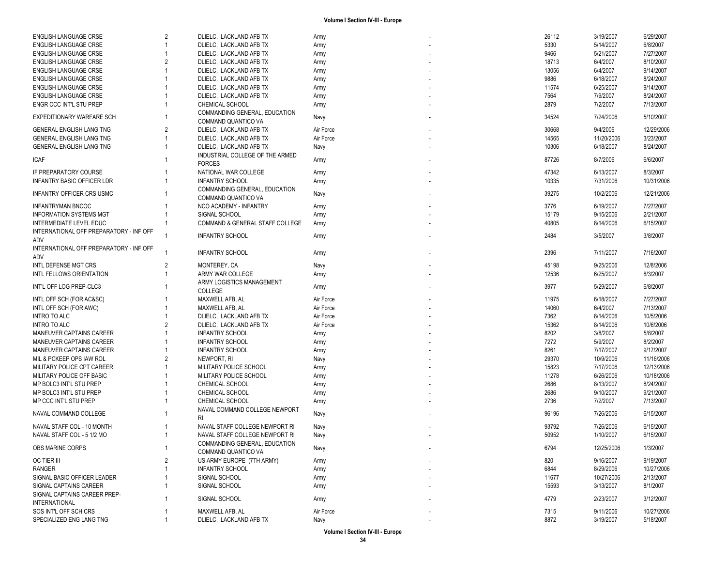| <b>ENGLISH LANGUAGE CRSE</b>                   | $\overline{2}$ | DLIELC, LACKLAND AFB TX                              | Army      | 26112 | 3/19/2007  | 6/29/2007  |
|------------------------------------------------|----------------|------------------------------------------------------|-----------|-------|------------|------------|
| <b>ENGLISH LANGUAGE CRSE</b>                   |                | DLIELC, LACKLAND AFB TX                              | Army      | 5330  | 5/14/2007  | 6/8/2007   |
| <b>ENGLISH LANGUAGE CRSE</b>                   |                | DLIELC, LACKLAND AFB TX                              | Army      | 9466  | 5/21/2007  | 7/27/2007  |
| ENGLISH LANGUAGE CRSE                          | 2              | DLIELC, LACKLAND AFB TX                              | Army      | 18713 | 6/4/2007   | 8/10/2007  |
| <b>ENGLISH LANGUAGE CRSE</b>                   |                | DLIELC, LACKLAND AFB TX                              | Army      | 13056 | 6/4/2007   | 9/14/2007  |
| <b>ENGLISH LANGUAGE CRSE</b>                   |                | DLIELC, LACKLAND AFB TX                              | Army      | 9886  | 6/18/2007  | 8/24/2007  |
| <b>ENGLISH LANGUAGE CRSE</b>                   |                | DLIELC, LACKLAND AFB TX                              | Army      | 11574 | 6/25/2007  | 9/14/2007  |
| <b>ENGLISH LANGUAGE CRSE</b>                   |                | DLIELC, LACKLAND AFB TX                              | Army      | 7564  | 7/9/2007   | 8/24/2007  |
| ENGR CCC INT'L STU PREP                        |                | CHEMICAL SCHOOL                                      | Army      | 2879  | 7/2/2007   | 7/13/2007  |
|                                                |                |                                                      |           |       |            |            |
| EXPEDITIONARY WARFARE SCH                      |                | COMMANDING GENERAL, EDUCATION<br>COMMAND QUANTICO VA | Navy      | 34524 | 7/24/2006  | 5/10/2007  |
| <b>GENERAL ENGLISH LANG TNG</b>                | 2              | DLIELC, LACKLAND AFB TX                              | Air Force | 30668 | 9/4/2006   | 12/29/2006 |
| <b>GENERAL ENGLISH LANG TNG</b>                |                | DLIELC, LACKLAND AFB TX                              | Air Force | 14565 | 11/20/2006 | 3/23/2007  |
| <b>GENERAL ENGLISH LANG TNG</b>                |                | DLIELC, LACKLAND AFB TX                              | Navy      | 10306 | 6/18/2007  | 8/24/2007  |
|                                                |                | INDUSTRIAL COLLEGE OF THE ARMED                      |           |       |            |            |
| <b>ICAF</b>                                    |                | <b>FORCES</b>                                        | Army      | 87726 | 8/7/2006   | 6/6/2007   |
| IF PREPARATORY COURSE                          |                | NATIONAL WAR COLLEGE                                 | Army      | 47342 | 6/13/2007  | 8/3/2007   |
| <b>INFANTRY BASIC OFFICER LDR</b>              |                | <b>INFANTRY SCHOOL</b>                               | Army      | 10335 | 7/31/2006  | 10/31/2006 |
|                                                |                | COMMANDING GENERAL, EDUCATION                        |           |       |            |            |
| <b>INFANTRY OFFICER CRS USMC</b>               |                | COMMAND QUANTICO VA                                  | Navy      | 39275 | 10/2/2006  | 12/21/2006 |
| <b>INFANTRYMAN BNCOC</b>                       |                | NCO ACADEMY - INFANTRY                               | Army      | 3776  | 6/19/2007  | 7/27/2007  |
|                                                |                | SIGNAL SCHOOL                                        |           |       |            |            |
| <b>INFORMATION SYSTEMS MGT</b>                 |                |                                                      | Army      | 15179 | 9/15/2006  | 2/21/2007  |
| INTERMEDIATE LEVEL EDUC                        |                | COMMAND & GENERAL STAFF COLLEGE                      | Army      | 40805 | 8/14/2006  | 6/15/2007  |
| INTERNATIONAL OFF PREPARATORY - INF OFF<br>ADV |                | <b>INFANTRY SCHOOL</b>                               | Army      | 2484  | 3/5/2007   | 3/8/2007   |
| INTERNATIONAL OFF PREPARATORY - INF OFF        |                |                                                      |           |       |            |            |
| ADV                                            |                | <b>INFANTRY SCHOOL</b>                               | Army      | 2396  | 7/11/2007  | 7/16/2007  |
| INTL DEFENSE MGT CRS                           | 2              | MONTEREY, CA                                         | Navy      | 45198 | 9/25/2006  | 12/8/2006  |
| INTL FELLOWS ORIENTATION                       |                | ARMY WAR COLLEGE                                     | Army      | 12536 | 6/25/2007  | 8/3/2007   |
|                                                |                | ARMY LOGISTICS MANAGEMENT                            |           |       |            |            |
| INT'L OFF LOG PREP-CLC3                        |                | COLLEGE                                              | Army      | 3977  | 5/29/2007  | 6/8/2007   |
| INTL OFF SCH (FOR AC&SC)                       |                | MAXWELL AFB, AL                                      | Air Force | 11975 | 6/18/2007  | 7/27/2007  |
|                                                |                | MAXWELL AFB, AL                                      | Air Force | 14060 | 6/4/2007   | 7/13/2007  |
| INTL OFF SCH (FOR AWC)                         |                |                                                      |           |       |            |            |
| <b>INTRO TO ALC</b>                            |                | DLIELC, LACKLAND AFB TX                              | Air Force | 7362  | 8/14/2006  | 10/5/2006  |
| <b>INTRO TO ALC</b>                            | $\overline{2}$ | DLIELC, LACKLAND AFB TX                              | Air Force | 15362 | 8/14/2006  | 10/6/2006  |
| MANEUVER CAPTAINS CAREER                       |                | <b>INFANTRY SCHOOL</b>                               | Army      | 8202  | 3/8/2007   | 5/8/2007   |
| MANEUVER CAPTAINS CAREER                       |                | <b>INFANTRY SCHOOL</b>                               | Army      | 7272  | 5/9/2007   | 8/2/2007   |
| MANEUVER CAPTAINS CAREER                       |                | <b>INFANTRY SCHOOL</b>                               | Army      | 8261  | 7/17/2007  | 9/17/2007  |
| MIL & PCKEEP OPS IAW ROL                       | 2              | NEWPORT, RI                                          | Navy      | 29370 | 10/9/2006  | 11/16/2006 |
| MILITARY POLICE CPT CAREER                     |                | MILITARY POLICE SCHOOL                               | Army      | 15823 | 7/17/2006  | 12/13/2006 |
| MILITARY POLICE OFF BASIC                      |                | MILITARY POLICE SCHOOL                               | Army      | 11278 | 6/26/2006  | 10/18/2006 |
| MP BOLC3 INT'L STU PREP                        |                | CHEMICAL SCHOOL                                      | Army      | 2686  | 8/13/2007  | 8/24/2007  |
| MP BOLC3 INT'L STU PREP                        |                | CHEMICAL SCHOOL                                      | Army      | 2686  | 9/10/2007  | 9/21/2007  |
| MP CCC INT'L STU PREP                          |                | CHEMICAL SCHOOL                                      | Army      | 2736  | 7/2/2007   | 7/13/2007  |
|                                                |                | NAVAL COMMAND COLLEGE NEWPORT                        |           |       |            |            |
| NAVAL COMMAND COLLEGE                          |                | <b>RI</b>                                            | Navy      | 96196 | 7/26/2006  | 6/15/2007  |
| NAVAL STAFF COL - 10 MONTH                     |                | NAVAL STAFF COLLEGE NEWPORT RI                       |           | 93792 | 7/26/2006  | 6/15/2007  |
|                                                |                | NAVAL STAFF COLLEGE NEWPORT RI                       | Navy      | 50952 |            | 6/15/2007  |
| NAVAL STAFF COL - 5 1/2 MO                     |                |                                                      | Navy      |       | 1/10/2007  |            |
| OBS MARINE CORPS                               |                | COMMANDING GENERAL, EDUCATION                        | Navy      | 6794  | 12/25/2006 | 1/3/2007   |
|                                                |                | COMMAND QUANTICO VA                                  |           |       |            |            |
| <b>OC TIER III</b>                             | $\overline{2}$ | US ARMY EUROPE (7TH ARMY)                            | Army      | 820   | 9/16/2007  | 9/19/2007  |
| <b>RANGER</b>                                  |                | <b>INFANTRY SCHOOL</b>                               | Army      | 6844  | 8/29/2006  | 10/27/2006 |
| SIGNAL BASIC OFFICER LEADER                    |                | SIGNAL SCHOOL                                        | Army      | 11677 | 10/27/2006 | 2/13/2007  |
| SIGNAL CAPTAINS CAREER                         |                | SIGNAL SCHOOL                                        | Army      | 15593 | 3/13/2007  | 8/1/2007   |
| SIGNAL CAPTAINS CAREER PREP-                   |                |                                                      |           |       |            |            |
| <b>INTERNATIONAL</b>                           |                | SIGNAL SCHOOL                                        | Army      | 4779  | 2/23/2007  | 3/12/2007  |
| SOS INT'L OFF SCH CRS                          |                | MAXWELL AFB, AL                                      | Air Force | 7315  | 9/11/2006  | 10/27/2006 |
| SPECIALIZED ENG LANG TNG                       |                | DLIELC, LACKLAND AFB TX                              | Navy      | 8872  | 3/19/2007  | 5/18/2007  |
|                                                |                |                                                      |           |       |            |            |